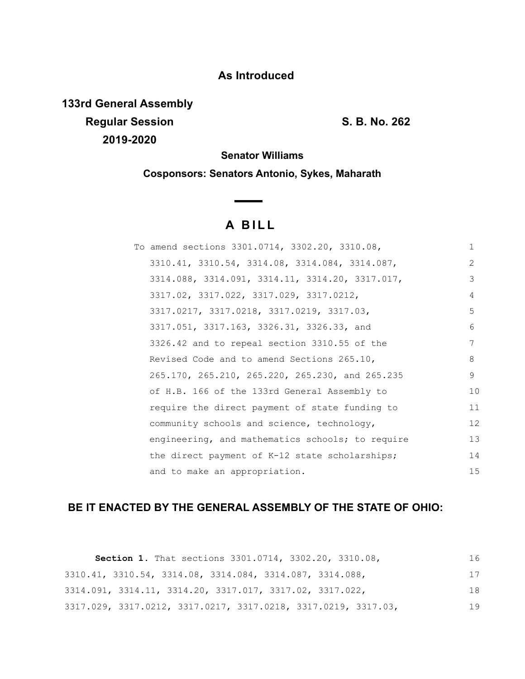### **As Introduced**

**133rd General Assembly Regular Session S. B. No. 262 2019-2020**

**Senator Williams**

**Cosponsors: Senators Antonio, Sykes, Maharath**

# **A B I L L**

**Contract Contract Contract** 

| To amend sections 3301.0714, 3302.20, 3310.08,   | $\mathbf{1}$  |
|--------------------------------------------------|---------------|
| 3310.41, 3310.54, 3314.08, 3314.084, 3314.087,   | $\mathcal{L}$ |
| 3314.088, 3314.091, 3314.11, 3314.20, 3317.017,  | 3             |
| 3317.02, 3317.022, 3317.029, 3317.0212,          | 4             |
| 3317.0217, 3317.0218, 3317.0219, 3317.03,        | 5             |
| 3317.051, 3317.163, 3326.31, 3326.33, and        | 6             |
| 3326.42 and to repeal section 3310.55 of the     | 7             |
| Revised Code and to amend Sections 265.10,       | 8             |
| 265.170, 265.210, 265.220, 265.230, and 265.235  | 9             |
| of H.B. 166 of the 133rd General Assembly to     | 10            |
| require the direct payment of state funding to   | 11            |
| community schools and science, technology,       | 12            |
| engineering, and mathematics schools; to require | 13            |
| the direct payment of K-12 state scholarships;   | 14            |
| and to make an appropriation.                    | 15            |

## **BE IT ENACTED BY THE GENERAL ASSEMBLY OF THE STATE OF OHIO:**

| Section 1. That sections 3301.0714, 3302.20, 3310.08,          | 16 |
|----------------------------------------------------------------|----|
| 3310.41, 3310.54, 3314.08, 3314.084, 3314.087, 3314.088,       | 17 |
| 3314.091, 3314.11, 3314.20, 3317.017, 3317.02, 3317.022,       | 18 |
| 3317.029, 3317.0212, 3317.0217, 3317.0218, 3317.0219, 3317.03, | 19 |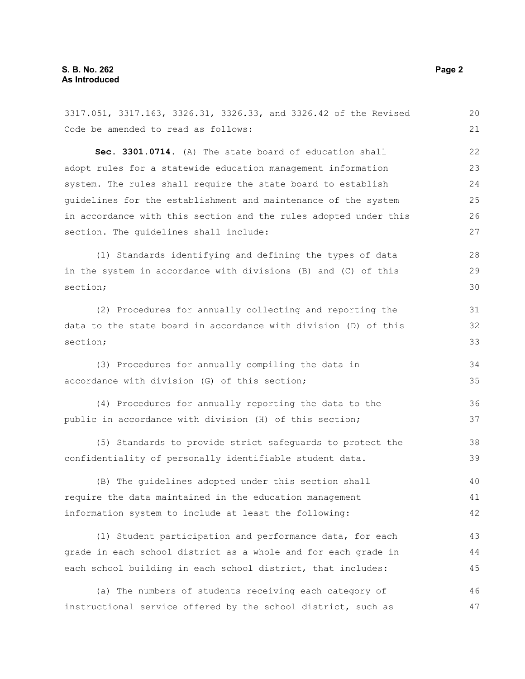3317.051, 3317.163, 3326.31, 3326.33, and 3326.42 of the Revised Code be amended to read as follows: **Sec. 3301.0714.** (A) The state board of education shall adopt rules for a statewide education management information system. The rules shall require the state board to establish guidelines for the establishment and maintenance of the system in accordance with this section and the rules adopted under this section. The guidelines shall include: (1) Standards identifying and defining the types of data in the system in accordance with divisions (B) and (C) of this section; (2) Procedures for annually collecting and reporting the data to the state board in accordance with division (D) of this section; (3) Procedures for annually compiling the data in accordance with division (G) of this section; (4) Procedures for annually reporting the data to the public in accordance with division (H) of this section; (5) Standards to provide strict safeguards to protect the confidentiality of personally identifiable student data. (B) The guidelines adopted under this section shall require the data maintained in the education management information system to include at least the following: (1) Student participation and performance data, for each grade in each school district as a whole and for each grade in each school building in each school district, that includes: (a) The numbers of students receiving each category of instructional service offered by the school district, such as 20 21 22 23 24 25 26 27 28 29 30 31 32 33 34 35 36 37 38 39 40 41 42 43 44 45 46 47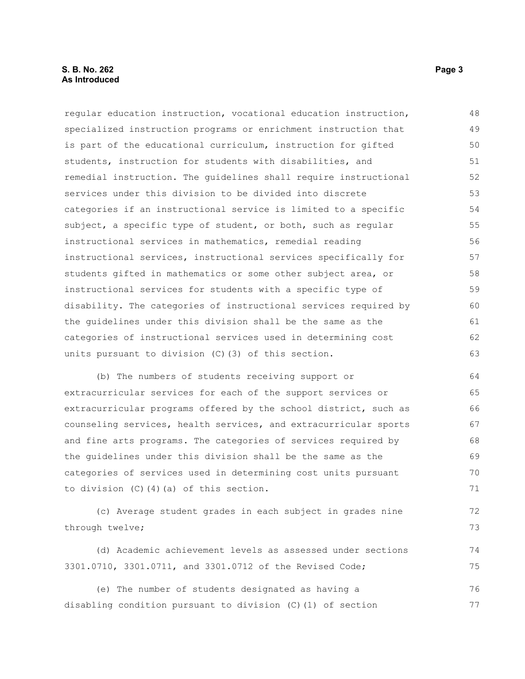#### **S. B. No. 262 Page 3 As Introduced**

regular education instruction, vocational education instruction, specialized instruction programs or enrichment instruction that is part of the educational curriculum, instruction for gifted students, instruction for students with disabilities, and remedial instruction. The guidelines shall require instructional services under this division to be divided into discrete categories if an instructional service is limited to a specific subject, a specific type of student, or both, such as regular instructional services in mathematics, remedial reading instructional services, instructional services specifically for students gifted in mathematics or some other subject area, or instructional services for students with a specific type of disability. The categories of instructional services required by the guidelines under this division shall be the same as the categories of instructional services used in determining cost units pursuant to division (C)(3) of this section. 48 49 50 51 52 53 54 55 56 57 58 59 60 61 62 63

(b) The numbers of students receiving support or extracurricular services for each of the support services or extracurricular programs offered by the school district, such as counseling services, health services, and extracurricular sports and fine arts programs. The categories of services required by the guidelines under this division shall be the same as the categories of services used in determining cost units pursuant to division (C)(4)(a) of this section. 64 65 66 67 68 69 70 71

(c) Average student grades in each subject in grades nine through twelve;

(d) Academic achievement levels as assessed under sections 3301.0710, 3301.0711, and 3301.0712 of the Revised Code; 74 75

(e) The number of students designated as having a disabling condition pursuant to division (C)(1) of section 76 77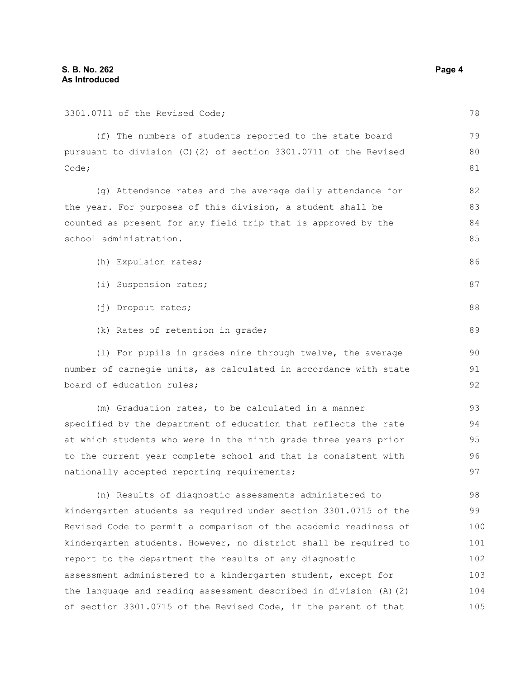| 3301.0711 of the Revised Code;                                   | 78  |
|------------------------------------------------------------------|-----|
| (f) The numbers of students reported to the state board          | 79  |
| pursuant to division (C)(2) of section 3301.0711 of the Revised  |     |
| Code;                                                            | 81  |
| (g) Attendance rates and the average daily attendance for        | 82  |
| the year. For purposes of this division, a student shall be      | 83  |
| counted as present for any field trip that is approved by the    | 84  |
| school administration.                                           | 85  |
| (h) Expulsion rates;                                             | 86  |
| (i) Suspension rates;                                            | 87  |
| (j) Dropout rates;                                               | 88  |
| (k) Rates of retention in grade;                                 | 89  |
| (1) For pupils in grades nine through twelve, the average        | 90  |
| number of carnegie units, as calculated in accordance with state |     |
| board of education rules;                                        | 92  |
| (m) Graduation rates, to be calculated in a manner               | 93  |
| specified by the department of education that reflects the rate  | 94  |
| at which students who were in the ninth grade three years prior  | 95  |
| to the current year complete school and that is consistent with  | 96  |
| nationally accepted reporting requirements;                      | 97  |
| (n) Results of diagnostic assessments administered to            | 98  |
| kindergarten students as required under section 3301.0715 of the | 99  |
| Revised Code to permit a comparison of the academic readiness of | 100 |
| kindergarten students. However, no district shall be required to | 101 |
| report to the department the results of any diagnostic           | 102 |
|                                                                  |     |

assessment administered to a kindergarten student, except for the language and reading assessment described in division (A)(2) of section 3301.0715 of the Revised Code, if the parent of that 103 104 105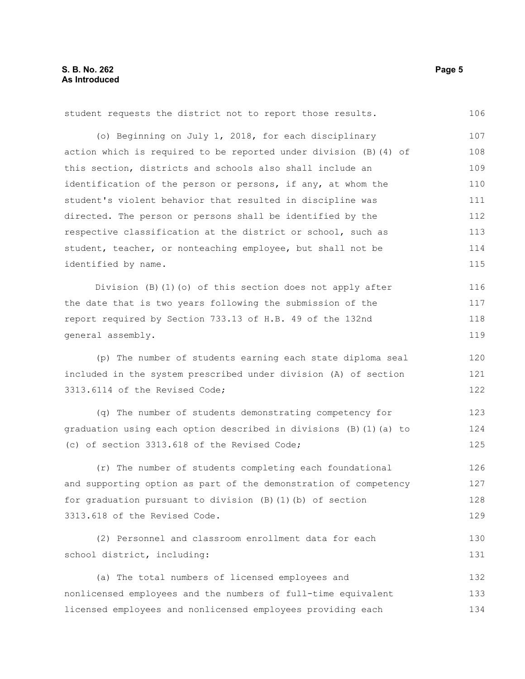student requests the district not to report those results. (o) Beginning on July 1, 2018, for each disciplinary action which is required to be reported under division (B)(4) of this section, districts and schools also shall include an identification of the person or persons, if any, at whom the student's violent behavior that resulted in discipline was directed. The person or persons shall be identified by the respective classification at the district or school, such as student, teacher, or nonteaching employee, but shall not be identified by name. Division (B)(1)(o) of this section does not apply after the date that is two years following the submission of the report required by Section 733.13 of H.B. 49 of the 132nd general assembly. (p) The number of students earning each state diploma seal included in the system prescribed under division (A) of section 3313.6114 of the Revised Code; (q) The number of students demonstrating competency for graduation using each option described in divisions (B)(1)(a) to (c) of section 3313.618 of the Revised Code; (r) The number of students completing each foundational and supporting option as part of the demonstration of competency for graduation pursuant to division (B)(1)(b) of section 3313.618 of the Revised Code. (2) Personnel and classroom enrollment data for each school district, including: (a) The total numbers of licensed employees and nonlicensed employees and the numbers of full-time equivalent licensed employees and nonlicensed employees providing each 106 107 108 109 110 111 112 113 114 115 116 117 118 119 120 121 122 123 124 125 126 127 128 129 130 131 132 133 134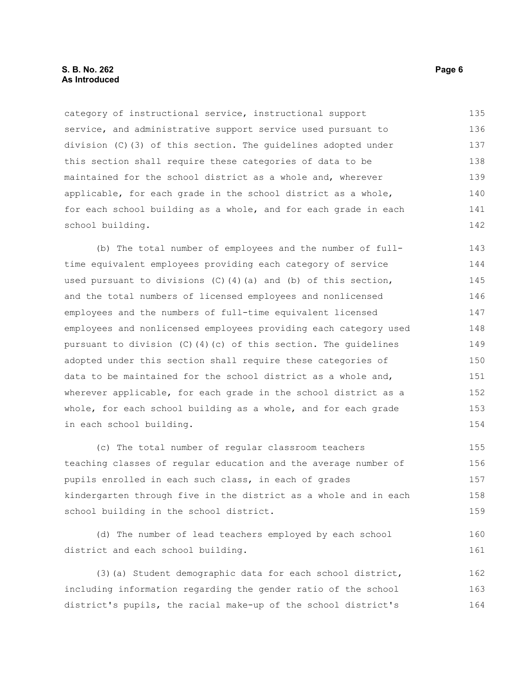category of instructional service, instructional support service, and administrative support service used pursuant to division (C)(3) of this section. The guidelines adopted under this section shall require these categories of data to be maintained for the school district as a whole and, wherever applicable, for each grade in the school district as a whole, for each school building as a whole, and for each grade in each school building. 135 136 137 138 139 140 141 142

(b) The total number of employees and the number of fulltime equivalent employees providing each category of service used pursuant to divisions  $(C)$  (4)(a) and (b) of this section, and the total numbers of licensed employees and nonlicensed employees and the numbers of full-time equivalent licensed employees and nonlicensed employees providing each category used pursuant to division (C)(4)(c) of this section. The guidelines adopted under this section shall require these categories of data to be maintained for the school district as a whole and, wherever applicable, for each grade in the school district as a whole, for each school building as a whole, and for each grade in each school building. 143 144 145 146 147 148 149 150 151 152 153 154

(c) The total number of regular classroom teachers teaching classes of regular education and the average number of pupils enrolled in each such class, in each of grades kindergarten through five in the district as a whole and in each school building in the school district. 155 156 157 158 159

(d) The number of lead teachers employed by each school district and each school building. 160 161

(3)(a) Student demographic data for each school district, including information regarding the gender ratio of the school district's pupils, the racial make-up of the school district's 162 163 164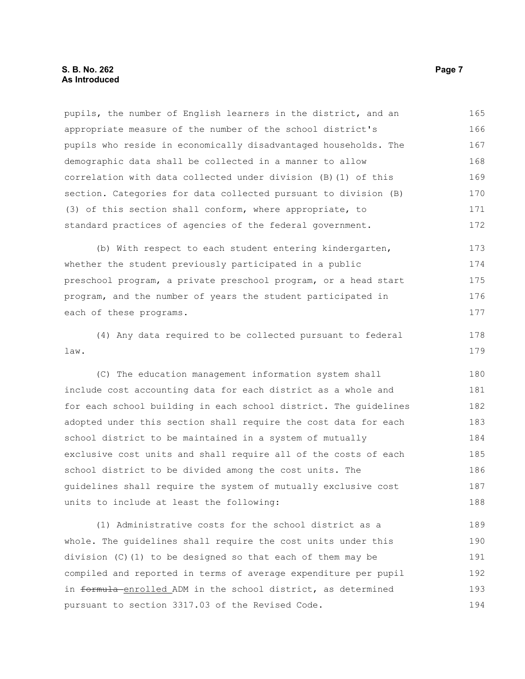pupils, the number of English learners in the district, and an appropriate measure of the number of the school district's pupils who reside in economically disadvantaged households. The demographic data shall be collected in a manner to allow correlation with data collected under division (B)(1) of this section. Categories for data collected pursuant to division (B) (3) of this section shall conform, where appropriate, to standard practices of agencies of the federal government. 165 166 167 168 169 170 171 172

(b) With respect to each student entering kindergarten, whether the student previously participated in a public preschool program, a private preschool program, or a head start program, and the number of years the student participated in each of these programs. 173 174 175 176 177

(4) Any data required to be collected pursuant to federal law. 178 179

(C) The education management information system shall include cost accounting data for each district as a whole and for each school building in each school district. The guidelines adopted under this section shall require the cost data for each school district to be maintained in a system of mutually exclusive cost units and shall require all of the costs of each school district to be divided among the cost units. The guidelines shall require the system of mutually exclusive cost units to include at least the following: 180 181 182 183 184 185 186 187 188

(1) Administrative costs for the school district as a whole. The guidelines shall require the cost units under this division (C)(1) to be designed so that each of them may be compiled and reported in terms of average expenditure per pupil in formula enrolled ADM in the school district, as determined pursuant to section 3317.03 of the Revised Code. 189 190 191 192 193 194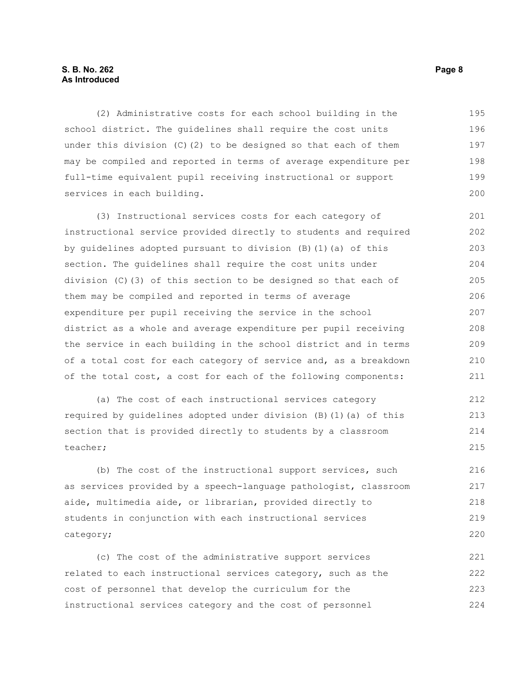#### **S. B. No. 262 Page 8 As Introduced**

(2) Administrative costs for each school building in the school district. The guidelines shall require the cost units under this division (C)(2) to be designed so that each of them may be compiled and reported in terms of average expenditure per full-time equivalent pupil receiving instructional or support services in each building. 195 196 197 198 199 200

(3) Instructional services costs for each category of instructional service provided directly to students and required by guidelines adopted pursuant to division (B)(1)(a) of this section. The guidelines shall require the cost units under division (C)(3) of this section to be designed so that each of them may be compiled and reported in terms of average expenditure per pupil receiving the service in the school district as a whole and average expenditure per pupil receiving the service in each building in the school district and in terms of a total cost for each category of service and, as a breakdown of the total cost, a cost for each of the following components: 201 202 203 204 205 206 207 208 209 210 211

(a) The cost of each instructional services category required by guidelines adopted under division (B)(1)(a) of this section that is provided directly to students by a classroom teacher;

(b) The cost of the instructional support services, such as services provided by a speech-language pathologist, classroom aide, multimedia aide, or librarian, provided directly to students in conjunction with each instructional services category;

(c) The cost of the administrative support services related to each instructional services category, such as the cost of personnel that develop the curriculum for the instructional services category and the cost of personnel 221 222 223 224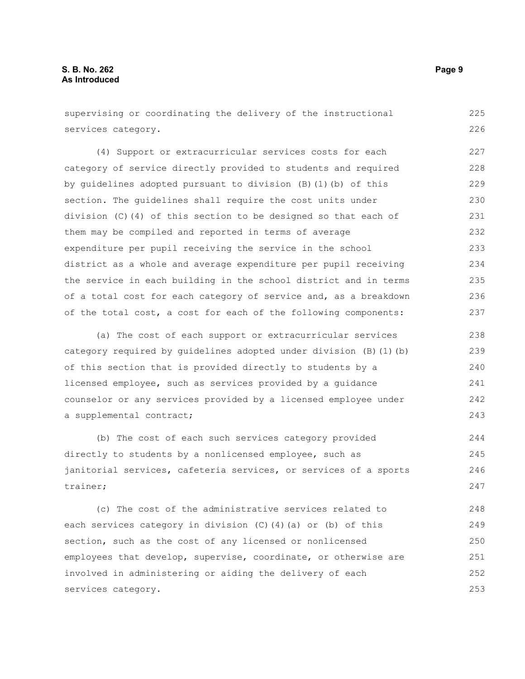supervising or coordinating the delivery of the instructional services category. 225 226

(4) Support or extracurricular services costs for each category of service directly provided to students and required by guidelines adopted pursuant to division (B)(1)(b) of this section. The guidelines shall require the cost units under division (C)(4) of this section to be designed so that each of them may be compiled and reported in terms of average expenditure per pupil receiving the service in the school district as a whole and average expenditure per pupil receiving the service in each building in the school district and in terms of a total cost for each category of service and, as a breakdown of the total cost, a cost for each of the following components: 227 228 229 230 231 232 233 234 235 236 237

(a) The cost of each support or extracurricular services category required by guidelines adopted under division (B)(1)(b) of this section that is provided directly to students by a licensed employee, such as services provided by a guidance counselor or any services provided by a licensed employee under a supplemental contract;

(b) The cost of each such services category provided directly to students by a nonlicensed employee, such as janitorial services, cafeteria services, or services of a sports trainer; 244 245 246 247

(c) The cost of the administrative services related to each services category in division (C)(4)(a) or (b) of this section, such as the cost of any licensed or nonlicensed employees that develop, supervise, coordinate, or otherwise are involved in administering or aiding the delivery of each services category. 248 249 250 251 252 253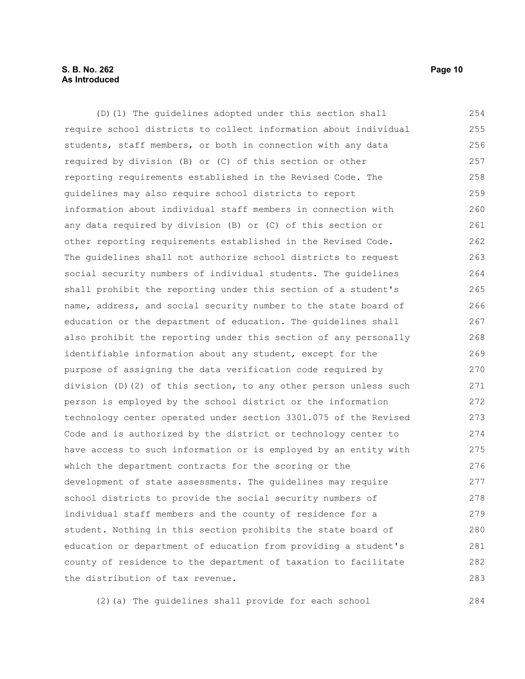#### **S. B. No. 262 Page 10 As Introduced**

(D)(1) The guidelines adopted under this section shall require school districts to collect information about individual students, staff members, or both in connection with any data required by division (B) or (C) of this section or other reporting requirements established in the Revised Code. The guidelines may also require school districts to report information about individual staff members in connection with any data required by division (B) or (C) of this section or other reporting requirements established in the Revised Code. The guidelines shall not authorize school districts to request social security numbers of individual students. The guidelines shall prohibit the reporting under this section of a student's name, address, and social security number to the state board of education or the department of education. The guidelines shall also prohibit the reporting under this section of any personally identifiable information about any student, except for the purpose of assigning the data verification code required by division (D)(2) of this section, to any other person unless such person is employed by the school district or the information technology center operated under section 3301.075 of the Revised Code and is authorized by the district or technology center to have access to such information or is employed by an entity with which the department contracts for the scoring or the development of state assessments. The guidelines may require school districts to provide the social security numbers of individual staff members and the county of residence for a student. Nothing in this section prohibits the state board of education or department of education from providing a student's county of residence to the department of taxation to facilitate the distribution of tax revenue. 254 255 256 257 258 259 260 261 262 263 264 265 266 267 268 269 270 271 272 273 274 275 276 277 278 279 280 281 282 283

(2)(a) The guidelines shall provide for each school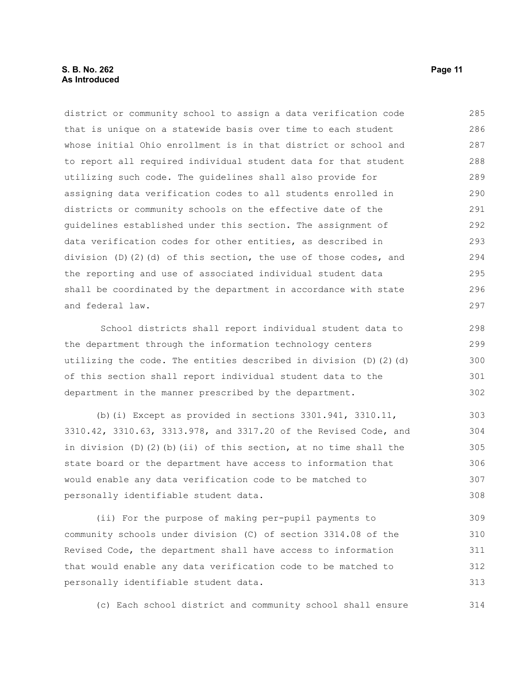#### **S. B. No. 262 Page 11 As Introduced**

district or community school to assign a data verification code that is unique on a statewide basis over time to each student whose initial Ohio enrollment is in that district or school and to report all required individual student data for that student utilizing such code. The guidelines shall also provide for assigning data verification codes to all students enrolled in districts or community schools on the effective date of the guidelines established under this section. The assignment of data verification codes for other entities, as described in division (D)(2)(d) of this section, the use of those codes, and the reporting and use of associated individual student data shall be coordinated by the department in accordance with state and federal law. 285 286 287 288 289 290 291 292 293 294 295 296 297

School districts shall report individual student data to the department through the information technology centers utilizing the code. The entities described in division (D)(2)(d) of this section shall report individual student data to the department in the manner prescribed by the department.

(b)(i) Except as provided in sections 3301.941, 3310.11, 3310.42, 3310.63, 3313.978, and 3317.20 of the Revised Code, and in division  $(D)$   $(2)$   $(b)$   $(ii)$  of this section, at no time shall the state board or the department have access to information that would enable any data verification code to be matched to personally identifiable student data. 303 304 305 306 307 308

(ii) For the purpose of making per-pupil payments to community schools under division (C) of section 3314.08 of the Revised Code, the department shall have access to information that would enable any data verification code to be matched to personally identifiable student data. 309 310 311 312 313

(c) Each school district and community school shall ensure 314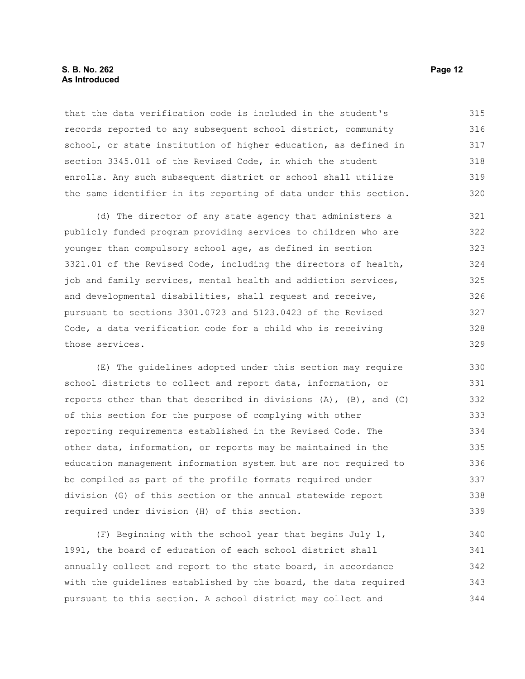#### **S. B. No. 262 Page 12 As Introduced**

that the data verification code is included in the student's records reported to any subsequent school district, community school, or state institution of higher education, as defined in section 3345.011 of the Revised Code, in which the student enrolls. Any such subsequent district or school shall utilize the same identifier in its reporting of data under this section. 315 316 317 318 319 320

(d) The director of any state agency that administers a publicly funded program providing services to children who are younger than compulsory school age, as defined in section 3321.01 of the Revised Code, including the directors of health, job and family services, mental health and addiction services, and developmental disabilities, shall request and receive, pursuant to sections 3301.0723 and 5123.0423 of the Revised Code, a data verification code for a child who is receiving those services. 321 322 323 324 325 326 327 328 329

(E) The guidelines adopted under this section may require school districts to collect and report data, information, or reports other than that described in divisions (A), (B), and (C) of this section for the purpose of complying with other reporting requirements established in the Revised Code. The other data, information, or reports may be maintained in the education management information system but are not required to be compiled as part of the profile formats required under division (G) of this section or the annual statewide report required under division (H) of this section. 330 331 332 333 334 335 336 337 338 339

(F) Beginning with the school year that begins July 1, 1991, the board of education of each school district shall annually collect and report to the state board, in accordance with the guidelines established by the board, the data required pursuant to this section. A school district may collect and 340 341 342 343 344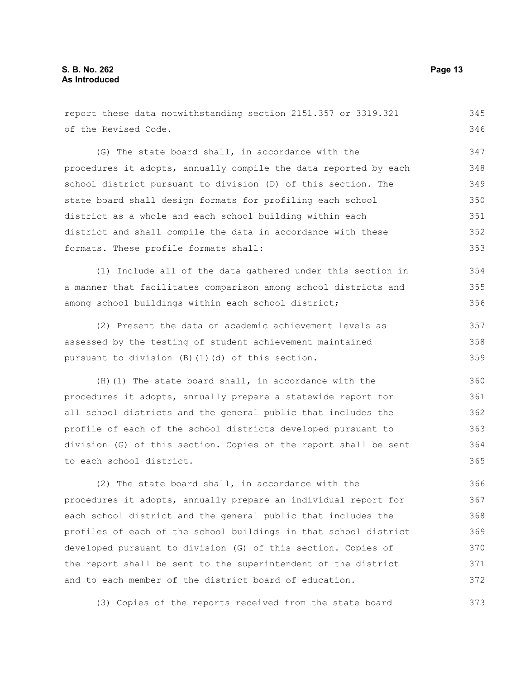of the Revised Code. (G) The state board shall, in accordance with the procedures it adopts, annually compile the data reported by each school district pursuant to division (D) of this section. The state board shall design formats for profiling each school district as a whole and each school building within each district and shall compile the data in accordance with these formats. These profile formats shall: (1) Include all of the data gathered under this section in a manner that facilitates comparison among school districts and among school buildings within each school district; (2) Present the data on academic achievement levels as assessed by the testing of student achievement maintained pursuant to division (B)(1)(d) of this section. (H)(1) The state board shall, in accordance with the procedures it adopts, annually prepare a statewide report for all school districts and the general public that includes the profile of each of the school districts developed pursuant to division (G) of this section. Copies of the report shall be sent to each school district. (2) The state board shall, in accordance with the procedures it adopts, annually prepare an individual report for each school district and the general public that includes the profiles of each of the school buildings in that school district developed pursuant to division (G) of this section. Copies of 346 347 348 349 350 351 352 353 354 355 356 357 358 359 360 361 362 363 364 365 366 367 368 369 370

the report shall be sent to the superintendent of the district and to each member of the district board of education. 371 372

(3) Copies of the reports received from the state board 373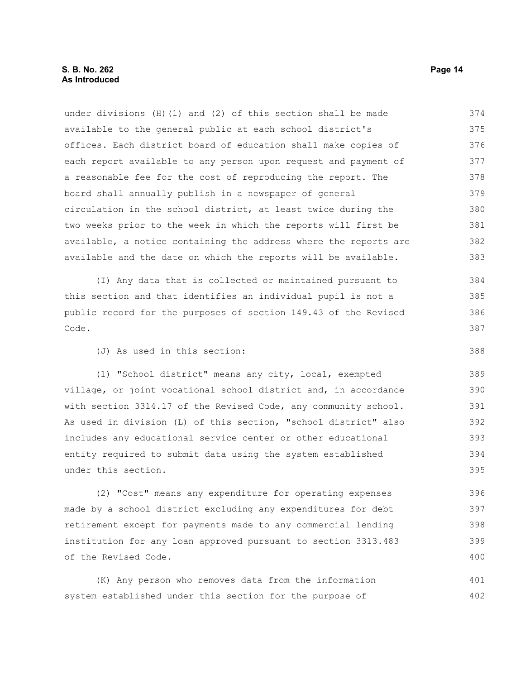under divisions (H)(1) and (2) of this section shall be made available to the general public at each school district's offices. Each district board of education shall make copies of each report available to any person upon request and payment of a reasonable fee for the cost of reproducing the report. The board shall annually publish in a newspaper of general circulation in the school district, at least twice during the two weeks prior to the week in which the reports will first be available, a notice containing the address where the reports are available and the date on which the reports will be available. 374 375 376 377 378 379 380 381 382 383

(I) Any data that is collected or maintained pursuant to this section and that identifies an individual pupil is not a public record for the purposes of section 149.43 of the Revised Code.

(J) As used in this section:

(1) "School district" means any city, local, exempted village, or joint vocational school district and, in accordance with section 3314.17 of the Revised Code, any community school. As used in division (L) of this section, "school district" also includes any educational service center or other educational entity required to submit data using the system established under this section.

(2) "Cost" means any expenditure for operating expenses made by a school district excluding any expenditures for debt retirement except for payments made to any commercial lending institution for any loan approved pursuant to section 3313.483 of the Revised Code. 396 397 398 399 400

(K) Any person who removes data from the information system established under this section for the purpose of 401 402

388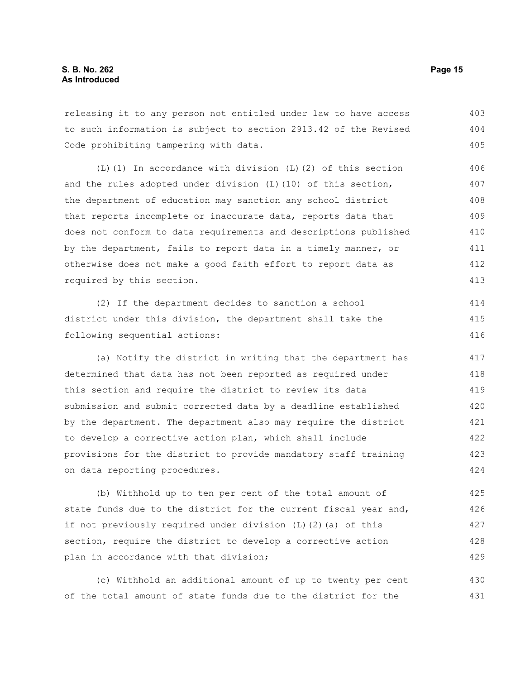releasing it to any person not entitled under law to have access to such information is subject to section 2913.42 of the Revised Code prohibiting tampering with data. 403 404 405

(L)(1) In accordance with division (L)(2) of this section and the rules adopted under division (L)(10) of this section, the department of education may sanction any school district that reports incomplete or inaccurate data, reports data that does not conform to data requirements and descriptions published by the department, fails to report data in a timely manner, or otherwise does not make a good faith effort to report data as required by this section. 406 407 408 409 410 411 412 413

(2) If the department decides to sanction a school district under this division, the department shall take the following sequential actions: 414 415 416

(a) Notify the district in writing that the department has determined that data has not been reported as required under this section and require the district to review its data submission and submit corrected data by a deadline established by the department. The department also may require the district to develop a corrective action plan, which shall include provisions for the district to provide mandatory staff training on data reporting procedures. 417 418 419 420 421 422 423 424

(b) Withhold up to ten per cent of the total amount of state funds due to the district for the current fiscal year and, if not previously required under division (L)(2)(a) of this section, require the district to develop a corrective action plan in accordance with that division; 425 426 427 428 429

(c) Withhold an additional amount of up to twenty per cent of the total amount of state funds due to the district for the 430 431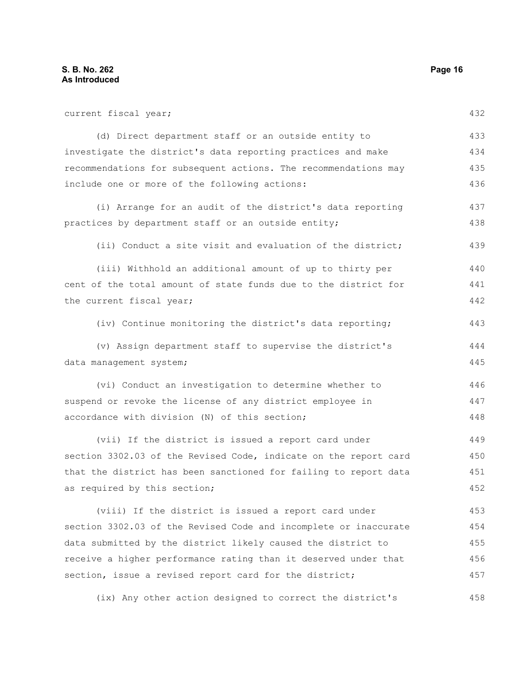current fiscal year; (d) Direct department staff or an outside entity to investigate the district's data reporting practices and make recommendations for subsequent actions. The recommendations may include one or more of the following actions: (i) Arrange for an audit of the district's data reporting practices by department staff or an outside entity; (ii) Conduct a site visit and evaluation of the district; (iii) Withhold an additional amount of up to thirty per cent of the total amount of state funds due to the district for the current fiscal year; (iv) Continue monitoring the district's data reporting; (v) Assign department staff to supervise the district's data management system; (vi) Conduct an investigation to determine whether to suspend or revoke the license of any district employee in accordance with division (N) of this section; (vii) If the district is issued a report card under section 3302.03 of the Revised Code, indicate on the report card that the district has been sanctioned for failing to report data as required by this section; (viii) If the district is issued a report card under section 3302.03 of the Revised Code and incomplete or inaccurate data submitted by the district likely caused the district to receive a higher performance rating than it deserved under that section, issue a revised report card for the district; (ix) Any other action designed to correct the district's 432 433 434 435 436 437 438 439 440 441 442 443 444 445 446 447 448 449 450 451 452 453 454 455 456 457 458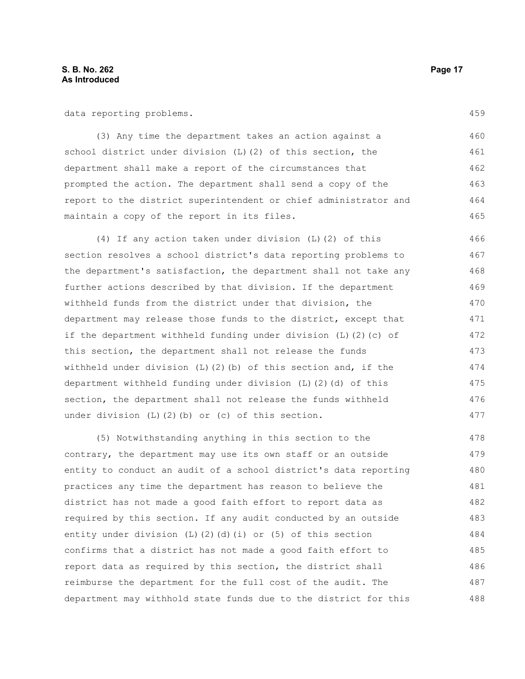data reporting problems.

(3) Any time the department takes an action against a school district under division (L)(2) of this section, the department shall make a report of the circumstances that prompted the action. The department shall send a copy of the report to the district superintendent or chief administrator and maintain a copy of the report in its files. 460 461 462 463 464 465

(4) If any action taken under division (L)(2) of this section resolves a school district's data reporting problems to the department's satisfaction, the department shall not take any further actions described by that division. If the department withheld funds from the district under that division, the department may release those funds to the district, except that if the department withheld funding under division  $(L)$   $(2)$   $(c)$  of this section, the department shall not release the funds withheld under division  $(L)$  (2)(b) of this section and, if the department withheld funding under division (L)(2)(d) of this section, the department shall not release the funds withheld under division (L)(2)(b) or (c) of this section. 466 467 468 469 470 471 472 473 474 475 476 477

(5) Notwithstanding anything in this section to the contrary, the department may use its own staff or an outside entity to conduct an audit of a school district's data reporting practices any time the department has reason to believe the district has not made a good faith effort to report data as required by this section. If any audit conducted by an outside entity under division  $(L)$   $(2)$   $(d)$   $(i)$  or  $(5)$  of this section confirms that a district has not made a good faith effort to report data as required by this section, the district shall reimburse the department for the full cost of the audit. The department may withhold state funds due to the district for this 478 479 480 481 482 483 484 485 486 487 488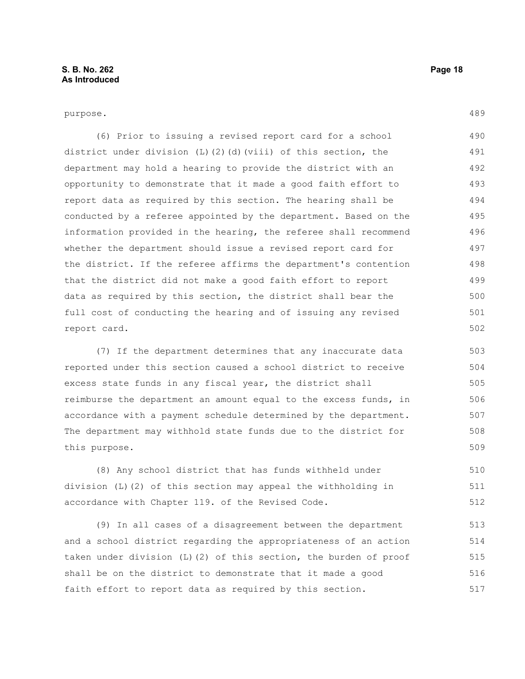purpose.

(6) Prior to issuing a revised report card for a school district under division  $(L)$  (2)(d)(viii) of this section, the department may hold a hearing to provide the district with an opportunity to demonstrate that it made a good faith effort to report data as required by this section. The hearing shall be conducted by a referee appointed by the department. Based on the information provided in the hearing, the referee shall recommend whether the department should issue a revised report card for the district. If the referee affirms the department's contention that the district did not make a good faith effort to report data as required by this section, the district shall bear the full cost of conducting the hearing and of issuing any revised report card. 490 491 492 493 494 495 496 497 498 499 500 501 502

(7) If the department determines that any inaccurate data reported under this section caused a school district to receive excess state funds in any fiscal year, the district shall reimburse the department an amount equal to the excess funds, in accordance with a payment schedule determined by the department. The department may withhold state funds due to the district for this purpose.

(8) Any school district that has funds withheld under division (L)(2) of this section may appeal the withholding in accordance with Chapter 119. of the Revised Code. 510 511 512

(9) In all cases of a disagreement between the department and a school district regarding the appropriateness of an action taken under division (L)(2) of this section, the burden of proof shall be on the district to demonstrate that it made a good faith effort to report data as required by this section. 513 514 515 516 517

489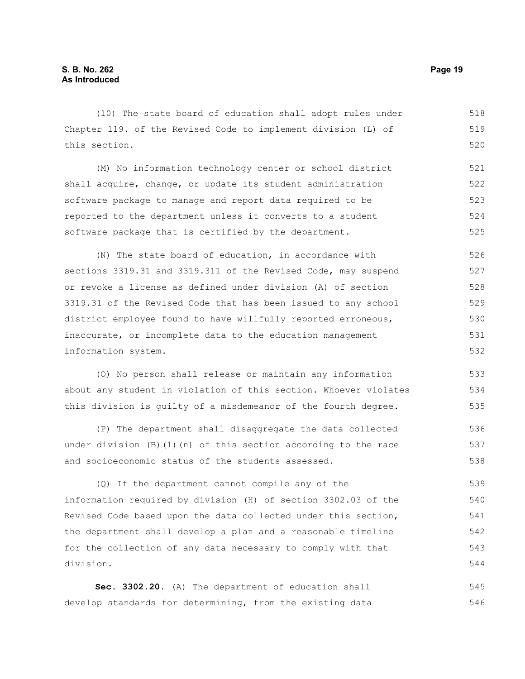(10) The state board of education shall adopt rules under Chapter 119. of the Revised Code to implement division (L) of this section. 518 519 520

(M) No information technology center or school district shall acquire, change, or update its student administration software package to manage and report data required to be reported to the department unless it converts to a student software package that is certified by the department. 521 522 523 524 525

(N) The state board of education, in accordance with sections 3319.31 and 3319.311 of the Revised Code, may suspend or revoke a license as defined under division (A) of section 3319.31 of the Revised Code that has been issued to any school district employee found to have willfully reported erroneous, inaccurate, or incomplete data to the education management information system. 526 527 528 529 530 531 532

(O) No person shall release or maintain any information about any student in violation of this section. Whoever violates this division is guilty of a misdemeanor of the fourth degree.

(P) The department shall disaggregate the data collected under division  $(B)$  (1)(n) of this section according to the race and socioeconomic status of the students assessed. 536 537 538

(Q) If the department cannot compile any of the information required by division (H) of section 3302.03 of the Revised Code based upon the data collected under this section, the department shall develop a plan and a reasonable timeline for the collection of any data necessary to comply with that division. 539 540 541 542 543 544

**Sec. 3302.20.** (A) The department of education shall develop standards for determining, from the existing data 545 546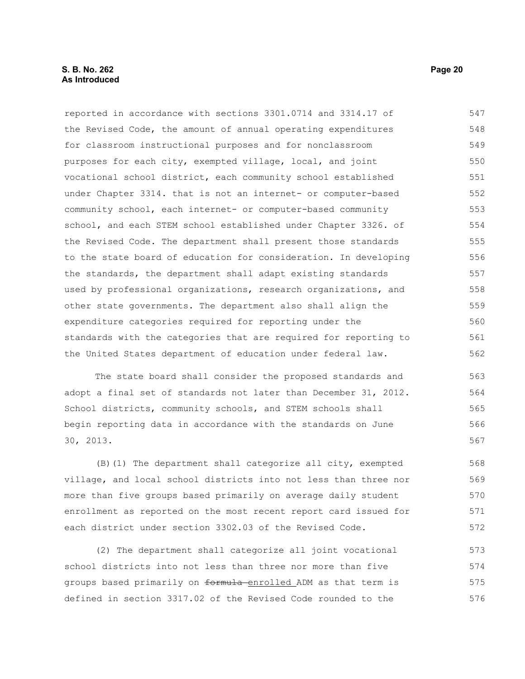#### **S. B. No. 262 Page 20 As Introduced**

reported in accordance with sections 3301.0714 and 3314.17 of the Revised Code, the amount of annual operating expenditures for classroom instructional purposes and for nonclassroom purposes for each city, exempted village, local, and joint vocational school district, each community school established under Chapter 3314. that is not an internet- or computer-based community school, each internet- or computer-based community school, and each STEM school established under Chapter 3326. of the Revised Code. The department shall present those standards to the state board of education for consideration. In developing the standards, the department shall adapt existing standards used by professional organizations, research organizations, and other state governments. The department also shall align the expenditure categories required for reporting under the standards with the categories that are required for reporting to the United States department of education under federal law. 547 548 549 550 551 552 553 554 555 556 557 558 559 560 561 562

The state board shall consider the proposed standards and adopt a final set of standards not later than December 31, 2012. School districts, community schools, and STEM schools shall begin reporting data in accordance with the standards on June 30, 2013. 563 564 565

(B)(1) The department shall categorize all city, exempted village, and local school districts into not less than three nor more than five groups based primarily on average daily student enrollment as reported on the most recent report card issued for each district under section 3302.03 of the Revised Code. 568 569 570 571 572

(2) The department shall categorize all joint vocational school districts into not less than three nor more than five groups based primarily on formula enrolled ADM as that term is defined in section 3317.02 of the Revised Code rounded to the 573 574 575 576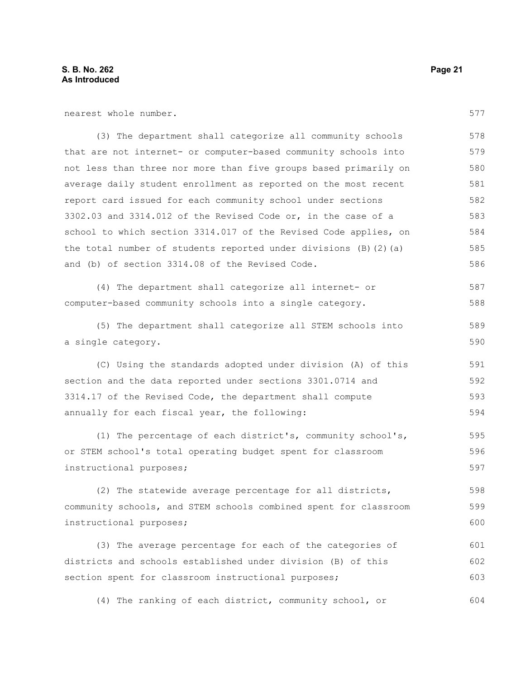nearest whole number.

(3) The department shall categorize all community schools that are not internet- or computer-based community schools into not less than three nor more than five groups based primarily on average daily student enrollment as reported on the most recent report card issued for each community school under sections 3302.03 and 3314.012 of the Revised Code or, in the case of a school to which section 3314.017 of the Revised Code applies, on the total number of students reported under divisions (B)(2)(a) and (b) of section 3314.08 of the Revised Code. 578 579 580 581 582 583 584 585 586

(4) The department shall categorize all internet- or computer-based community schools into a single category. 587 588

(5) The department shall categorize all STEM schools into a single category.

(C) Using the standards adopted under division (A) of this section and the data reported under sections 3301.0714 and 3314.17 of the Revised Code, the department shall compute annually for each fiscal year, the following: 591 592 593 594

(1) The percentage of each district's, community school's, or STEM school's total operating budget spent for classroom instructional purposes; 595 596 597

(2) The statewide average percentage for all districts, community schools, and STEM schools combined spent for classroom instructional purposes;

(3) The average percentage for each of the categories of districts and schools established under division (B) of this section spent for classroom instructional purposes; 601 602 603

(4) The ranking of each district, community school, or 604

577

589 590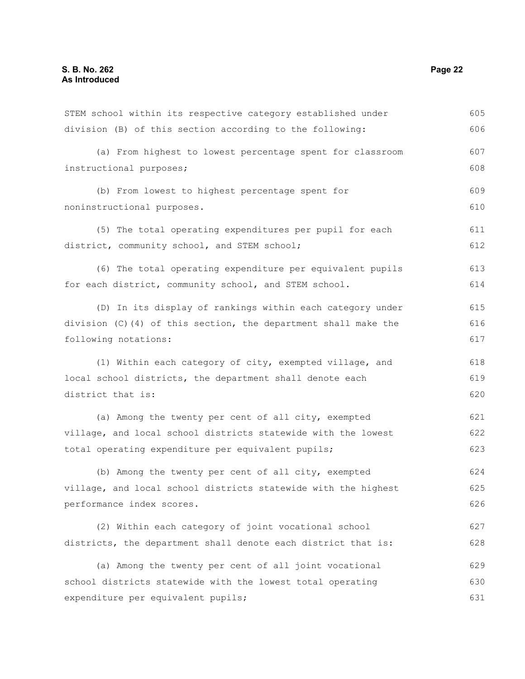| STEM school within its respective category established under   | 605 |
|----------------------------------------------------------------|-----|
| division (B) of this section according to the following:       | 606 |
| (a) From highest to lowest percentage spent for classroom      | 607 |
| instructional purposes;                                        | 608 |
| (b) From lowest to highest percentage spent for                | 609 |
| noninstructional purposes.                                     | 610 |
| (5) The total operating expenditures per pupil for each        | 611 |
| district, community school, and STEM school;                   | 612 |
| (6) The total operating expenditure per equivalent pupils      | 613 |
| for each district, community school, and STEM school.          | 614 |
| (D) In its display of rankings within each category under      | 615 |
| division (C)(4) of this section, the department shall make the | 616 |
| following notations:                                           | 617 |
| (1) Within each category of city, exempted village, and        | 618 |
| local school districts, the department shall denote each       | 619 |
| district that is:                                              | 620 |
| (a) Among the twenty per cent of all city, exempted            | 621 |
| village, and local school districts statewide with the lowest  | 622 |
| total operating expenditure per equivalent pupils;             | 623 |
| (b) Among the twenty per cent of all city, exempted            | 624 |
| village, and local school districts statewide with the highest | 625 |
| performance index scores.                                      | 626 |
| (2) Within each category of joint vocational school            | 627 |
| districts, the department shall denote each district that is:  | 628 |
| (a) Among the twenty per cent of all joint vocational          | 629 |
| school districts statewide with the lowest total operating     | 630 |
| expenditure per equivalent pupils;                             | 631 |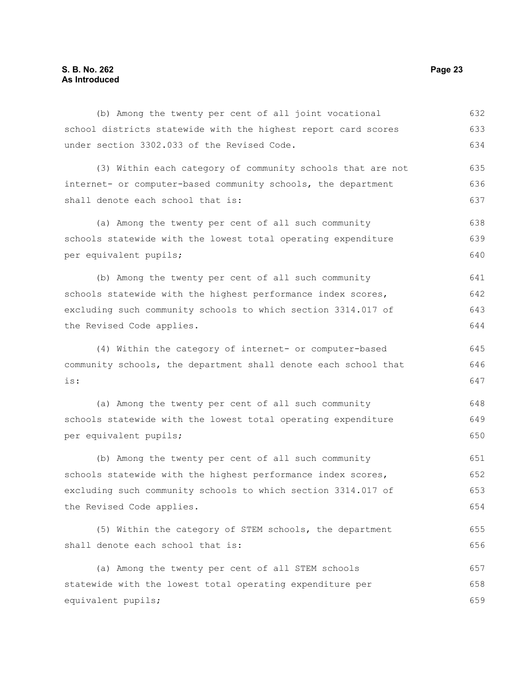#### **S. B. No. 262 Page 23 As Introduced**

| (4) Within the category of internet- or computer-based          | 645 |
|-----------------------------------------------------------------|-----|
| community schools, the department shall denote each school that | 646 |
| is:                                                             | 647 |
| (a) Among the twenty per cent of all such community             | 648 |
| schools statewide with the lowest total operating expenditure   | 649 |
| per equivalent pupils;                                          |     |
| (b) Among the twenty per cent of all such community             | 651 |
| schools statewide with the highest performance index scores,    |     |
| excluding such community schools to which section 3314.017 of   |     |
| the Revised Code applies.                                       |     |
| (5) Within the category of STEM schools, the department         | 655 |
| shall denote each school that is:                               | 656 |
| (a) Among the twenty per cent of all STEM schools               | 657 |
| statewide with the lowest total operating expenditure per       |     |
| equivalent pupils;                                              | 659 |
|                                                                 |     |

(b) Among the twenty per cent of all joint vocational school districts statewide with the highest report card scores

internet- or computer-based community schools, the department

(a) Among the twenty per cent of all such community schools statewide with the lowest total operating expenditure

(b) Among the twenty per cent of all such community

schools statewide with the highest performance index scores, excluding such community schools to which section 3314.017 of

(3) Within each category of community schools that are not

under section 3302.033 of the Revised Code.

shall denote each school that is:

per equivalent pupils;

the Revised Code applies.

632 633 634

635 636 637

638 639 640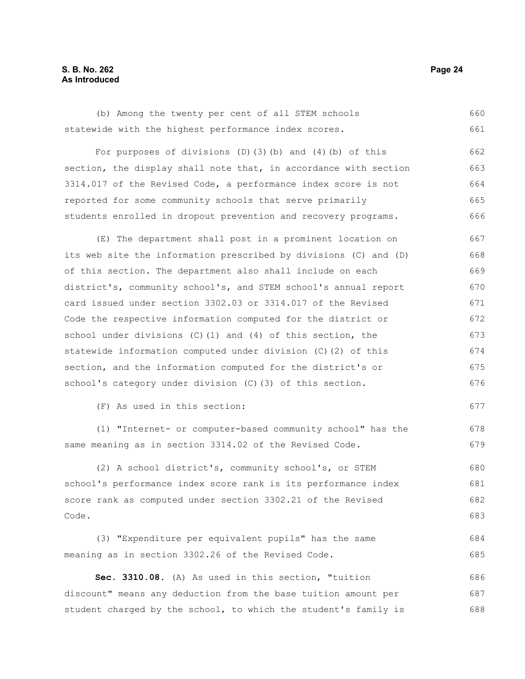#### **S. B. No. 262 Page 24 As Introduced**

(b) Among the twenty per cent of all STEM schools statewide with the highest performance index scores. 660 661

For purposes of divisions (D)(3)(b) and (4)(b) of this section, the display shall note that, in accordance with section 3314.017 of the Revised Code, a performance index score is not reported for some community schools that serve primarily students enrolled in dropout prevention and recovery programs. 662 663 664 665 666

(E) The department shall post in a prominent location on its web site the information prescribed by divisions (C) and (D) of this section. The department also shall include on each district's, community school's, and STEM school's annual report card issued under section 3302.03 or 3314.017 of the Revised Code the respective information computed for the district or school under divisions (C)(1) and (4) of this section, the statewide information computed under division (C)(2) of this section, and the information computed for the district's or school's category under division (C)(3) of this section. 667 668 669 670 671 672 673 674 675 676

(F) As used in this section:

(1) "Internet- or computer-based community school" has the same meaning as in section 3314.02 of the Revised Code.

(2) A school district's, community school's, or STEM school's performance index score rank is its performance index score rank as computed under section 3302.21 of the Revised Code. 680 681 682 683

(3) "Expenditure per equivalent pupils" has the same meaning as in section 3302.26 of the Revised Code. 684 685

**Sec. 3310.08.** (A) As used in this section, "tuition discount" means any deduction from the base tuition amount per student charged by the school, to which the student's family is 686 687 688

677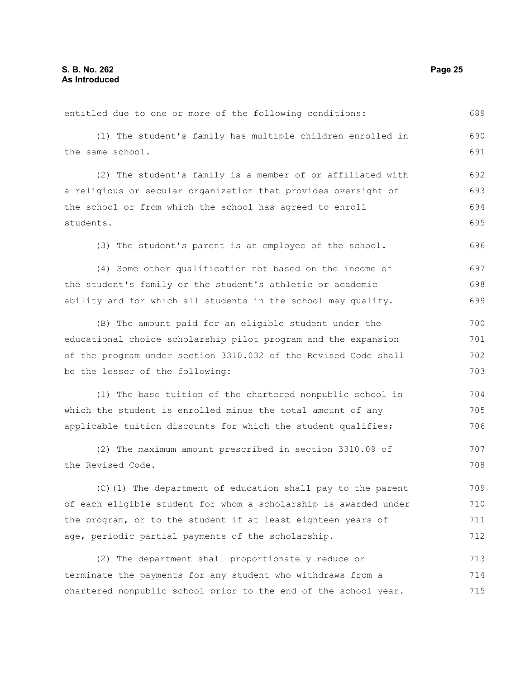entitled due to one or more of the following conditions: (1) The student's family has multiple children enrolled in the same school. (2) The student's family is a member of or affiliated with a religious or secular organization that provides oversight of the school or from which the school has agreed to enroll students. (3) The student's parent is an employee of the school. (4) Some other qualification not based on the income of the student's family or the student's athletic or academic ability and for which all students in the school may qualify. (B) The amount paid for an eligible student under the educational choice scholarship pilot program and the expansion of the program under section 3310.032 of the Revised Code shall be the lesser of the following: (1) The base tuition of the chartered nonpublic school in which the student is enrolled minus the total amount of any applicable tuition discounts for which the student qualifies; (2) The maximum amount prescribed in section 3310.09 of the Revised Code. (C)(1) The department of education shall pay to the parent of each eligible student for whom a scholarship is awarded under 689 690 691 692 693 694 695 696 697 698 699 700 701 702 703 704 705 706 707 708 709 710

(2) The department shall proportionately reduce or terminate the payments for any student who withdraws from a chartered nonpublic school prior to the end of the school year. 713 714 715

the program, or to the student if at least eighteen years of

age, periodic partial payments of the scholarship.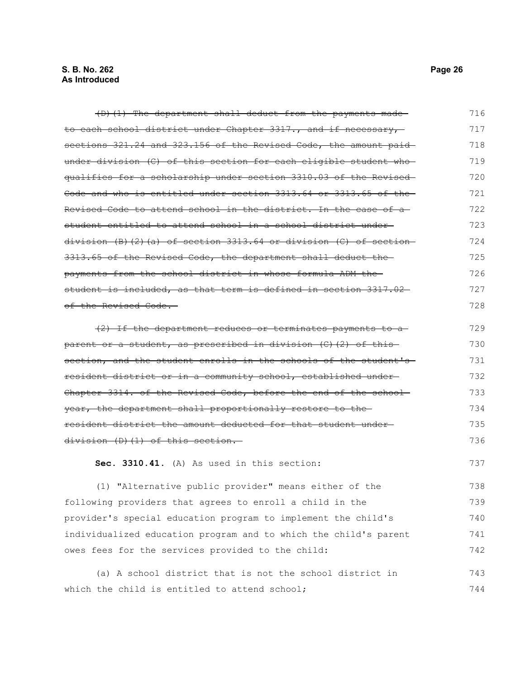| $(D)$ (1) The department shall deduct from the payments made-              | 716 |
|----------------------------------------------------------------------------|-----|
| to each school district under Chapter 3317., and if necessary,             | 717 |
| sections 321.24 and 323.156 of the Revised Code, the amount paid           | 718 |
| under division (C) of this section for each eligible student who           | 719 |
| qualifies for a scholarship under section 3310.03 of the Revised           | 720 |
| Code and who is entitled under section 3313.64 or 3313.65 of the           | 721 |
| Revised Code to attend school in the district. In the case of a            | 722 |
| student entitled to attend school in a school district under-              | 723 |
| division $(B)$ $(2)$ $(a)$ of section 3313.64 or division $(C)$ of section | 724 |
| 3313.65 of the Revised Code, the department shall deduct the               | 725 |
| payments from the school district in whose formula ADM the-                | 726 |
| student is included, as that term is defined in section 3317.02-           | 727 |
| of the Revised Code.                                                       | 728 |
| (2) If the department reduces or terminates payments to a                  | 729 |
| parent or a student, as prescribed in division (C) (2) of this             | 730 |
| section, and the student enrolls in the schools of the student's           | 731 |
| resident district or in a community school, established under-             | 732 |
| Chapter 3314. of the Revised Code, before the end of the school-           | 733 |
| year, the department shall proportionally restore to the                   | 734 |
| resident district the amount deducted for that student under-              | 735 |
| division (D) (1) of this section.                                          | 736 |
| Sec. 3310.41. (A) As used in this section:                                 | 737 |
| (1) "Alternative public provider" means either of the                      | 738 |
| following providers that agrees to enroll a child in the                   | 739 |
| provider's special education program to implement the child's              | 740 |
| individualized education program and to which the child's parent           |     |
| owes fees for the services provided to the child:                          | 742 |
| (a) A school district that is not the school district in                   | 743 |
| which the child is entitled to attend school;                              | 744 |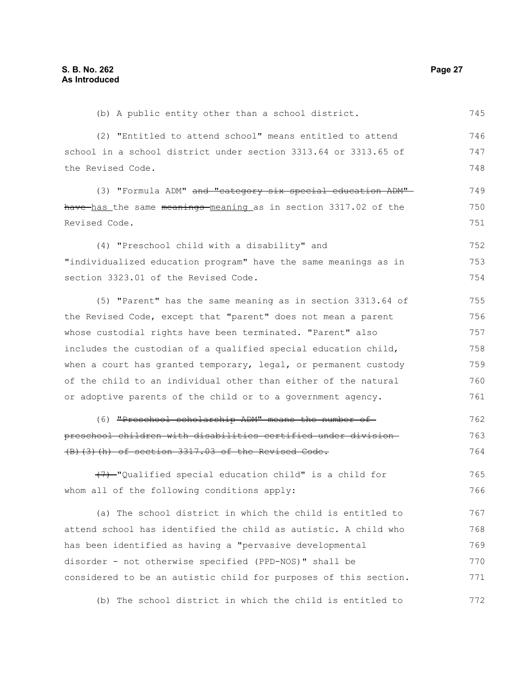(b) A public entity other than a school district. 745

(2) "Entitled to attend school" means entitled to attend school in a school district under section 3313.64 or 3313.65 of the Revised Code. 746 747 748

(3) "Formula ADM" and "category six special education ADM"have has the same meanings meaning as in section 3317.02 of the Revised Code. 749 750 751

(4) "Preschool child with a disability" and "individualized education program" have the same meanings as in section 3323.01 of the Revised Code. 752 753 754

(5) "Parent" has the same meaning as in section 3313.64 of the Revised Code, except that "parent" does not mean a parent whose custodial rights have been terminated. "Parent" also includes the custodian of a qualified special education child, when a court has granted temporary, legal, or permanent custody of the child to an individual other than either of the natural or adoptive parents of the child or to a government agency. 755 756 757 758 759 760 761

(6) "Preschool scholarship ADM" means the number of preschool children with disabilities certified under division (B)(3)(h) of section 3317.03 of the Revised Code. 762 763 764

(7) "Qualified special education child" is a child for whom all of the following conditions apply: 765 766

(a) The school district in which the child is entitled to attend school has identified the child as autistic. A child who has been identified as having a "pervasive developmental disorder - not otherwise specified (PPD-NOS)" shall be considered to be an autistic child for purposes of this section. 767 768 769 770 771

(b) The school district in which the child is entitled to 772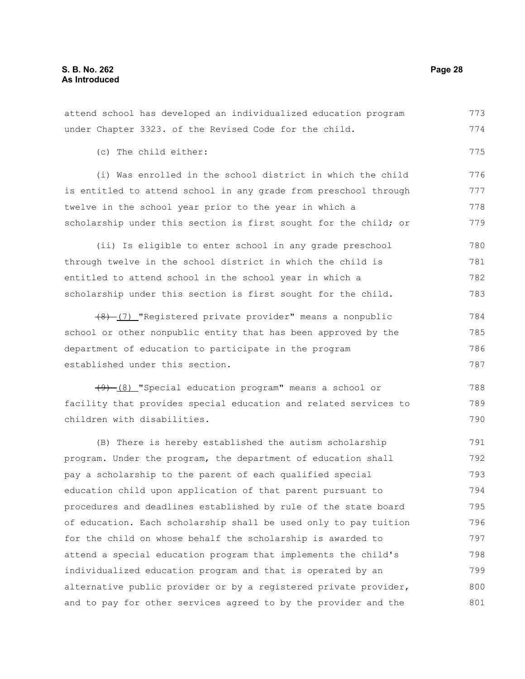(c) The child either:

attend school has developed an individualized education program under Chapter 3323. of the Revised Code for the child. (i) Was enrolled in the school district in which the child is entitled to attend school in any grade from preschool through twelve in the school year prior to the year in which a scholarship under this section is first sought for the child; or 773 774 775 776 777 778 779 780

(ii) Is eligible to enter school in any grade preschool through twelve in the school district in which the child is entitled to attend school in the school year in which a scholarship under this section is first sought for the child. 781 782 783

(8) (7) "Registered private provider" means a nonpublic school or other nonpublic entity that has been approved by the department of education to participate in the program established under this section. 784 785 786 787

(9) (8) "Special education program" means a school or facility that provides special education and related services to children with disabilities. 788 789 790

(B) There is hereby established the autism scholarship program. Under the program, the department of education shall pay a scholarship to the parent of each qualified special education child upon application of that parent pursuant to procedures and deadlines established by rule of the state board of education. Each scholarship shall be used only to pay tuition for the child on whose behalf the scholarship is awarded to attend a special education program that implements the child's individualized education program and that is operated by an alternative public provider or by a registered private provider, and to pay for other services agreed to by the provider and the 791 792 793 794 795 796 797 798 799 800 801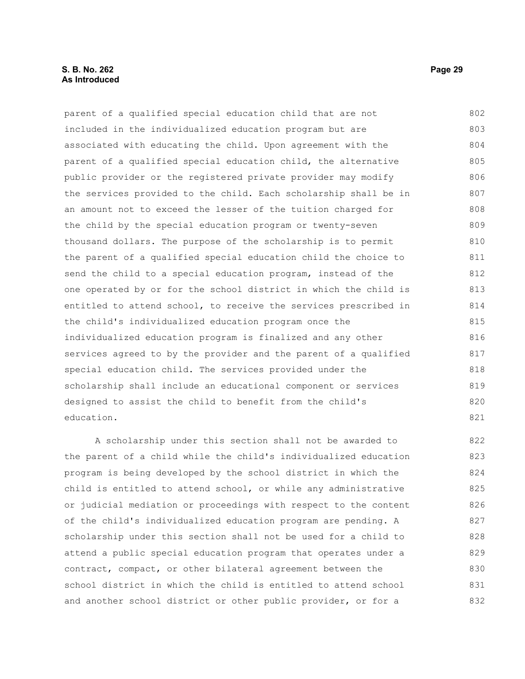#### **S. B. No. 262 Page 29 As Introduced**

parent of a qualified special education child that are not included in the individualized education program but are associated with educating the child. Upon agreement with the parent of a qualified special education child, the alternative public provider or the registered private provider may modify the services provided to the child. Each scholarship shall be in an amount not to exceed the lesser of the tuition charged for the child by the special education program or twenty-seven thousand dollars. The purpose of the scholarship is to permit the parent of a qualified special education child the choice to send the child to a special education program, instead of the one operated by or for the school district in which the child is entitled to attend school, to receive the services prescribed in the child's individualized education program once the individualized education program is finalized and any other services agreed to by the provider and the parent of a qualified special education child. The services provided under the scholarship shall include an educational component or services designed to assist the child to benefit from the child's education. 802 803 804 805 806 807 808 809 810 811 812 813 814 815 816 817 818 819 820 821

A scholarship under this section shall not be awarded to the parent of a child while the child's individualized education program is being developed by the school district in which the child is entitled to attend school, or while any administrative or judicial mediation or proceedings with respect to the content of the child's individualized education program are pending. A scholarship under this section shall not be used for a child to attend a public special education program that operates under a contract, compact, or other bilateral agreement between the school district in which the child is entitled to attend school and another school district or other public provider, or for a 822 823 824 825 826 827 828 829 830 831 832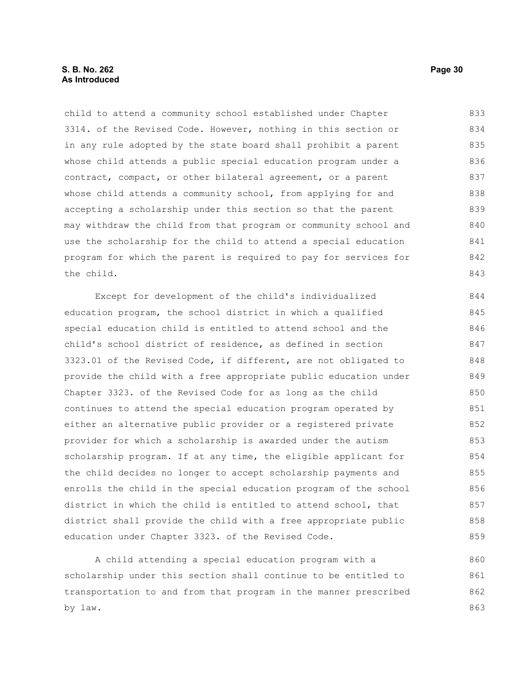#### **S. B. No. 262 Page 30 As Introduced**

child to attend a community school established under Chapter 3314. of the Revised Code. However, nothing in this section or in any rule adopted by the state board shall prohibit a parent whose child attends a public special education program under a contract, compact, or other bilateral agreement, or a parent whose child attends a community school, from applying for and accepting a scholarship under this section so that the parent may withdraw the child from that program or community school and use the scholarship for the child to attend a special education program for which the parent is required to pay for services for the child. 833 834 835 836 837 838 839 840 841 842 843

Except for development of the child's individualized education program, the school district in which a qualified special education child is entitled to attend school and the child's school district of residence, as defined in section 3323.01 of the Revised Code, if different, are not obligated to provide the child with a free appropriate public education under Chapter 3323. of the Revised Code for as long as the child continues to attend the special education program operated by either an alternative public provider or a registered private provider for which a scholarship is awarded under the autism scholarship program. If at any time, the eligible applicant for the child decides no longer to accept scholarship payments and enrolls the child in the special education program of the school district in which the child is entitled to attend school, that district shall provide the child with a free appropriate public education under Chapter 3323. of the Revised Code. 844 845 846 847 848 849 850 851 852 853 854 855 856 857 858 859

A child attending a special education program with a scholarship under this section shall continue to be entitled to transportation to and from that program in the manner prescribed by law. 860 861 862 863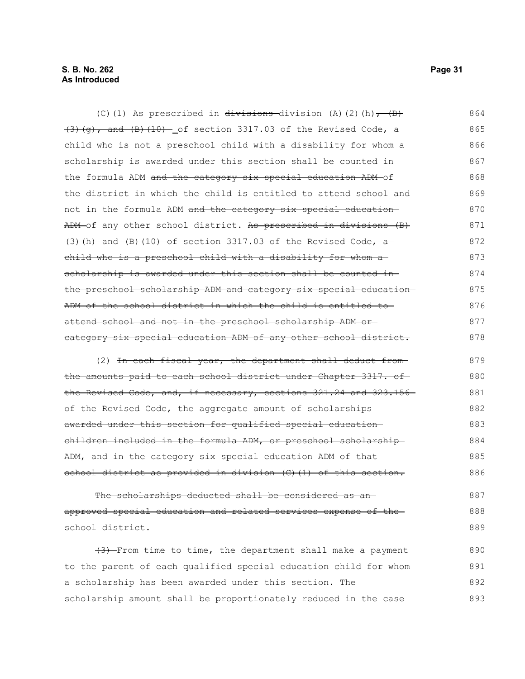#### **S. B. No. 262 Page 31 As Introduced**

(C)(1) As prescribed in  $\overline{divisions}$  division (A)(2)(h),  $\overline{B}$ )  $(3)$   $(g)$ , and  $(B)$   $(10)$  of section 3317.03 of the Revised Code, a child who is not a preschool child with a disability for whom a scholarship is awarded under this section shall be counted in the formula ADM and the category six special education ADM of the district in which the child is entitled to attend school and not in the formula ADM and the category six special education ADM of any other school district. As prescribed in divisions (B)  $(3)$  (h) and (B)(10) of section 3317.03 of the Revised Code, a child who is a preschool child with a disability for whom a scholarship is awarded under this section shall be counted in the preschool scholarship ADM and category six special education ADM of the school district in which the child is entitled to attend school and not in the preschool scholarship ADM or category six special education ADM of any other school district. 864 865 866 867 868 869 870 871 872 873 874 875 876 877 878

(2) In each fiscal year, the department shall deduct fromthe amounts paid to each school district under Chapter 3317. of the Revised Code, and, if necessary, sections 321.24 and 323.156 of the Revised Code, the aggregate amount of scholarships awarded under this section for qualified special education children included in the formula ADM, or preschool scholarship ADM, and in the category six special education ADM of that school district as provided in division (C)(1) of this section. 879 880 881 882 883 884 885 886

The scholarships deducted shall be considered as anapproved special education and related services expense of the school district. 887 888 889

 $(3)$  From time to time, the department shall make a payment to the parent of each qualified special education child for whom a scholarship has been awarded under this section. The scholarship amount shall be proportionately reduced in the case 890 891 892 893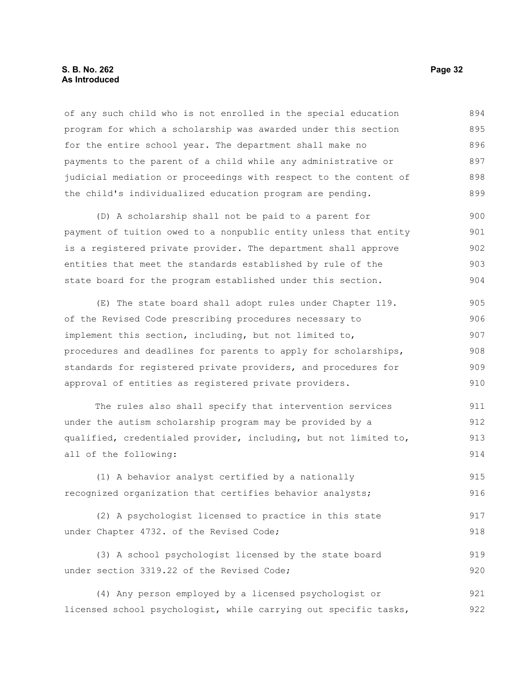#### **S. B. No. 262 Page 32 As Introduced**

of any such child who is not enrolled in the special education program for which a scholarship was awarded under this section for the entire school year. The department shall make no payments to the parent of a child while any administrative or judicial mediation or proceedings with respect to the content of the child's individualized education program are pending. 894 895 896 897 898 899

(D) A scholarship shall not be paid to a parent for payment of tuition owed to a nonpublic entity unless that entity is a registered private provider. The department shall approve entities that meet the standards established by rule of the state board for the program established under this section. 900 901 902 903 904

(E) The state board shall adopt rules under Chapter 119. of the Revised Code prescribing procedures necessary to implement this section, including, but not limited to, procedures and deadlines for parents to apply for scholarships, standards for registered private providers, and procedures for approval of entities as registered private providers. 905 906 907 908 909 910

The rules also shall specify that intervention services under the autism scholarship program may be provided by a qualified, credentialed provider, including, but not limited to, all of the following: 911 912 913 914

(1) A behavior analyst certified by a nationally recognized organization that certifies behavior analysts; 915 916

```
(2) A psychologist licensed to practice in this state
under Chapter 4732. of the Revised Code;
                                                                            917
                                                                            918
```
(3) A school psychologist licensed by the state board under section 3319.22 of the Revised Code; 919 920

(4) Any person employed by a licensed psychologist or licensed school psychologist, while carrying out specific tasks, 921 922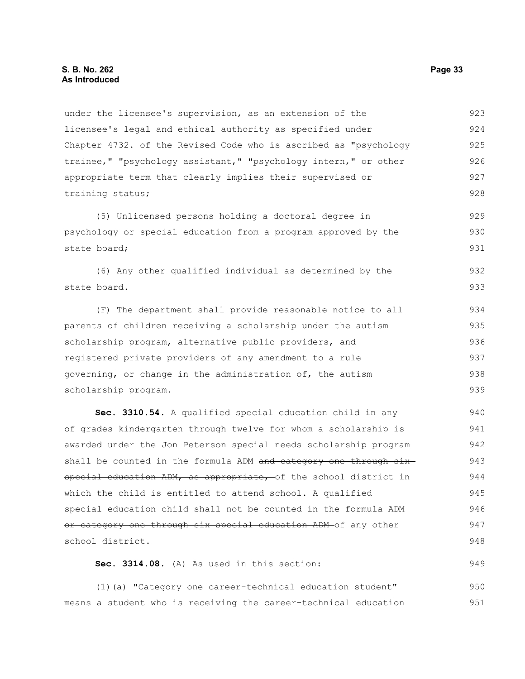#### **S. B. No. 262 Page 33 As Introduced**

under the licensee's supervision, as an extension of the licensee's legal and ethical authority as specified under Chapter 4732. of the Revised Code who is ascribed as "psychology trainee," "psychology assistant," "psychology intern," or other appropriate term that clearly implies their supervised or training status; 923 924 925 926 927 928

(5) Unlicensed persons holding a doctoral degree in psychology or special education from a program approved by the state board; 929 930 931

(6) Any other qualified individual as determined by the state board. 932 933

(F) The department shall provide reasonable notice to all parents of children receiving a scholarship under the autism scholarship program, alternative public providers, and registered private providers of any amendment to a rule governing, or change in the administration of, the autism scholarship program. 934 935 936 937 938 939

**Sec. 3310.54.** A qualified special education child in any of grades kindergarten through twelve for whom a scholarship is awarded under the Jon Peterson special needs scholarship program shall be counted in the formula ADM and category one through sixspecial education ADM, as appropriate, of the school district in which the child is entitled to attend school. A qualified special education child shall not be counted in the formula ADM or category one through six special education ADM of any other school district. 940 941 942 943 944 945 946 947 948

**Sec. 3314.08.** (A) As used in this section: 949

(1)(a) "Category one career-technical education student" means a student who is receiving the career-technical education 950 951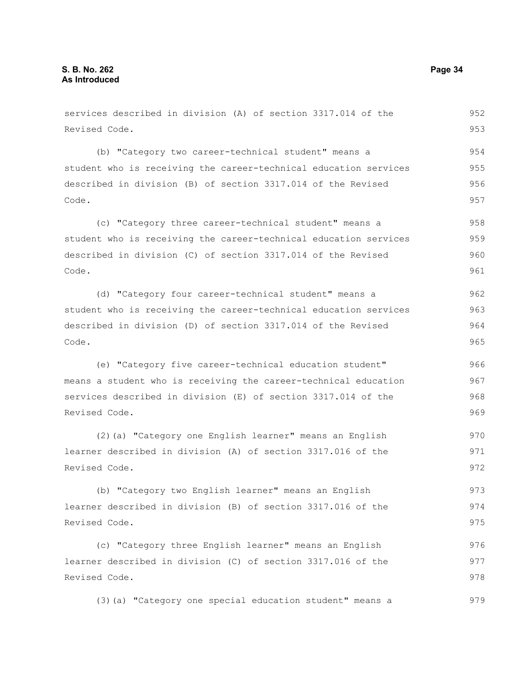services described in division (A) of section 3317.014 of the Revised Code. (b) "Category two career-technical student" means a student who is receiving the career-technical education services described in division (B) of section 3317.014 of the Revised Code. (c) "Category three career-technical student" means a student who is receiving the career-technical education services described in division (C) of section 3317.014 of the Revised Code. (d) "Category four career-technical student" means a student who is receiving the career-technical education services described in division (D) of section 3317.014 of the Revised Code. (e) "Category five career-technical education student" means a student who is receiving the career-technical education services described in division (E) of section 3317.014 of the Revised Code. (2)(a) "Category one English learner" means an English learner described in division (A) of section 3317.016 of the Revised Code. (b) "Category two English learner" means an English learner described in division (B) of section 3317.016 of the Revised Code. (c) "Category three English learner" means an English learner described in division (C) of section 3317.016 of the Revised Code. 952 953 954 955 956 957 958 959 960 961 962 963 964 965 966 967 968 969 970 971 972 973 974 975 976 977 978

(3)(a) "Category one special education student" means a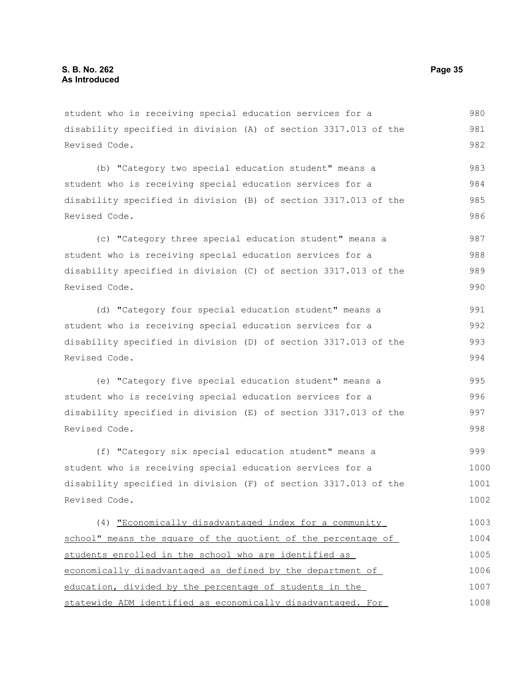student who is receiving special education services for a disability specified in division (A) of section 3317.013 of the Revised Code.

(b) "Category two special education student" means a student who is receiving special education services for a disability specified in division (B) of section 3317.013 of the Revised Code. 983 984 985 986

(c) "Category three special education student" means a student who is receiving special education services for a disability specified in division (C) of section 3317.013 of the Revised Code. 987 988 989 990

(d) "Category four special education student" means a student who is receiving special education services for a disability specified in division (D) of section 3317.013 of the Revised Code.

(e) "Category five special education student" means a student who is receiving special education services for a disability specified in division (E) of section 3317.013 of the Revised Code.

(f) "Category six special education student" means a student who is receiving special education services for a disability specified in division (F) of section 3317.013 of the Revised Code. 999 1000 1001 1002

(4) "Economically disadvantaged index for a community school" means the square of the quotient of the percentage of students enrolled in the school who are identified as economically disadvantaged as defined by the department of education, divided by the percentage of students in the statewide ADM identified as economically disadvantaged. For 1003 1004 1005 1006 1007 1008

980 981 982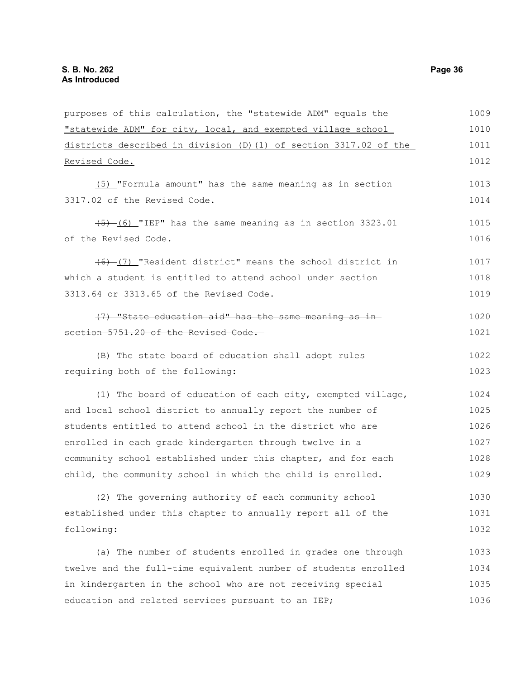| purposes of this calculation, the "statewide ADM" equals the      | 1009 |
|-------------------------------------------------------------------|------|
| "statewide ADM" for city, local, and exempted village school      | 1010 |
| districts described in division (D) (1) of section 3317.02 of the |      |
| Revised Code.                                                     | 1012 |
| (5) "Formula amount" has the same meaning as in section           | 1013 |
| 3317.02 of the Revised Code.                                      | 1014 |
| $(5)$ (6) "IEP" has the same meaning as in section 3323.01        | 1015 |
| of the Revised Code.                                              | 1016 |
| $(6)$ (7) "Resident district" means the school district in        | 1017 |
| which a student is entitled to attend school under section        | 1018 |
| 3313.64 or 3313.65 of the Revised Code.                           | 1019 |
| (7) "State education aid" has the same meaning as in-             | 1020 |
| section 5751.20 of the Revised Code.                              | 1021 |
| (B) The state board of education shall adopt rules                | 1022 |
| requiring both of the following:                                  | 1023 |
| (1) The board of education of each city, exempted village,        | 1024 |
| and local school district to annually report the number of        | 1025 |
| students entitled to attend school in the district who are        | 1026 |
| enrolled in each grade kindergarten through twelve in a           | 1027 |
| community school established under this chapter, and for each     | 1028 |
| child, the community school in which the child is enrolled.       | 1029 |
| (2) The governing authority of each community school              | 1030 |
| established under this chapter to annually report all of the      | 1031 |
| following:                                                        | 1032 |
| (a) The number of students enrolled in grades one through         | 1033 |
| twelve and the full-time equivalent number of students enrolled   | 1034 |
| in kindergarten in the school who are not receiving special       | 1035 |
| education and related services pursuant to an IEP;                | 1036 |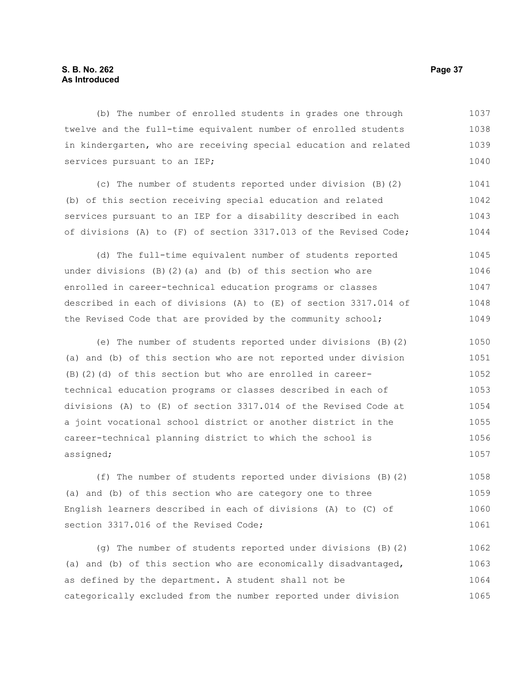# **S. B. No. 262 Page 37 As Introduced**

(b) The number of enrolled students in grades one through twelve and the full-time equivalent number of enrolled students in kindergarten, who are receiving special education and related services pursuant to an IEP; 1037 1038 1039 1040

(c) The number of students reported under division (B)(2) (b) of this section receiving special education and related services pursuant to an IEP for a disability described in each of divisions (A) to (F) of section 3317.013 of the Revised Code; 1041 1042 1043 1044

(d) The full-time equivalent number of students reported under divisions  $(B)(2)(a)$  and  $(b)$  of this section who are enrolled in career-technical education programs or classes described in each of divisions (A) to (E) of section 3317.014 of the Revised Code that are provided by the community school; 1045 1046 1047 1048 1049

(e) The number of students reported under divisions (B)(2) (a) and (b) of this section who are not reported under division (B)(2)(d) of this section but who are enrolled in careertechnical education programs or classes described in each of divisions (A) to (E) of section 3317.014 of the Revised Code at a joint vocational school district or another district in the career-technical planning district to which the school is assigned; 1050 1051 1052 1053 1054 1055 1056 1057

(f) The number of students reported under divisions (B)(2) (a) and (b) of this section who are category one to three English learners described in each of divisions (A) to (C) of section 3317.016 of the Revised Code; 1058 1059 1060 1061

(g) The number of students reported under divisions (B)(2) (a) and (b) of this section who are economically disadvantaged, as defined by the department. A student shall not be categorically excluded from the number reported under division 1062 1063 1064 1065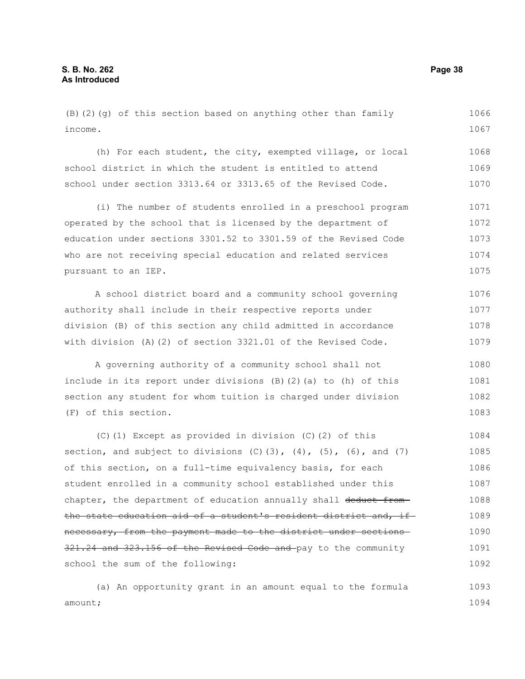(B)(2)(g) of this section based on anything other than family income. 1066 1067

(h) For each student, the city, exempted village, or local school district in which the student is entitled to attend school under section 3313.64 or 3313.65 of the Revised Code. 1068 1069 1070

(i) The number of students enrolled in a preschool program operated by the school that is licensed by the department of education under sections 3301.52 to 3301.59 of the Revised Code who are not receiving special education and related services pursuant to an IEP. 1071 1072 1073 1074 1075

A school district board and a community school governing authority shall include in their respective reports under division (B) of this section any child admitted in accordance with division (A)(2) of section 3321.01 of the Revised Code. 1076 1077 1078 1079

A governing authority of a community school shall not include in its report under divisions (B)(2)(a) to (h) of this section any student for whom tuition is charged under division (F) of this section. 1080 1081 1082 1083

(C)(1) Except as provided in division (C)(2) of this section, and subject to divisions  $(C)(3)$ ,  $(4)$ ,  $(5)$ ,  $(6)$ , and  $(7)$ of this section, on a full-time equivalency basis, for each student enrolled in a community school established under this chapter, the department of education annually shall deduct fromthe state education aid of a student's resident district and, if necessary, from the payment made to the district under sections 321.24 and 323.156 of the Revised Code and pay to the community school the sum of the following: 1084 1085 1086 1087 1088 1089 1090 1091 1092

(a) An opportunity grant in an amount equal to the formula amount; 1093 1094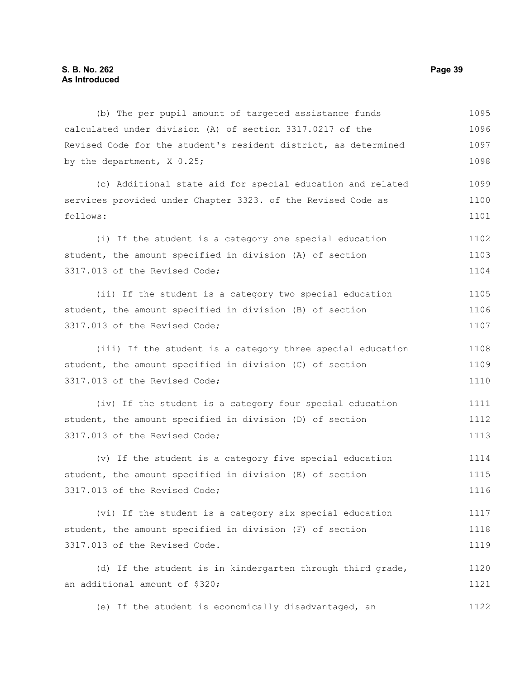(b) The per pupil amount of targeted assistance funds calculated under division (A) of section 3317.0217 of the Revised Code for the student's resident district, as determined by the department, X 0.25; (c) Additional state aid for special education and related services provided under Chapter 3323. of the Revised Code as follows: (i) If the student is a category one special education student, the amount specified in division (A) of section 3317.013 of the Revised Code; (ii) If the student is a category two special education student, the amount specified in division (B) of section 3317.013 of the Revised Code; (iii) If the student is a category three special education student, the amount specified in division (C) of section 3317.013 of the Revised Code; (iv) If the student is a category four special education student, the amount specified in division (D) of section 3317.013 of the Revised Code; (v) If the student is a category five special education student, the amount specified in division (E) of section 3317.013 of the Revised Code; (vi) If the student is a category six special education student, the amount specified in division (F) of section 3317.013 of the Revised Code. (d) If the student is in kindergarten through third grade, an additional amount of \$320; (e) If the student is economically disadvantaged, an 1095 1096 1097 1098 1099 1100 1101 1102 1103 1104 1105 1106 1107 1108 1109 1110 1111 1112 1113 1114 1115 1116 1117 1118 1119 1120 1121 1122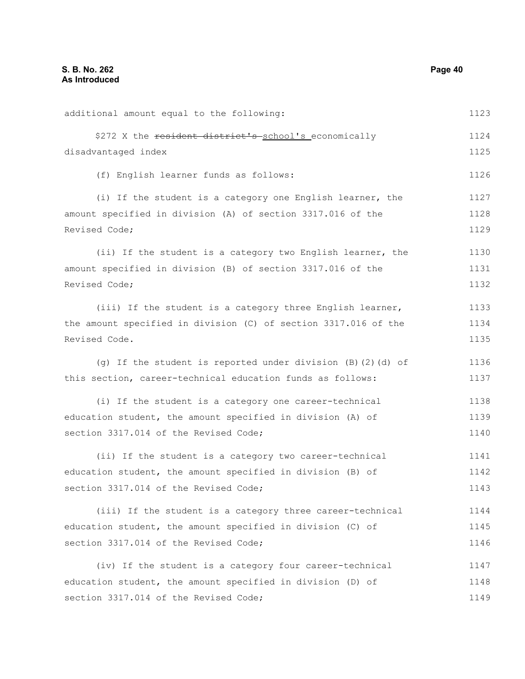additional amount equal to the following: \$272 X the resident district's school's economically disadvantaged index (f) English learner funds as follows: (i) If the student is a category one English learner, the amount specified in division (A) of section 3317.016 of the Revised Code; (ii) If the student is a category two English learner, the amount specified in division (B) of section 3317.016 of the Revised Code; (iii) If the student is a category three English learner, the amount specified in division (C) of section 3317.016 of the Revised Code. (g) If the student is reported under division (B)(2)(d) of this section, career-technical education funds as follows: (i) If the student is a category one career-technical education student, the amount specified in division (A) of section 3317.014 of the Revised Code; (ii) If the student is a category two career-technical education student, the amount specified in division (B) of section 3317.014 of the Revised Code; (iii) If the student is a category three career-technical education student, the amount specified in division (C) of section 3317.014 of the Revised Code; (iv) If the student is a category four career-technical education student, the amount specified in division (D) of section 3317.014 of the Revised Code; 1123 1124 1125 1126 1127 1128 1129 1130 1131 1132 1133 1134 1135 1136 1137 1138 1139 1140 1141 1142 1143 1144 1145 1146 1147 1148 1149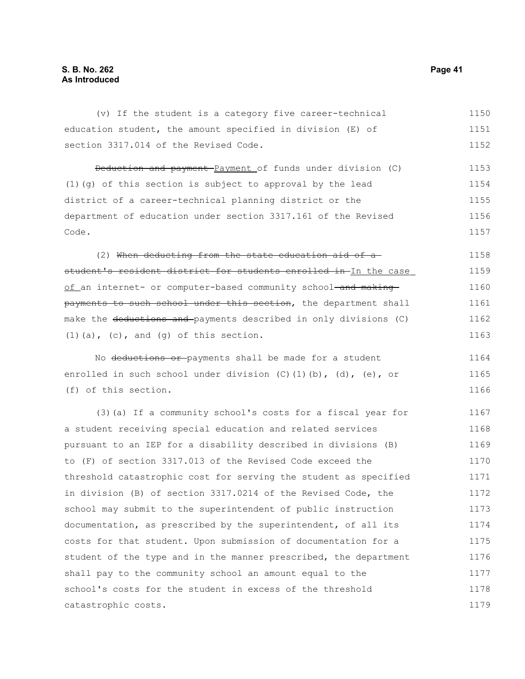| (v) If the student is a category five career-technical                        | 1150 |
|-------------------------------------------------------------------------------|------|
| education student, the amount specified in division (E) of                    | 1151 |
| section 3317.014 of the Revised Code.                                         | 1152 |
| Deduction and payment Payment of funds under division (C)                     | 1153 |
| (1) (g) of this section is subject to approval by the lead                    | 1154 |
| district of a career-technical planning district or the                       | 1155 |
| department of education under section 3317.161 of the Revised                 | 1156 |
| Code.                                                                         | 1157 |
| (2) When deducting from the state education aid of a-                         | 1158 |
| student's resident district for students enrolled in In the case              | 1159 |
| of an internet- or computer-based community school-and making-                | 1160 |
| payments to such school under this section, the department shall              | 1161 |
| make the <del>deductions and </del> payments described in only divisions (C)  | 1162 |
| $(1)$ (a), (c), and (g) of this section.                                      | 1163 |
| No deductions or payments shall be made for a student                         | 1164 |
| enrolled in such school under division $(C)$ $(1)$ $(b)$ , $(d)$ , $(e)$ , or | 1165 |
| (f) of this section.                                                          | 1166 |
| (3) (a) If a community school's costs for a fiscal year for                   | 1167 |
| a student receiving special education and related services                    | 1168 |
| pursuant to an IEP for a disability described in divisions (B)                | 1169 |
| to (F) of section 3317.013 of the Revised Code exceed the                     | 1170 |
| threshold catastrophic cost for serving the student as specified              | 1171 |
| in division (B) of section 3317.0214 of the Revised Code, the                 | 1172 |
| school may submit to the superintendent of public instruction                 | 1173 |
| documentation, as prescribed by the superintendent, of all its                | 1174 |
| costs for that student. Upon submission of documentation for a                | 1175 |
| student of the type and in the manner prescribed, the department              | 1176 |
| shall pay to the community school an amount equal to the                      | 1177 |
| school's costs for the student in excess of the threshold                     | 1178 |
| catastrophic costs.                                                           | 1179 |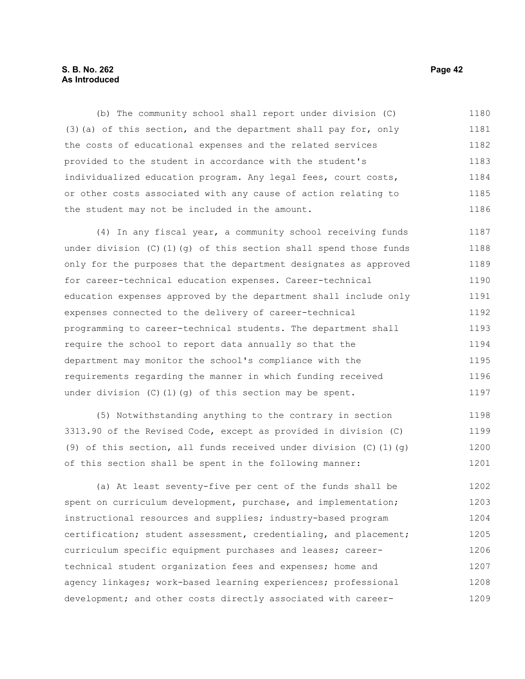# **S. B. No. 262 Page 42 As Introduced**

(b) The community school shall report under division (C) (3)(a) of this section, and the department shall pay for, only the costs of educational expenses and the related services provided to the student in accordance with the student's individualized education program. Any legal fees, court costs, or other costs associated with any cause of action relating to the student may not be included in the amount. 1180 1181 1182 1183 1184 1185 1186

(4) In any fiscal year, a community school receiving funds under division (C)(1)(q) of this section shall spend those funds only for the purposes that the department designates as approved for career-technical education expenses. Career-technical education expenses approved by the department shall include only expenses connected to the delivery of career-technical programming to career-technical students. The department shall require the school to report data annually so that the department may monitor the school's compliance with the requirements regarding the manner in which funding received under division (C)(1)(g) of this section may be spent. 1187 1188 1189 1190 1191 1192 1193 1194 1195 1196 1197

(5) Notwithstanding anything to the contrary in section 3313.90 of the Revised Code, except as provided in division (C) (9) of this section, all funds received under division  $(C)$  (1)(g) of this section shall be spent in the following manner: 1198 1199 1200 1201

(a) At least seventy-five per cent of the funds shall be spent on curriculum development, purchase, and implementation; instructional resources and supplies; industry-based program certification; student assessment, credentialing, and placement; curriculum specific equipment purchases and leases; careertechnical student organization fees and expenses; home and agency linkages; work-based learning experiences; professional development; and other costs directly associated with career-1202 1203 1204 1205 1206 1207 1208 1209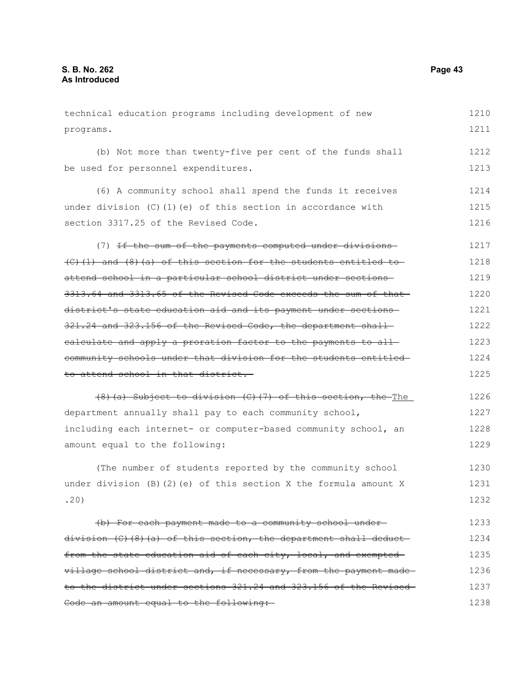technical education programs including development of new programs. (b) Not more than twenty-five per cent of the funds shall be used for personnel expenditures. (6) A community school shall spend the funds it receives under division  $(C)$  (1)(e) of this section in accordance with section 3317.25 of the Revised Code. (7) If the sum of the payments computed under divisions (C)(1) and (8)(a) of this section for the students entitled to attend school in a particular school district under sections 3313.64 and 3313.65 of the Revised Code exceeds the sum of that district's state education aid and its payment under sections 321.24 and 323.156 of the Revised Code, the department shall calculate and apply a proration factor to the payments to all community schools under that division for the students entitled to attend school in that district. (8)(a) Subject to division (C)(7) of this section, the The department annually shall pay to each community school, including each internet- or computer-based community school, an amount equal to the following: (The number of students reported by the community school under division  $(B)(2)(e)$  of this section X the formula amount X .20) (b) For each payment made to a community school under division (C)(8)(a) of this section, the department shall deduct from the state education aid of each city, local, and exempted village school district and, if necessary, from the payment made to the district under sections 321.24 and 323.156 of the Revised 1210 1211 1212 1213 1214 1215 1216 1217 1218 1219 1220 1221 1222 1223 1224 1225 1226 1227 1228 1229 1230 1231 1232 1233 1234 1235 1236 1237

Code an amount equal to the following: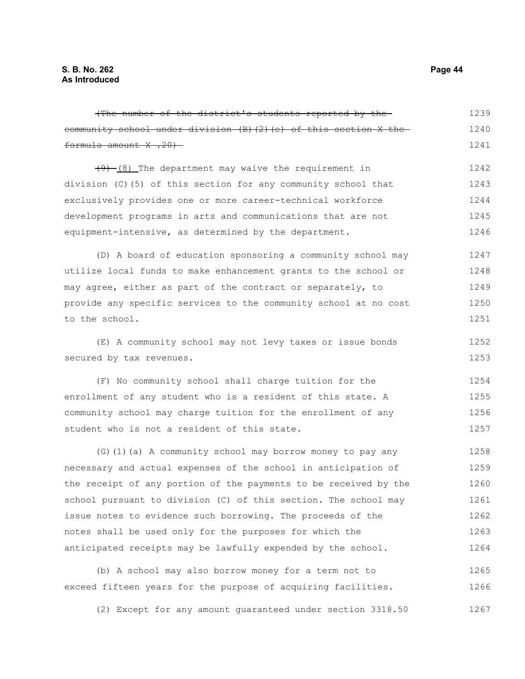(The number of the district's students reported by the community school under division (B)(2)(e) of this section X the formula amount X .20)  $(9)$  (8) The department may waive the requirement in division (C)(5) of this section for any community school that exclusively provides one or more career-technical workforce development programs in arts and communications that are not equipment-intensive, as determined by the department. (D) A board of education sponsoring a community school may utilize local funds to make enhancement grants to the school or may agree, either as part of the contract or separately, to provide any specific services to the community school at no cost to the school. (E) A community school may not levy taxes or issue bonds secured by tax revenues. (F) No community school shall charge tuition for the enrollment of any student who is a resident of this state. A community school may charge tuition for the enrollment of any student who is not a resident of this state. (G)(1)(a) A community school may borrow money to pay any necessary and actual expenses of the school in anticipation of the receipt of any portion of the payments to be received by the school pursuant to division (C) of this section. The school may issue notes to evidence such borrowing. The proceeds of the notes shall be used only for the purposes for which the anticipated receipts may be lawfully expended by the school. (b) A school may also borrow money for a term not to exceed fifteen years for the purpose of acquiring facilities. 1239 1240 1241 1242 1243 1244 1245 1246 1247 1248 1249 1250 1251 1252 1253 1254 1255 1256 1257 1258 1259 1260 1261 1262 1263 1264 1265 1266

(2) Except for any amount guaranteed under section 3318.50 1267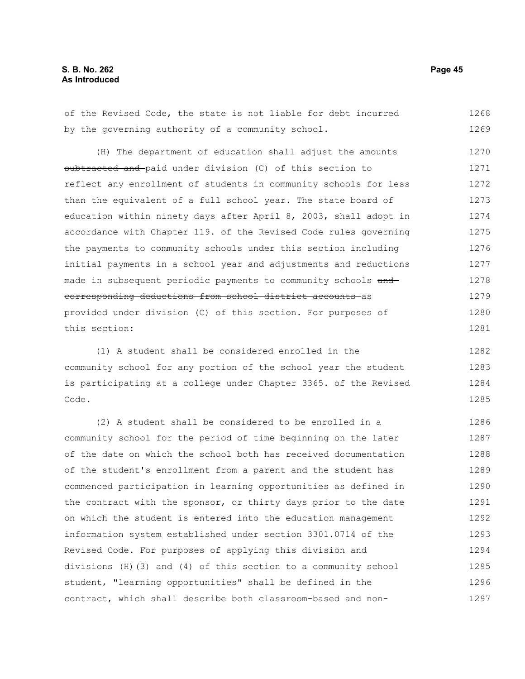of the Revised Code, the state is not liable for debt incurred by the governing authority of a community school. (H) The department of education shall adjust the amounts subtracted and paid under division (C) of this section to reflect any enrollment of students in community schools for less than the equivalent of a full school year. The state board of education within ninety days after April 8, 2003, shall adopt in accordance with Chapter 119. of the Revised Code rules governing the payments to community schools under this section including initial payments in a school year and adjustments and reductions made in subsequent periodic payments to community schools and corresponding deductions from school district accounts as provided under division (C) of this section. For purposes of this section: 1268 1269 1270 1271 1272 1273 1274 1275 1276 1277 1278 1279 1280 1281

(1) A student shall be considered enrolled in the community school for any portion of the school year the student is participating at a college under Chapter 3365. of the Revised Code. 1282 1283 1284 1285

(2) A student shall be considered to be enrolled in a community school for the period of time beginning on the later of the date on which the school both has received documentation of the student's enrollment from a parent and the student has commenced participation in learning opportunities as defined in the contract with the sponsor, or thirty days prior to the date on which the student is entered into the education management information system established under section 3301.0714 of the Revised Code. For purposes of applying this division and divisions (H)(3) and (4) of this section to a community school student, "learning opportunities" shall be defined in the contract, which shall describe both classroom-based and non-1286 1287 1288 1289 1290 1291 1292 1293 1294 1295 1296 1297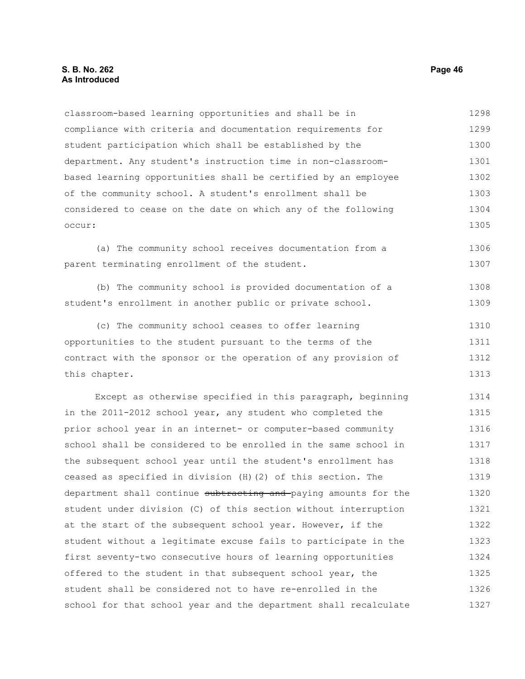classroom-based learning opportunities and shall be in compliance with criteria and documentation requirements for student participation which shall be established by the department. Any student's instruction time in non-classroombased learning opportunities shall be certified by an employee of the community school. A student's enrollment shall be considered to cease on the date on which any of the following occur: 1298 1299 1300 1301 1302 1303 1304 1305

(a) The community school receives documentation from a parent terminating enrollment of the student. 1306 1307

(b) The community school is provided documentation of a student's enrollment in another public or private school. 1308 1309

(c) The community school ceases to offer learning opportunities to the student pursuant to the terms of the contract with the sponsor or the operation of any provision of this chapter. 1310 1311 1312 1313

Except as otherwise specified in this paragraph, beginning in the 2011-2012 school year, any student who completed the prior school year in an internet- or computer-based community school shall be considered to be enrolled in the same school in the subsequent school year until the student's enrollment has ceased as specified in division (H)(2) of this section. The department shall continue subtracting and paying amounts for the student under division (C) of this section without interruption at the start of the subsequent school year. However, if the student without a legitimate excuse fails to participate in the first seventy-two consecutive hours of learning opportunities offered to the student in that subsequent school year, the student shall be considered not to have re-enrolled in the school for that school year and the department shall recalculate 1314 1315 1316 1317 1318 1319 1320 1321 1322 1323 1324 1325 1326 1327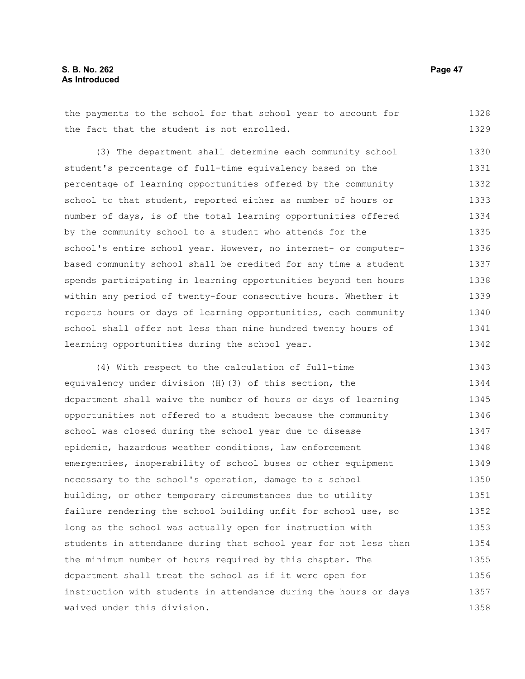the payments to the school for that school year to account for the fact that the student is not enrolled. 1328 1329

(3) The department shall determine each community school student's percentage of full-time equivalency based on the percentage of learning opportunities offered by the community school to that student, reported either as number of hours or number of days, is of the total learning opportunities offered by the community school to a student who attends for the school's entire school year. However, no internet- or computerbased community school shall be credited for any time a student spends participating in learning opportunities beyond ten hours within any period of twenty-four consecutive hours. Whether it reports hours or days of learning opportunities, each community school shall offer not less than nine hundred twenty hours of learning opportunities during the school year. 1330 1331 1332 1333 1334 1335 1336 1337 1338 1339 1340 1341 1342

(4) With respect to the calculation of full-time equivalency under division (H)(3) of this section, the department shall waive the number of hours or days of learning opportunities not offered to a student because the community school was closed during the school year due to disease epidemic, hazardous weather conditions, law enforcement emergencies, inoperability of school buses or other equipment necessary to the school's operation, damage to a school building, or other temporary circumstances due to utility failure rendering the school building unfit for school use, so long as the school was actually open for instruction with students in attendance during that school year for not less than the minimum number of hours required by this chapter. The department shall treat the school as if it were open for instruction with students in attendance during the hours or days waived under this division. 1343 1344 1345 1346 1347 1348 1349 1350 1351 1352 1353 1354 1355 1356 1357 1358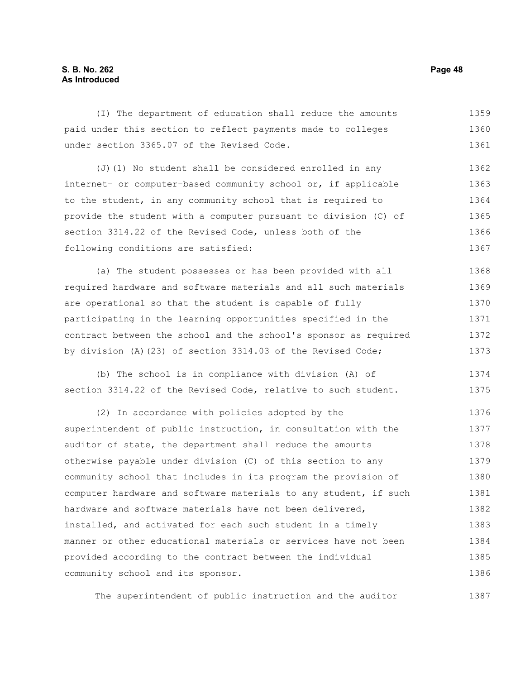# **S. B. No. 262 Page 48 As Introduced**

(I) The department of education shall reduce the amounts paid under this section to reflect payments made to colleges under section 3365.07 of the Revised Code. 1359 1360 1361

(J)(1) No student shall be considered enrolled in any internet- or computer-based community school or, if applicable to the student, in any community school that is required to provide the student with a computer pursuant to division (C) of section 3314.22 of the Revised Code, unless both of the following conditions are satisfied: 1362 1363 1364 1365 1366 1367

(a) The student possesses or has been provided with all required hardware and software materials and all such materials are operational so that the student is capable of fully participating in the learning opportunities specified in the contract between the school and the school's sponsor as required by division (A)(23) of section 3314.03 of the Revised Code; 1368 1369 1370 1371 1372 1373

(b) The school is in compliance with division (A) of section 3314.22 of the Revised Code, relative to such student. 1374 1375

(2) In accordance with policies adopted by the superintendent of public instruction, in consultation with the auditor of state, the department shall reduce the amounts otherwise payable under division (C) of this section to any community school that includes in its program the provision of computer hardware and software materials to any student, if such hardware and software materials have not been delivered, installed, and activated for each such student in a timely manner or other educational materials or services have not been provided according to the contract between the individual community school and its sponsor. 1376 1377 1378 1379 1380 1381 1382 1383 1384 1385 1386

The superintendent of public instruction and the auditor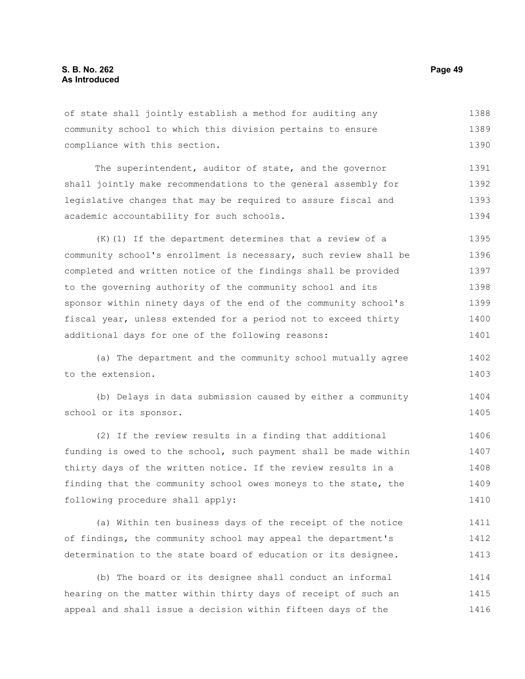of state shall jointly establish a method for auditing any community school to which this division pertains to ensure compliance with this section. 1388 1389 1390

The superintendent, auditor of state, and the governor shall jointly make recommendations to the general assembly for legislative changes that may be required to assure fiscal and academic accountability for such schools. 1391 1392 1393 1394

(K)(1) If the department determines that a review of a community school's enrollment is necessary, such review shall be completed and written notice of the findings shall be provided to the governing authority of the community school and its sponsor within ninety days of the end of the community school's fiscal year, unless extended for a period not to exceed thirty additional days for one of the following reasons: 1395 1396 1397 1398 1399 1400 1401

(a) The department and the community school mutually agree to the extension. 1402 1403

(b) Delays in data submission caused by either a community school or its sponsor. 1404 1405

(2) If the review results in a finding that additional funding is owed to the school, such payment shall be made within thirty days of the written notice. If the review results in a finding that the community school owes moneys to the state, the following procedure shall apply: 1406 1407 1408 1409 1410

(a) Within ten business days of the receipt of the notice of findings, the community school may appeal the department's determination to the state board of education or its designee. 1411 1412 1413

(b) The board or its designee shall conduct an informal hearing on the matter within thirty days of receipt of such an appeal and shall issue a decision within fifteen days of the 1414 1415 1416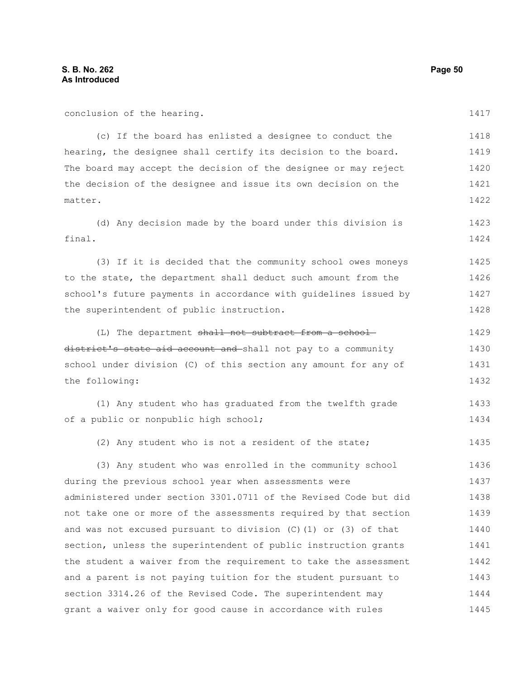| conclusion of the hearing.                                        | 1417 |
|-------------------------------------------------------------------|------|
| (c) If the board has enlisted a designee to conduct the           | 1418 |
| hearing, the designee shall certify its decision to the board.    | 1419 |
| The board may accept the decision of the designee or may reject   | 1420 |
| the decision of the designee and issue its own decision on the    | 1421 |
| matter.                                                           | 1422 |
| (d) Any decision made by the board under this division is         | 1423 |
| final.                                                            | 1424 |
| (3) If it is decided that the community school owes moneys        | 1425 |
| to the state, the department shall deduct such amount from the    | 1426 |
| school's future payments in accordance with guidelines issued by  | 1427 |
| the superintendent of public instruction.                         | 1428 |
| (L) The department shall not subtract from a school-              | 1429 |
| district's state aid account and shall not pay to a community     | 1430 |
| school under division (C) of this section any amount for any of   | 1431 |
| the following:                                                    | 1432 |
| (1) Any student who has graduated from the twelfth grade          | 1433 |
| of a public or nonpublic high school;                             | 1434 |
| (2) Any student who is not a resident of the state;               | 1435 |
| (3) Any student who was enrolled in the community school          | 1436 |
| during the previous school year when assessments were             | 1437 |
| administered under section 3301.0711 of the Revised Code but did  | 1438 |
| not take one or more of the assessments required by that section  | 1439 |
| and was not excused pursuant to division $(C)$ (1) or (3) of that | 1440 |
| section, unless the superintendent of public instruction grants   | 1441 |
| the student a waiver from the requirement to take the assessment  | 1442 |
| and a parent is not paying tuition for the student pursuant to    | 1443 |
| section 3314.26 of the Revised Code. The superintendent may       | 1444 |
| grant a waiver only for good cause in accordance with rules       | 1445 |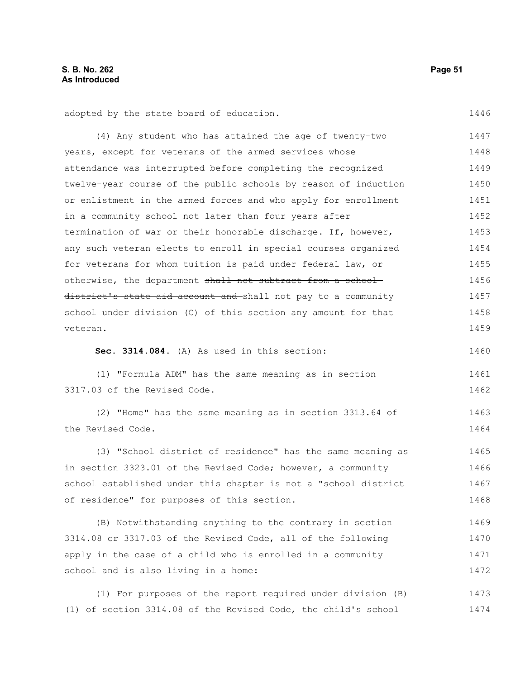1446

1460

1463 1464

adopted by the state board of education.

(4) Any student who has attained the age of twenty-two years, except for veterans of the armed services whose attendance was interrupted before completing the recognized twelve-year course of the public schools by reason of induction or enlistment in the armed forces and who apply for enrollment in a community school not later than four years after termination of war or their honorable discharge. If, however, any such veteran elects to enroll in special courses organized for veterans for whom tuition is paid under federal law, or otherwise, the department shall not subtract from a schooldistrict's state aid account and shall not pay to a community school under division (C) of this section any amount for that veteran. 1447 1448 1449 1450 1451 1452 1453 1454 1455 1456 1457 1458 1459

**Sec. 3314.084.** (A) As used in this section:

(1) "Formula ADM" has the same meaning as in section 3317.03 of the Revised Code. 1461 1462

(2) "Home" has the same meaning as in section 3313.64 of the Revised Code.

(3) "School district of residence" has the same meaning as in section 3323.01 of the Revised Code; however, a community school established under this chapter is not a "school district of residence" for purposes of this section. 1465 1466 1467 1468

(B) Notwithstanding anything to the contrary in section 3314.08 or 3317.03 of the Revised Code, all of the following apply in the case of a child who is enrolled in a community school and is also living in a home: 1469 1470 1471 1472

(1) For purposes of the report required under division (B) (1) of section 3314.08 of the Revised Code, the child's school 1473 1474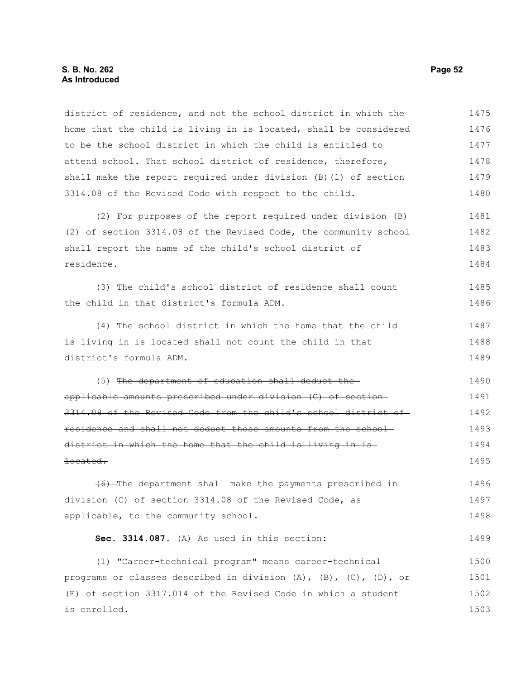#### **S. B. No. 262 Page 52 As Introduced**

district of residence, and not the school district in which the home that the child is living in is located, shall be considered to be the school district in which the child is entitled to attend school. That school district of residence, therefore, shall make the report required under division (B)(1) of section 3314.08 of the Revised Code with respect to the child. 1475 1476 1477 1478 1479 1480

(2) For purposes of the report required under division (B) (2) of section 3314.08 of the Revised Code, the community school shall report the name of the child's school district of residence. 1481 1482 1483 1484

(3) The child's school district of residence shall count the child in that district's formula ADM. 1485 1486

(4) The school district in which the home that the child is living in is located shall not count the child in that district's formula ADM. 1487 1488 1489

(5) The department of education shall deduct the applicable amounts prescribed under division (C) of section 3314.08 of the Revised Code from the child's school district of residence and shall not deduct those amounts from the school district in which the home that the child is living in is located. 1490 1491 1492 1493 1494 1495

(6) The department shall make the payments prescribed in division (C) of section 3314.08 of the Revised Code, as applicable, to the community school. 1496 1497 1498

**Sec. 3314.087.** (A) As used in this section:

(1) "Career-technical program" means career-technical programs or classes described in division (A), (B), (C), (D), or (E) of section 3317.014 of the Revised Code in which a student is enrolled. 1500 1501 1502 1503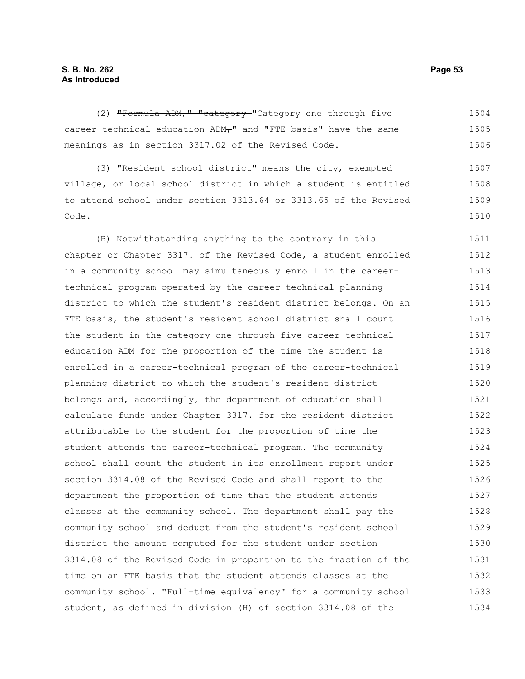(2) "Formula ADM," "category "Category one through five career-technical education ADM-" and "FTE basis" have the same meanings as in section 3317.02 of the Revised Code. (3) "Resident school district" means the city, exempted village, or local school district in which a student is entitled to attend school under section 3313.64 or 3313.65 of the Revised Code. 1504 1505 1506 1507 1508 1509 1510

(B) Notwithstanding anything to the contrary in this chapter or Chapter 3317. of the Revised Code, a student enrolled in a community school may simultaneously enroll in the careertechnical program operated by the career-technical planning district to which the student's resident district belongs. On an FTE basis, the student's resident school district shall count the student in the category one through five career-technical education ADM for the proportion of the time the student is enrolled in a career-technical program of the career-technical planning district to which the student's resident district belongs and, accordingly, the department of education shall calculate funds under Chapter 3317. for the resident district attributable to the student for the proportion of time the student attends the career-technical program. The community school shall count the student in its enrollment report under section 3314.08 of the Revised Code and shall report to the department the proportion of time that the student attends classes at the community school. The department shall pay the community school and deduct from the student's resident schooldistrict the amount computed for the student under section 3314.08 of the Revised Code in proportion to the fraction of the time on an FTE basis that the student attends classes at the community school. "Full-time equivalency" for a community school student, as defined in division (H) of section 3314.08 of the 1511 1512 1513 1514 1515 1516 1517 1518 1519 1520 1521 1522 1523 1524 1525 1526 1527 1528 1529 1530 1531 1532 1533 1534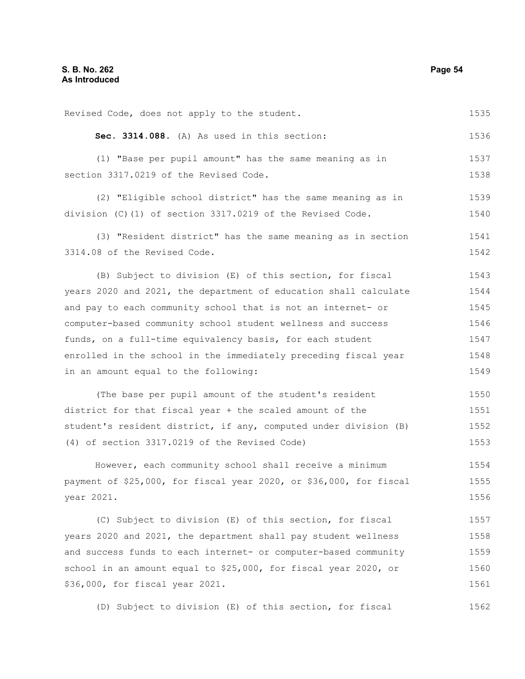Revised Code, does not apply to the student. **Sec. 3314.088.** (A) As used in this section: (1) "Base per pupil amount" has the same meaning as in section 3317.0219 of the Revised Code. (2) "Eligible school district" has the same meaning as in division (C)(1) of section 3317.0219 of the Revised Code. (3) "Resident district" has the same meaning as in section 3314.08 of the Revised Code. (B) Subject to division (E) of this section, for fiscal years 2020 and 2021, the department of education shall calculate and pay to each community school that is not an internet- or computer-based community school student wellness and success funds, on a full-time equivalency basis, for each student enrolled in the school in the immediately preceding fiscal year in an amount equal to the following: (The base per pupil amount of the student's resident district for that fiscal year + the scaled amount of the student's resident district, if any, computed under division (B) (4) of section 3317.0219 of the Revised Code) However, each community school shall receive a minimum payment of \$25,000, for fiscal year 2020, or \$36,000, for fiscal year 2021. (C) Subject to division (E) of this section, for fiscal years 2020 and 2021, the department shall pay student wellness and success funds to each internet- or computer-based community 1535 1536 1537 1538 1539 1540 1541 1542 1543 1544 1545 1546 1547 1548 1549 1550 1551 1552 1553 1554 1555 1556 1557 1558 1559

(D) Subject to division (E) of this section, for fiscal 1562

school in an amount equal to \$25,000, for fiscal year 2020, or

\$36,000, for fiscal year 2021.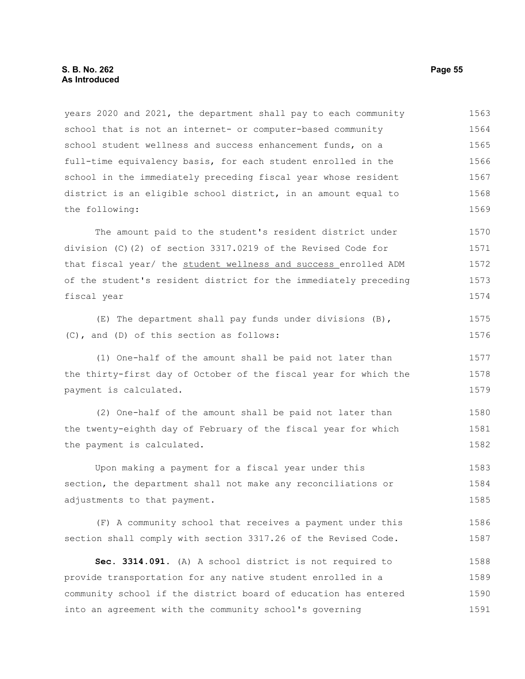years 2020 and 2021, the department shall pay to each community school that is not an internet- or computer-based community school student wellness and success enhancement funds, on a full-time equivalency basis, for each student enrolled in the school in the immediately preceding fiscal year whose resident district is an eligible school district, in an amount equal to the following: 1563 1564 1565 1566 1567 1568 1569

The amount paid to the student's resident district under division (C)(2) of section 3317.0219 of the Revised Code for that fiscal year/ the student wellness and success enrolled ADM of the student's resident district for the immediately preceding fiscal year 1570 1571 1572 1573 1574

(E) The department shall pay funds under divisions (B), (C), and (D) of this section as follows: 1575 1576

(1) One-half of the amount shall be paid not later than the thirty-first day of October of the fiscal year for which the payment is calculated.

(2) One-half of the amount shall be paid not later than the twenty-eighth day of February of the fiscal year for which the payment is calculated. 1580 1581 1582

Upon making a payment for a fiscal year under this section, the department shall not make any reconciliations or adjustments to that payment. 1583 1584 1585

(F) A community school that receives a payment under this section shall comply with section 3317.26 of the Revised Code. 1586 1587

**Sec. 3314.091.** (A) A school district is not required to provide transportation for any native student enrolled in a community school if the district board of education has entered into an agreement with the community school's governing 1588 1589 1590 1591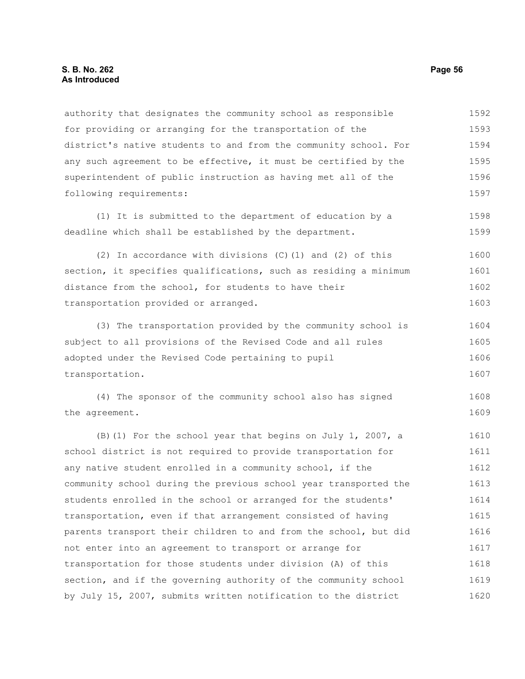authority that designates the community school as responsible for providing or arranging for the transportation of the district's native students to and from the community school. For any such agreement to be effective, it must be certified by the superintendent of public instruction as having met all of the following requirements: 1592 1593 1594 1595 1596 1597

(1) It is submitted to the department of education by a deadline which shall be established by the department. 1598 1599

(2) In accordance with divisions (C)(1) and (2) of this section, it specifies qualifications, such as residing a minimum distance from the school, for students to have their transportation provided or arranged. 1600 1601 1602 1603

(3) The transportation provided by the community school is subject to all provisions of the Revised Code and all rules adopted under the Revised Code pertaining to pupil transportation. 1604 1605 1606 1607

(4) The sponsor of the community school also has signed the agreement. 1608 1609

(B)(1) For the school year that begins on July 1, 2007, a school district is not required to provide transportation for any native student enrolled in a community school, if the community school during the previous school year transported the students enrolled in the school or arranged for the students' transportation, even if that arrangement consisted of having parents transport their children to and from the school, but did not enter into an agreement to transport or arrange for transportation for those students under division (A) of this section, and if the governing authority of the community school by July 15, 2007, submits written notification to the district 1610 1611 1612 1613 1614 1615 1616 1617 1618 1619 1620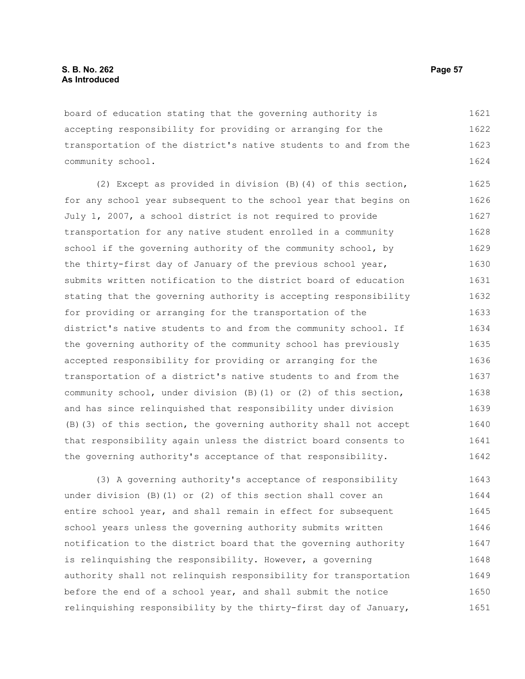board of education stating that the governing authority is accepting responsibility for providing or arranging for the transportation of the district's native students to and from the community school. 1621 1622 1623 1624

(2) Except as provided in division (B)(4) of this section, for any school year subsequent to the school year that begins on July 1, 2007, a school district is not required to provide transportation for any native student enrolled in a community school if the governing authority of the community school, by the thirty-first day of January of the previous school year, submits written notification to the district board of education stating that the governing authority is accepting responsibility for providing or arranging for the transportation of the district's native students to and from the community school. If the governing authority of the community school has previously accepted responsibility for providing or arranging for the transportation of a district's native students to and from the community school, under division (B)(1) or (2) of this section, and has since relinquished that responsibility under division (B)(3) of this section, the governing authority shall not accept that responsibility again unless the district board consents to the governing authority's acceptance of that responsibility. 1625 1626 1627 1628 1629 1630 1631 1632 1633 1634 1635 1636 1637 1638 1639 1640 1641 1642

(3) A governing authority's acceptance of responsibility under division (B)(1) or (2) of this section shall cover an entire school year, and shall remain in effect for subsequent school years unless the governing authority submits written notification to the district board that the governing authority is relinquishing the responsibility. However, a governing authority shall not relinquish responsibility for transportation before the end of a school year, and shall submit the notice relinquishing responsibility by the thirty-first day of January, 1643 1644 1645 1646 1647 1648 1649 1650 1651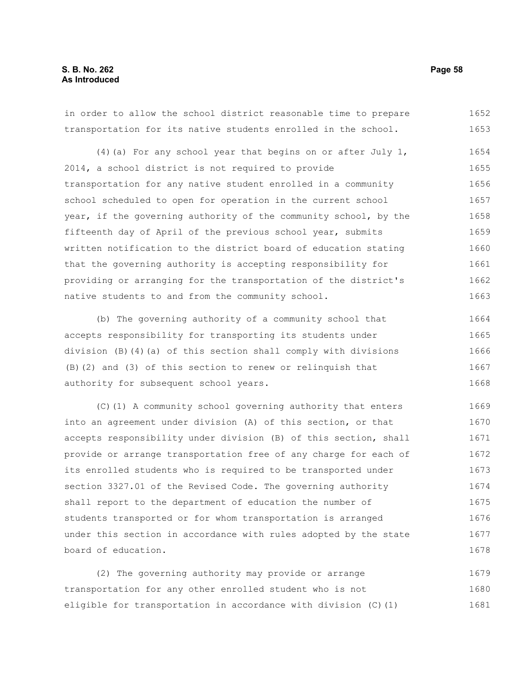# **S. B. No. 262 Page 58 As Introduced**

in order to allow the school district reasonable time to prepare transportation for its native students enrolled in the school. 1652 1653

(4)(a) For any school year that begins on or after July 1, 2014, a school district is not required to provide transportation for any native student enrolled in a community school scheduled to open for operation in the current school year, if the governing authority of the community school, by the fifteenth day of April of the previous school year, submits written notification to the district board of education stating that the governing authority is accepting responsibility for providing or arranging for the transportation of the district's native students to and from the community school. 1654 1655 1656 1657 1658 1659 1660 1661 1662 1663

(b) The governing authority of a community school that accepts responsibility for transporting its students under division (B)(4)(a) of this section shall comply with divisions (B)(2) and (3) of this section to renew or relinquish that authority for subsequent school years. 1664 1665 1666 1667 1668

(C)(1) A community school governing authority that enters into an agreement under division (A) of this section, or that accepts responsibility under division (B) of this section, shall provide or arrange transportation free of any charge for each of its enrolled students who is required to be transported under section 3327.01 of the Revised Code. The governing authority shall report to the department of education the number of students transported or for whom transportation is arranged under this section in accordance with rules adopted by the state board of education. 1669 1670 1671 1672 1673 1674 1675 1676 1677 1678

(2) The governing authority may provide or arrange transportation for any other enrolled student who is not eligible for transportation in accordance with division (C)(1) 1679 1680 1681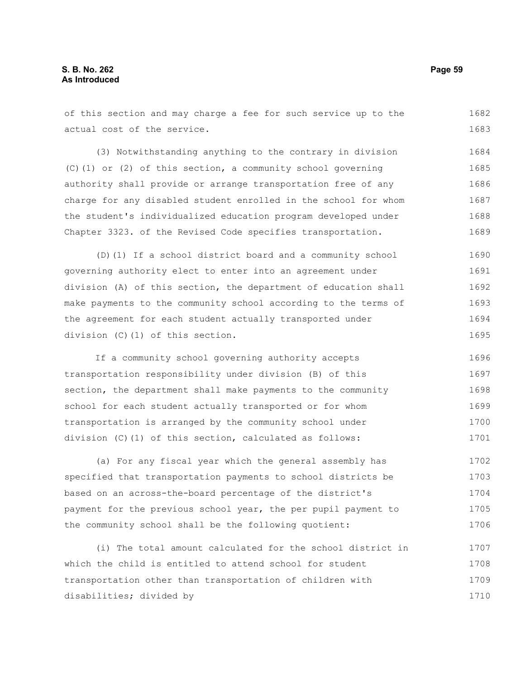of this section and may charge a fee for such service up to the actual cost of the service. 1682 1683

(3) Notwithstanding anything to the contrary in division (C)(1) or (2) of this section, a community school governing authority shall provide or arrange transportation free of any charge for any disabled student enrolled in the school for whom the student's individualized education program developed under Chapter 3323. of the Revised Code specifies transportation. 1684 1685 1686 1687 1688 1689

(D)(1) If a school district board and a community school governing authority elect to enter into an agreement under division (A) of this section, the department of education shall make payments to the community school according to the terms of the agreement for each student actually transported under division (C)(1) of this section. 1690 1691 1692 1693 1694 1695

If a community school governing authority accepts transportation responsibility under division (B) of this section, the department shall make payments to the community school for each student actually transported or for whom transportation is arranged by the community school under division (C)(1) of this section, calculated as follows: 1696 1697 1698 1699 1700 1701

(a) For any fiscal year which the general assembly has specified that transportation payments to school districts be based on an across-the-board percentage of the district's payment for the previous school year, the per pupil payment to the community school shall be the following quotient: 1702 1703 1704 1705 1706

(i) The total amount calculated for the school district in which the child is entitled to attend school for student transportation other than transportation of children with disabilities; divided by 1707 1708 1709 1710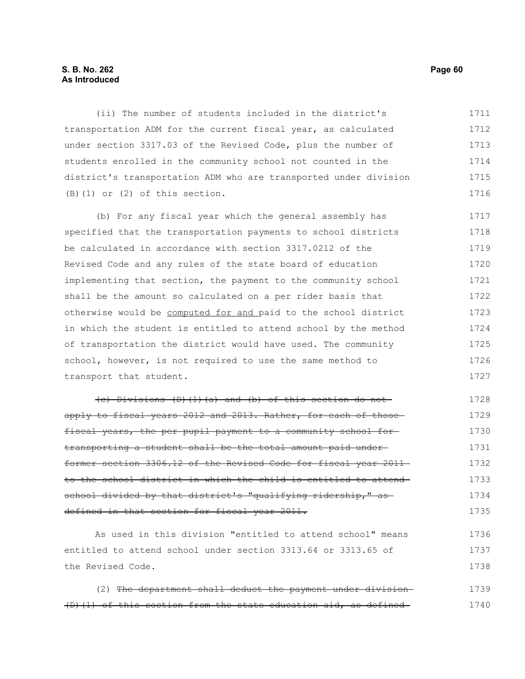### **S. B. No. 262 Page 60 As Introduced**

(ii) The number of students included in the district's transportation ADM for the current fiscal year, as calculated under section 3317.03 of the Revised Code, plus the number of students enrolled in the community school not counted in the district's transportation ADM who are transported under division (B)(1) or (2) of this section. 1711 1712 1713 1714 1715 1716

(b) For any fiscal year which the general assembly has specified that the transportation payments to school districts be calculated in accordance with section 3317.0212 of the Revised Code and any rules of the state board of education implementing that section, the payment to the community school shall be the amount so calculated on a per rider basis that otherwise would be computed for and paid to the school district in which the student is entitled to attend school by the method of transportation the district would have used. The community school, however, is not required to use the same method to transport that student. 1717 1718 1719 1720 1721 1722 1723 1724 1725 1726 1727

(c) Divisions (D)(1)(a) and (b) of this section do not apply to fiscal years 2012 and 2013. Rather, for each of those fiscal years, the per pupil payment to a community school fortransporting a student shall be the total amount paid under former section 3306.12 of the Revised Code for fiscal year 2011 to the school district in which the child is entitled to attend school divided by that district's "qualifying ridership," as defined in that section for fiscal year 2011. 1728 1729 1730 1731 1732 1733 1734 1735

As used in this division "entitled to attend school" means entitled to attend school under section 3313.64 or 3313.65 of the Revised Code. 1736 1737 1738

(2) The department shall deduct the payment under division (D)(1) of this section from the state education aid, as defined 1739 1740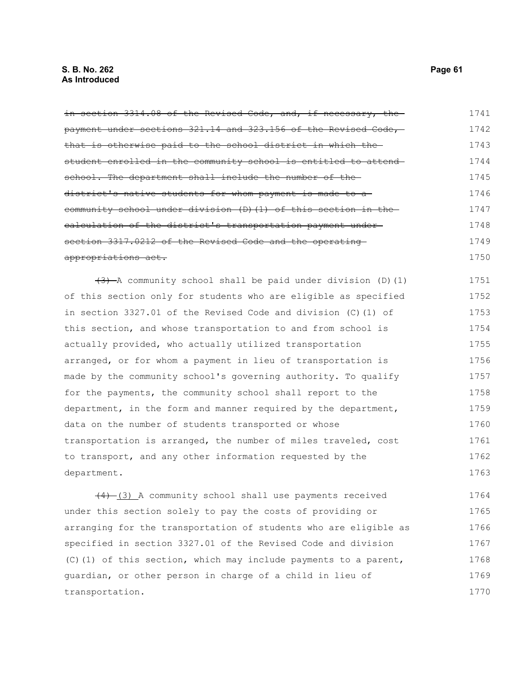in section 3314.08 of the Revised Code, and, if necessary, the payment under sections 321.14 and 323.156 of the Revised Code, that is otherwise paid to the school district in which the student enrolled in the community school is entitled to attend school. The department shall include the number of thedistrict's native students for whom payment is made to acommunity school under division (D)(1) of this section in the calculation of the district's transportation payment under section 3317.0212 of the Revised Code and the operating appropriations act.  $(3)$  A community school shall be paid under division (D)(1) of this section only for students who are eligible as specified 1741 1742 1743 1744 1745 1746 1747 1748 1749 1750 1751 1752

in section 3327.01 of the Revised Code and division (C)(1) of this section, and whose transportation to and from school is actually provided, who actually utilized transportation arranged, or for whom a payment in lieu of transportation is made by the community school's governing authority. To qualify for the payments, the community school shall report to the department, in the form and manner required by the department, data on the number of students transported or whose transportation is arranged, the number of miles traveled, cost to transport, and any other information requested by the department. 1753 1754 1755 1756 1757 1758 1759 1760 1761 1762 1763

 $(4)$   $(3)$  A community school shall use payments received under this section solely to pay the costs of providing or arranging for the transportation of students who are eligible as specified in section 3327.01 of the Revised Code and division (C)(1) of this section, which may include payments to a parent, guardian, or other person in charge of a child in lieu of transportation. 1764 1765 1766 1767 1768 1769 1770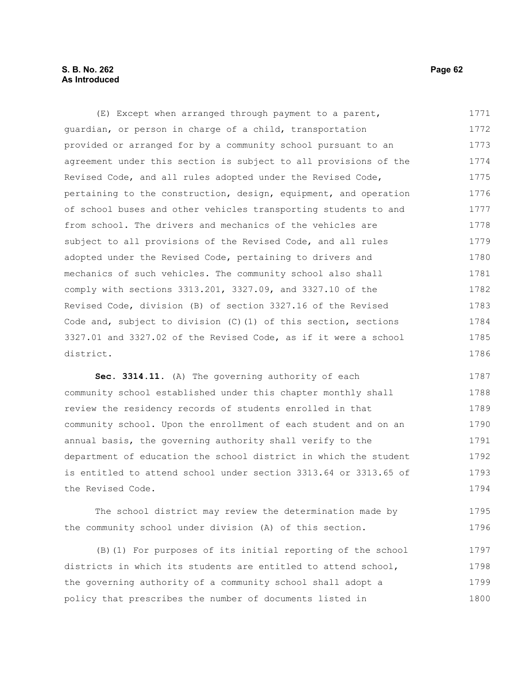# **S. B. No. 262 Page 62 As Introduced**

(E) Except when arranged through payment to a parent, guardian, or person in charge of a child, transportation provided or arranged for by a community school pursuant to an agreement under this section is subject to all provisions of the Revised Code, and all rules adopted under the Revised Code, pertaining to the construction, design, equipment, and operation of school buses and other vehicles transporting students to and from school. The drivers and mechanics of the vehicles are subject to all provisions of the Revised Code, and all rules adopted under the Revised Code, pertaining to drivers and mechanics of such vehicles. The community school also shall comply with sections 3313.201, 3327.09, and 3327.10 of the Revised Code, division (B) of section 3327.16 of the Revised Code and, subject to division (C)(1) of this section, sections 3327.01 and 3327.02 of the Revised Code, as if it were a school district. 1771 1772 1773 1774 1775 1776 1777 1778 1779 1780 1781 1782 1783 1784 1785 1786

**Sec. 3314.11.** (A) The governing authority of each community school established under this chapter monthly shall review the residency records of students enrolled in that community school. Upon the enrollment of each student and on an annual basis, the governing authority shall verify to the department of education the school district in which the student is entitled to attend school under section 3313.64 or 3313.65 of the Revised Code. 1787 1788 1789 1790 1791 1792 1793 1794

The school district may review the determination made by the community school under division (A) of this section. 1795 1796

(B)(1) For purposes of its initial reporting of the school districts in which its students are entitled to attend school, the governing authority of a community school shall adopt a policy that prescribes the number of documents listed in 1797 1798 1799 1800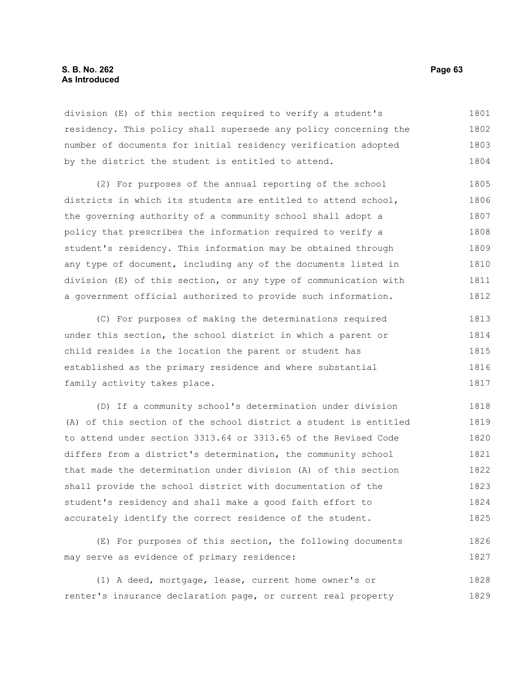### **S. B. No. 262 Page 63 As Introduced**

division (E) of this section required to verify a student's residency. This policy shall supersede any policy concerning the number of documents for initial residency verification adopted by the district the student is entitled to attend. 1801 1802 1803 1804

(2) For purposes of the annual reporting of the school districts in which its students are entitled to attend school, the governing authority of a community school shall adopt a policy that prescribes the information required to verify a student's residency. This information may be obtained through any type of document, including any of the documents listed in division (E) of this section, or any type of communication with a government official authorized to provide such information. 1805 1806 1807 1808 1809 1810 1811 1812

(C) For purposes of making the determinations required under this section, the school district in which a parent or child resides is the location the parent or student has established as the primary residence and where substantial family activity takes place. 1813 1814 1815 1816 1817

(D) If a community school's determination under division (A) of this section of the school district a student is entitled to attend under section 3313.64 or 3313.65 of the Revised Code differs from a district's determination, the community school that made the determination under division (A) of this section shall provide the school district with documentation of the student's residency and shall make a good faith effort to accurately identify the correct residence of the student. 1818 1819 1820 1821 1822 1823 1824 1825

(E) For purposes of this section, the following documents may serve as evidence of primary residence: 1826 1827

(1) A deed, mortgage, lease, current home owner's or renter's insurance declaration page, or current real property 1828 1829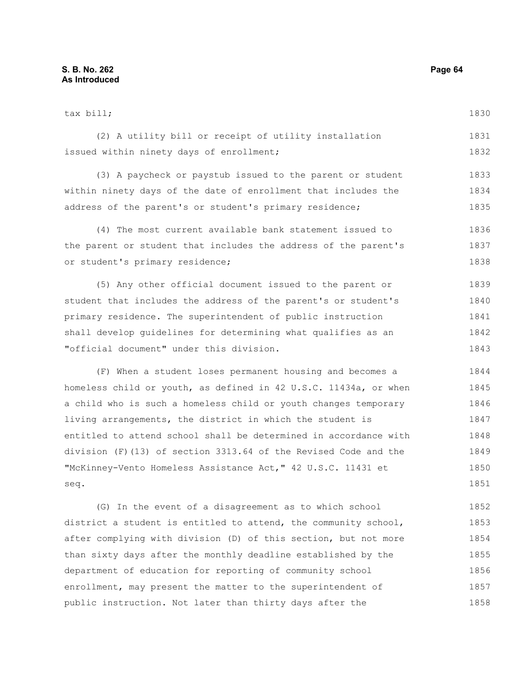tax bill; (2) A utility bill or receipt of utility installation issued within ninety days of enrollment; (3) A paycheck or paystub issued to the parent or student within ninety days of the date of enrollment that includes the address of the parent's or student's primary residence; (4) The most current available bank statement issued to the parent or student that includes the address of the parent's or student's primary residence; (5) Any other official document issued to the parent or 1830 1831 1832 1833 1834 1835 1836 1837 1838 1839

student that includes the address of the parent's or student's primary residence. The superintendent of public instruction shall develop guidelines for determining what qualifies as an "official document" under this division. 1840 1841 1842 1843

(F) When a student loses permanent housing and becomes a homeless child or youth, as defined in 42 U.S.C. 11434a, or when a child who is such a homeless child or youth changes temporary living arrangements, the district in which the student is entitled to attend school shall be determined in accordance with division (F)(13) of section 3313.64 of the Revised Code and the "McKinney-Vento Homeless Assistance Act," 42 U.S.C. 11431 et seq. 1844 1845 1846 1847 1848 1849 1850 1851

(G) In the event of a disagreement as to which school district a student is entitled to attend, the community school, after complying with division (D) of this section, but not more than sixty days after the monthly deadline established by the department of education for reporting of community school enrollment, may present the matter to the superintendent of public instruction. Not later than thirty days after the 1852 1853 1854 1855 1856 1857 1858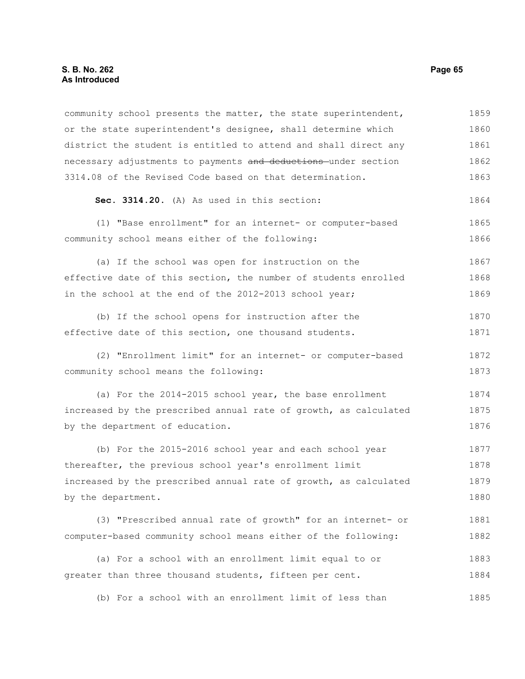community school presents the matter, the state superintendent, or the state superintendent's designee, shall determine which district the student is entitled to attend and shall direct any necessary adjustments to payments and deductions under section 3314.08 of the Revised Code based on that determination. 1859 1860 1861 1862 1863

**Sec. 3314.20.** (A) As used in this section: 1864

(1) "Base enrollment" for an internet- or computer-based community school means either of the following: 1865 1866

(a) If the school was open for instruction on the effective date of this section, the number of students enrolled in the school at the end of the 2012-2013 school year; 1867 1868 1869

(b) If the school opens for instruction after the effective date of this section, one thousand students. 1870 1871

(2) "Enrollment limit" for an internet- or computer-based community school means the following: 1872 1873

(a) For the 2014-2015 school year, the base enrollment increased by the prescribed annual rate of growth, as calculated by the department of education. 1874 1875 1876

(b) For the 2015-2016 school year and each school year thereafter, the previous school year's enrollment limit increased by the prescribed annual rate of growth, as calculated by the department. 1877 1878 1879 1880

(3) "Prescribed annual rate of growth" for an internet- or computer-based community school means either of the following: 1881 1882

(a) For a school with an enrollment limit equal to or greater than three thousand students, fifteen per cent. 1883 1884

(b) For a school with an enrollment limit of less than 1885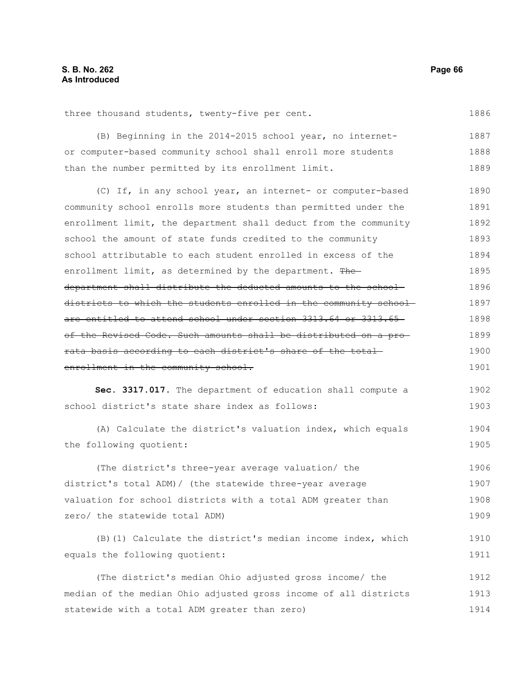three thousand students, twenty-five per cent.

(B) Beginning in the 2014-2015 school year, no internetor computer-based community school shall enroll more students than the number permitted by its enrollment limit. 1887 1888 1889

(C) If, in any school year, an internet- or computer-based community school enrolls more students than permitted under the enrollment limit, the department shall deduct from the community school the amount of state funds credited to the community school attributable to each student enrolled in excess of the enrollment limit, as determined by the department. Thedepartment shall distribute the deducted amounts to the school districts to which the students enrolled in the community school are entitled to attend school under section 3313.64 or 3313.65 of the Revised Code. Such amounts shall be distributed on a pro rata basis according to each district's share of the total enrollment in the community school. 1890 1891 1892 1893 1894 1895 1896 1897 1898 1899 1900 1901

**Sec. 3317.017.** The department of education shall compute a school district's state share index as follows: 1902 1903

(A) Calculate the district's valuation index, which equals the following quotient: 1904 1905

(The district's three-year average valuation/ the district's total ADM)/ (the statewide three-year average valuation for school districts with a total ADM greater than zero/ the statewide total ADM) 1906 1907 1908 1909

(B)(1) Calculate the district's median income index, which equals the following quotient: 1910 1911

(The district's median Ohio adjusted gross income/ the median of the median Ohio adjusted gross income of all districts statewide with a total ADM greater than zero) 1912 1913 1914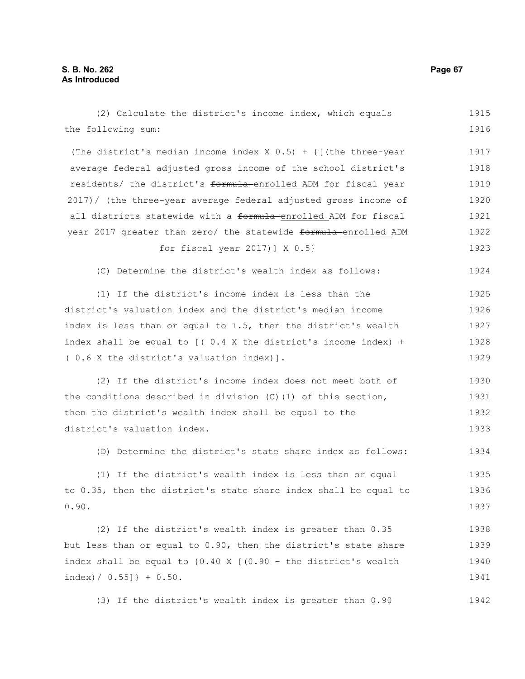(2) Calculate the district's income index, which equals the following sum: (The district's median income index  $X$  0.5) + {[(the three-year average federal adjusted gross income of the school district's residents/ the district's formula enrolled ADM for fiscal year 2017)/ (the three-year average federal adjusted gross income of all districts statewide with a formula-enrolled ADM for fiscal year 2017 greater than zero/ the statewide formula-enrolled ADM for fiscal year 2017)] X 0.5} (C) Determine the district's wealth index as follows: (1) If the district's income index is less than the district's valuation index and the district's median income index is less than or equal to 1.5, then the district's wealth index shall be equal to  $($   $($   $0.4$  X the district's income index) + ( 0.6 X the district's valuation index)]. (2) If the district's income index does not meet both of the conditions described in division (C)(1) of this section, then the district's wealth index shall be equal to the district's valuation index. (D) Determine the district's state share index as follows: (1) If the district's wealth index is less than or equal to 0.35, then the district's state share index shall be equal to 0.90. (2) If the district's wealth index is greater than 0.35 but less than or equal to 0.90, then the district's state share index shall be equal to  $\{0.40 \times [0.90 - \text{the district's wealth}]\}$  $index$  $/ 0.55$ ]  $+ 0.50$ . (3) If the district's wealth index is greater than 0.90 1915 1916 1917 1918 1919 1920 1921 1922 1923 1924 1925 1926 1927 1928 1929 1930 1931 1932 1933 1934 1935 1936 1937 1938 1939 1940 1941 1942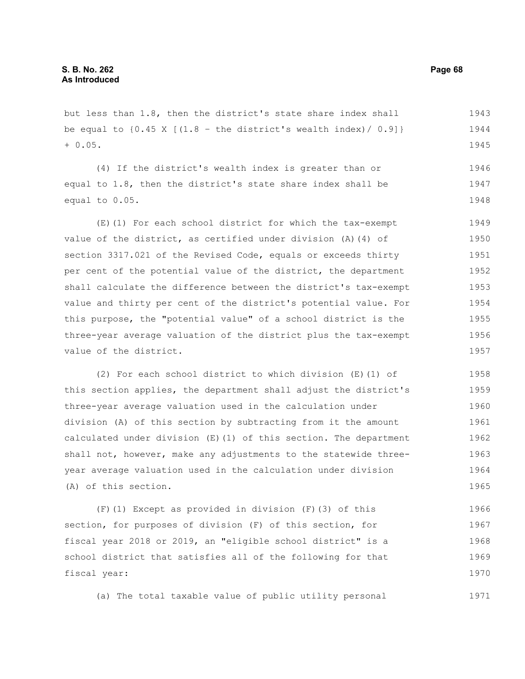but less than 1.8, then the district's state share index shall be equal to  $\{0.45 \times [ (1.8 - \text{the district's wealth index}) / 0.9] \}$ + 0.05. 1943 1944 1945

(4) If the district's wealth index is greater than or equal to 1.8, then the district's state share index shall be equal to 0.05. 1946 1947 1948

(E)(1) For each school district for which the tax-exempt value of the district, as certified under division (A)(4) of section 3317.021 of the Revised Code, equals or exceeds thirty per cent of the potential value of the district, the department shall calculate the difference between the district's tax-exempt value and thirty per cent of the district's potential value. For this purpose, the "potential value" of a school district is the three-year average valuation of the district plus the tax-exempt value of the district. 1949 1950 1951 1952 1953 1954 1955 1956 1957

(2) For each school district to which division (E)(1) of this section applies, the department shall adjust the district's three-year average valuation used in the calculation under division (A) of this section by subtracting from it the amount calculated under division (E)(1) of this section. The department shall not, however, make any adjustments to the statewide threeyear average valuation used in the calculation under division (A) of this section. 1958 1959 1960 1961 1962 1963 1964 1965

(F)(1) Except as provided in division (F)(3) of this section, for purposes of division (F) of this section, for fiscal year 2018 or 2019, an "eligible school district" is a school district that satisfies all of the following for that fiscal year: 1966 1967 1968 1969 1970

(a) The total taxable value of public utility personal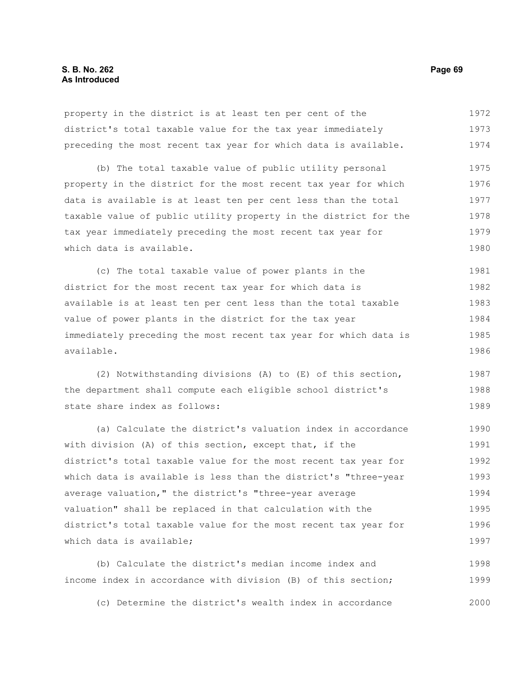property in the district is at least ten per cent of the district's total taxable value for the tax year immediately preceding the most recent tax year for which data is available. 1972 1973 1974

(b) The total taxable value of public utility personal property in the district for the most recent tax year for which data is available is at least ten per cent less than the total taxable value of public utility property in the district for the tax year immediately preceding the most recent tax year for which data is available. 1975 1976 1977 1978 1979 1980

(c) The total taxable value of power plants in the district for the most recent tax year for which data is available is at least ten per cent less than the total taxable value of power plants in the district for the tax year immediately preceding the most recent tax year for which data is available. 1981 1982 1983 1984 1985 1986

(2) Notwithstanding divisions (A) to (E) of this section, the department shall compute each eligible school district's state share index as follows: 1987 1988 1989

(a) Calculate the district's valuation index in accordance with division (A) of this section, except that, if the district's total taxable value for the most recent tax year for which data is available is less than the district's "three-year average valuation," the district's "three-year average valuation" shall be replaced in that calculation with the district's total taxable value for the most recent tax year for which data is available; 1990 1991 1992 1993 1994 1995 1996 1997

(b) Calculate the district's median income index and income index in accordance with division (B) of this section; 1998 1999

(c) Determine the district's wealth index in accordance 2000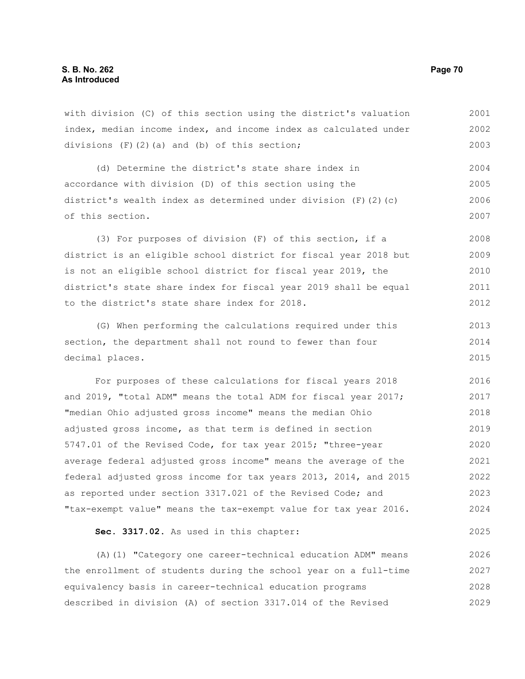with division (C) of this section using the district's valuation index, median income index, and income index as calculated under divisions (F)(2)(a) and (b) of this section; 2001 2002 2003

(d) Determine the district's state share index in accordance with division (D) of this section using the district's wealth index as determined under division (F)(2)(c) of this section. 2004 2005 2006 2007

(3) For purposes of division (F) of this section, if a district is an eligible school district for fiscal year 2018 but is not an eligible school district for fiscal year 2019, the district's state share index for fiscal year 2019 shall be equal to the district's state share index for 2018. 2008 2009 2010 2011 2012

(G) When performing the calculations required under this section, the department shall not round to fewer than four decimal places. 2013 2014 2015

For purposes of these calculations for fiscal years 2018 and 2019, "total ADM" means the total ADM for fiscal year 2017; "median Ohio adjusted gross income" means the median Ohio adjusted gross income, as that term is defined in section 5747.01 of the Revised Code, for tax year 2015; "three-year average federal adjusted gross income" means the average of the federal adjusted gross income for tax years 2013, 2014, and 2015 as reported under section 3317.021 of the Revised Code; and "tax-exempt value" means the tax-exempt value for tax year 2016. 2016 2017 2018 2019 2020 2021 2022 2023 2024

**Sec. 3317.02.** As used in this chapter:

(A)(1) "Category one career-technical education ADM" means the enrollment of students during the school year on a full-time equivalency basis in career-technical education programs described in division (A) of section 3317.014 of the Revised 2026 2027 2028 2029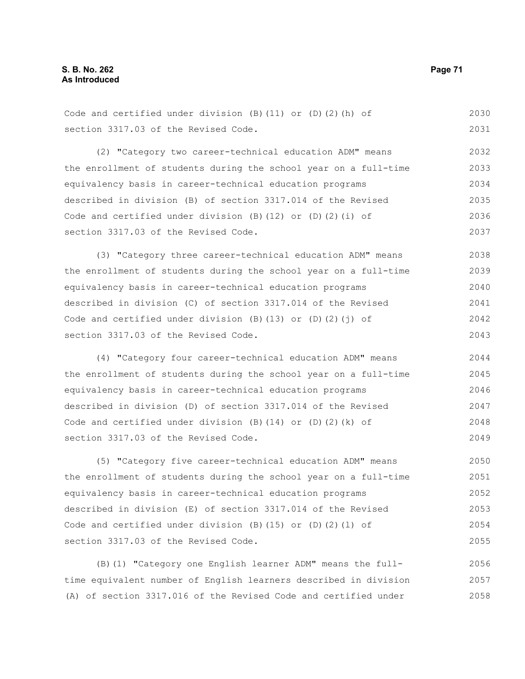Code and certified under division (B)(11) or (D)(2)(h) of section 3317.03 of the Revised Code. 2030 2031

(2) "Category two career-technical education ADM" means the enrollment of students during the school year on a full-time equivalency basis in career-technical education programs described in division (B) of section 3317.014 of the Revised Code and certified under division (B)(12) or (D)(2)(i) of section 3317.03 of the Revised Code. 2032 2033 2034 2035 2036 2037

(3) "Category three career-technical education ADM" means the enrollment of students during the school year on a full-time equivalency basis in career-technical education programs described in division (C) of section 3317.014 of the Revised Code and certified under division (B)(13) or (D)(2)( $j$ ) of section 3317.03 of the Revised Code. 2038 2039 2040 2041 2042 2043

(4) "Category four career-technical education ADM" means the enrollment of students during the school year on a full-time equivalency basis in career-technical education programs described in division (D) of section 3317.014 of the Revised Code and certified under division  $(B)$   $(14)$  or  $(D)$   $(2)$   $(k)$  of section 3317.03 of the Revised Code. 2044 2045 2046 2047 2048 2049

(5) "Category five career-technical education ADM" means the enrollment of students during the school year on a full-time equivalency basis in career-technical education programs described in division (E) of section 3317.014 of the Revised Code and certified under division  $(B)$  (15) or  $(D)$  (2)(1) of section 3317.03 of the Revised Code. 2050 2051 2052 2053 2054 2055

(B)(1) "Category one English learner ADM" means the fulltime equivalent number of English learners described in division (A) of section 3317.016 of the Revised Code and certified under 2056 2057 2058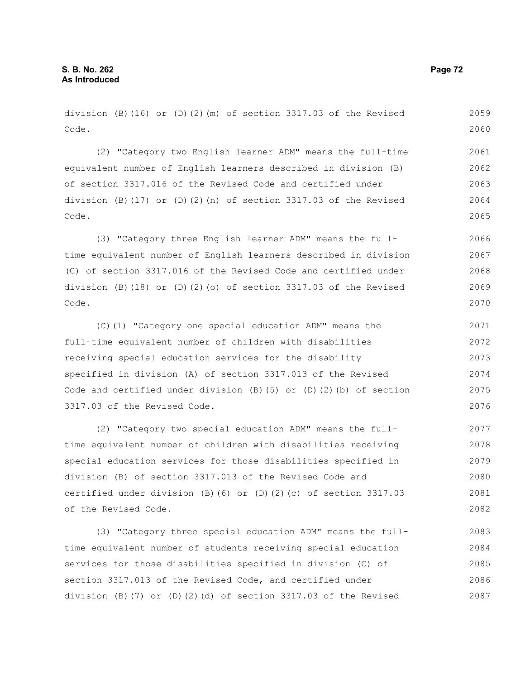division (B)(16) or (D)(2)(m) of section 3317.03 of the Revised Code. 2059 2060

(2) "Category two English learner ADM" means the full-time equivalent number of English learners described in division (B) of section 3317.016 of the Revised Code and certified under division (B)(17) or (D)(2)(n) of section  $3317.03$  of the Revised Code. 2061 2062 2063 2064 2065

(3) "Category three English learner ADM" means the fulltime equivalent number of English learners described in division (C) of section 3317.016 of the Revised Code and certified under division (B)(18) or (D)(2)(o) of section  $3317.03$  of the Revised Code. 2066 2067 2068 2069 2070

(C)(1) "Category one special education ADM" means the full-time equivalent number of children with disabilities receiving special education services for the disability specified in division (A) of section 3317.013 of the Revised Code and certified under division  $(B)$  (5) or  $(D)$  (2)(b) of section 3317.03 of the Revised Code. 2071 2072 2073 2074 2075 2076

(2) "Category two special education ADM" means the fulltime equivalent number of children with disabilities receiving special education services for those disabilities specified in division (B) of section 3317.013 of the Revised Code and certified under division (B)(6) or (D)(2)(c) of section 3317.03 of the Revised Code. 2077 2078 2079 2080 2081 2082

(3) "Category three special education ADM" means the fulltime equivalent number of students receiving special education services for those disabilities specified in division (C) of section 3317.013 of the Revised Code, and certified under division (B)(7) or (D)(2)(d) of section 3317.03 of the Revised 2083 2084 2085 2086 2087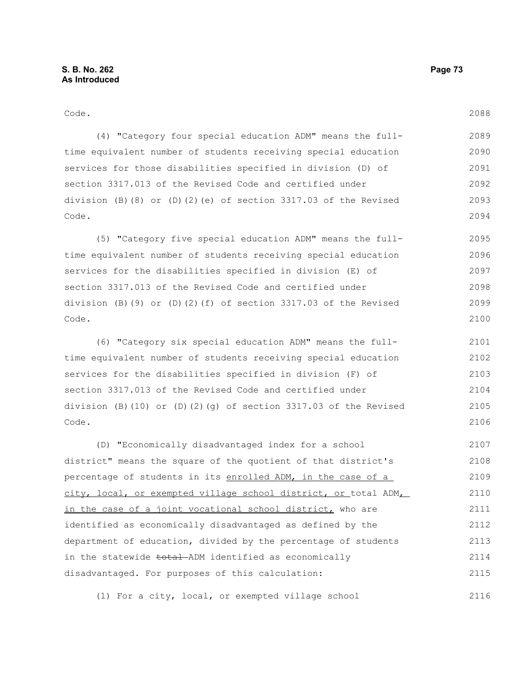| Code.                                                                      | 2088 |
|----------------------------------------------------------------------------|------|
| (4) "Category four special education ADM" means the full-                  | 2089 |
| time equivalent number of students receiving special education             | 2090 |
| services for those disabilities specified in division (D) of               | 2091 |
| section 3317.013 of the Revised Code and certified under                   | 2092 |
| division (B) $(8)$ or (D) $(2)$ (e) of section 3317.03 of the Revised      | 2093 |
| Code.                                                                      | 2094 |
| (5) "Category five special education ADM" means the full-                  | 2095 |
| time equivalent number of students receiving special education             | 2096 |
| services for the disabilities specified in division (E) of                 | 2097 |
| section 3317.013 of the Revised Code and certified under                   | 2098 |
| division (B)(9) or (D)(2)(f) of section 3317.03 of the Revised             | 2099 |
| Code.                                                                      | 2100 |
| (6) "Category six special education ADM" means the full-                   | 2101 |
| time equivalent number of students receiving special education             | 2102 |
| services for the disabilities specified in division (F) of                 | 2103 |
| section 3317.013 of the Revised Code and certified under                   | 2104 |
| division (B) $(10)$ or $(D)$ $(2)$ $(g)$ of section 3317.03 of the Revised | 2105 |
| Code.                                                                      | 2106 |
| (D) "Economically disadvantaged index for a school                         | 2107 |
| district" means the square of the quotient of that district's              | 2108 |
| percentage of students in its enrolled ADM, in the case of a               | 2109 |
| city, local, or exempted village school district, or total ADM             | 2110 |
| in the case of a joint vocational school district, who are                 | 2111 |
| identified as economically disadvantaged as defined by the                 | 2112 |

department of education, divided by the percentage of students in the statewide total ADM identified as economically disadvantaged. For purposes of this calculation: 2113 2114 2115 2116

(1) For a city, local, or exempted village school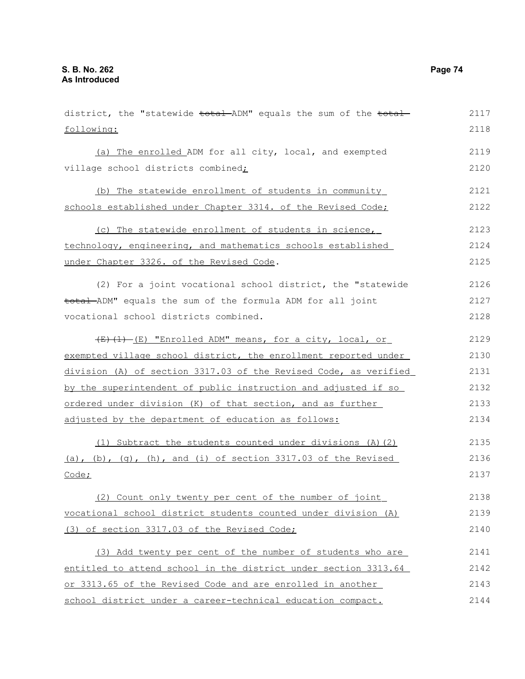| district, the "statewide total ADM" equals the sum of the total  | 2117 |
|------------------------------------------------------------------|------|
| following:                                                       | 2118 |
| (a) The enrolled ADM for all city, local, and exempted           | 2119 |
| village school districts combined;                               | 2120 |
| (b) The statewide enrollment of students in community            | 2121 |
| schools established under Chapter 3314. of the Revised Code;     | 2122 |
| (c) The statewide enrollment of students in science,             | 2123 |
| technology, engineering, and mathematics schools established     | 2124 |
| under Chapter 3326. of the Revised Code.                         | 2125 |
| (2) For a joint vocational school district, the "statewide       | 2126 |
| total ADM" equals the sum of the formula ADM for all joint       | 2127 |
| vocational school districts combined.                            | 2128 |
| (E) (1) - (E) "Enrolled ADM" means, for a city, local, or        | 2129 |
| exempted village school district, the enrollment reported under  | 2130 |
| division (A) of section 3317.03 of the Revised Code, as verified | 2131 |
| by the superintendent of public instruction and adjusted if so   | 2132 |
| ordered under division (K) of that section, and as further       | 2133 |
| adjusted by the department of education as follows:              | 2134 |
| (1) Subtract the students counted under divisions (A) (2)        | 2135 |
| (a), (b), (g), (h), and (i) of section $3317.03$ of the Revised  | 2136 |
| Code;                                                            | 2137 |
| Count only twenty per cent of the number of joint                | 2138 |
| vocational school district students counted under division (A)   | 2139 |
| (3) of section 3317.03 of the Revised Code;                      | 2140 |
| (3) Add twenty per cent of the number of students who are        | 2141 |
| entitled to attend school in the district under section 3313.64  | 2142 |
| or 3313.65 of the Revised Code and are enrolled in another       | 2143 |
| school district under a career-technical education compact.      | 2144 |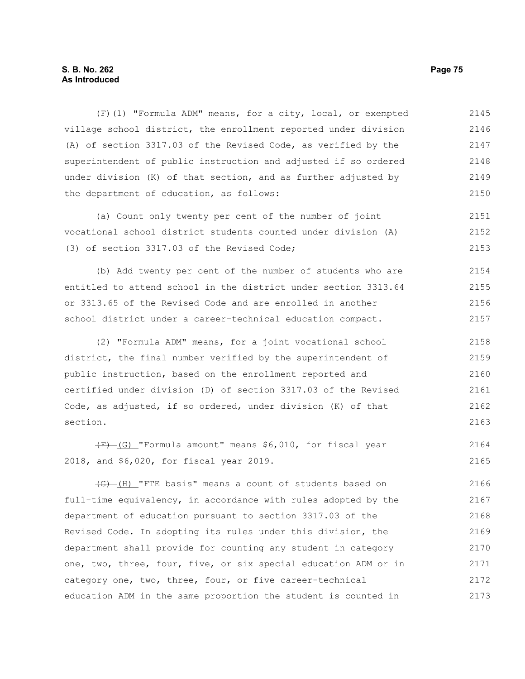### **S. B. No. 262 Page 75 As Introduced**

(F)(1) "Formula ADM" means, for a city, local, or exempted village school district, the enrollment reported under division (A) of section 3317.03 of the Revised Code, as verified by the superintendent of public instruction and adjusted if so ordered under division (K) of that section, and as further adjusted by the department of education, as follows: 2145 2146 2147 2148 2149 2150

(a) Count only twenty per cent of the number of joint vocational school district students counted under division (A) (3) of section 3317.03 of the Revised Code; 2151 2152 2153

(b) Add twenty per cent of the number of students who are entitled to attend school in the district under section 3313.64 or 3313.65 of the Revised Code and are enrolled in another school district under a career-technical education compact. 2154 2155 2156 2157

(2) "Formula ADM" means, for a joint vocational school district, the final number verified by the superintendent of public instruction, based on the enrollment reported and certified under division (D) of section 3317.03 of the Revised Code, as adjusted, if so ordered, under division (K) of that section. 2158 2159 2160 2161 2162 2163

 $\overline{F}$  (G) "Formula amount" means \$6,010, for fiscal year 2018, and \$6,020, for fiscal year 2019. 2164 2165

(G) (H) "FTE basis" means a count of students based on full-time equivalency, in accordance with rules adopted by the department of education pursuant to section 3317.03 of the Revised Code. In adopting its rules under this division, the department shall provide for counting any student in category one, two, three, four, five, or six special education ADM or in category one, two, three, four, or five career-technical education ADM in the same proportion the student is counted in 2166 2167 2168 2169 2170 2171 2172 2173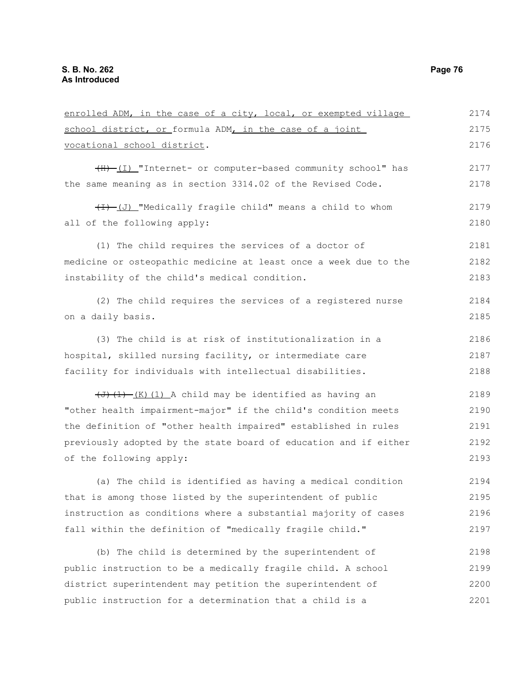| enrolled ADM, in the case of a city, local, or exempted village                                   | 2174 |
|---------------------------------------------------------------------------------------------------|------|
| school district, or formula ADM, in the case of a joint                                           | 2175 |
| vocational school district.                                                                       | 2176 |
| (I) "Internet- or computer-based community school" has                                            | 2177 |
| the same meaning as in section 3314.02 of the Revised Code.                                       | 2178 |
| (I) "Medically fragile child" means a child to whom                                               | 2179 |
| all of the following apply:                                                                       | 2180 |
| (1) The child requires the services of a doctor of                                                | 2181 |
| medicine or osteopathic medicine at least once a week due to the                                  | 2182 |
| instability of the child's medical condition.                                                     | 2183 |
| (2) The child requires the services of a registered nurse                                         | 2184 |
| on a daily basis.                                                                                 | 2185 |
| (3) The child is at risk of institutionalization in a                                             | 2186 |
| hospital, skilled nursing facility, or intermediate care                                          | 2187 |
| facility for individuals with intellectual disabilities.                                          | 2188 |
| $\left(\frac{1}{1} + \frac{1}{1} + \frac{1}{1}\right)$ (1) A child may be identified as having an | 2189 |
| "other health impairment-major" if the child's condition meets                                    | 2190 |
| the definition of "other health impaired" established in rules                                    | 2191 |
| previously adopted by the state board of education and if either                                  | 2192 |
| of the following apply:                                                                           | 2193 |
| (a) The child is identified as having a medical condition                                         | 2194 |
| that is among those listed by the superintendent of public                                        | 2195 |
| instruction as conditions where a substantial majority of cases                                   | 2196 |
| fall within the definition of "medically fragile child."                                          | 2197 |
| (b) The child is determined by the superintendent of                                              | 2198 |
| public instruction to be a medically fragile child. A school                                      | 2199 |
| district superintendent may petition the superintendent of                                        | 2200 |
| public instruction for a determination that a child is a                                          | 2201 |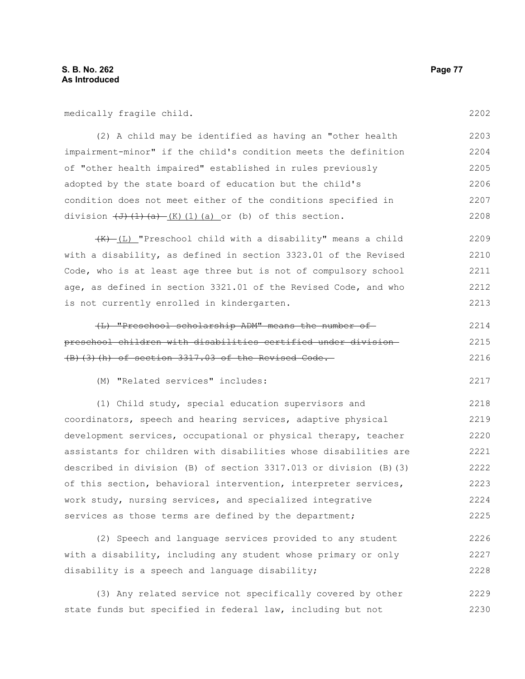medically fragile child.

(2) A child may be identified as having an "other health impairment-minor" if the child's condition meets the definition of "other health impaired" established in rules previously adopted by the state board of education but the child's condition does not meet either of the conditions specified in division  $\left(\frac{J}{J}\right)\left(\frac{1}{a}\right) - \left(K\right)\left(1\right)$  (a) or (b) of this section. 2203 2204 2205 2206 2207 2208

 $\frac{1}{(K) - (L)}$  "Preschool child with a disability" means a child with a disability, as defined in section 3323.01 of the Revised Code, who is at least age three but is not of compulsory school age, as defined in section 3321.01 of the Revised Code, and who is not currently enrolled in kindergarten. 2209 2210 2211 2212 2213

| (L) "Preschool scholarship ADM" means the number of            | 2214 |
|----------------------------------------------------------------|------|
| preschool children with disabilities certified under division- | 2215 |
| $(B)$ (3) (h) of section 3317.03 of the Revised Code.          | 2216 |

(M) "Related services" includes:

(1) Child study, special education supervisors and coordinators, speech and hearing services, adaptive physical development services, occupational or physical therapy, teacher assistants for children with disabilities whose disabilities are described in division (B) of section 3317.013 or division (B)(3) of this section, behavioral intervention, interpreter services, work study, nursing services, and specialized integrative services as those terms are defined by the department; 2218 2219 2220 2221 2222 2223 2224 2225

(2) Speech and language services provided to any student with a disability, including any student whose primary or only disability is a speech and language disability; 2226 2227 2228

(3) Any related service not specifically covered by other state funds but specified in federal law, including but not 2229 2230

2202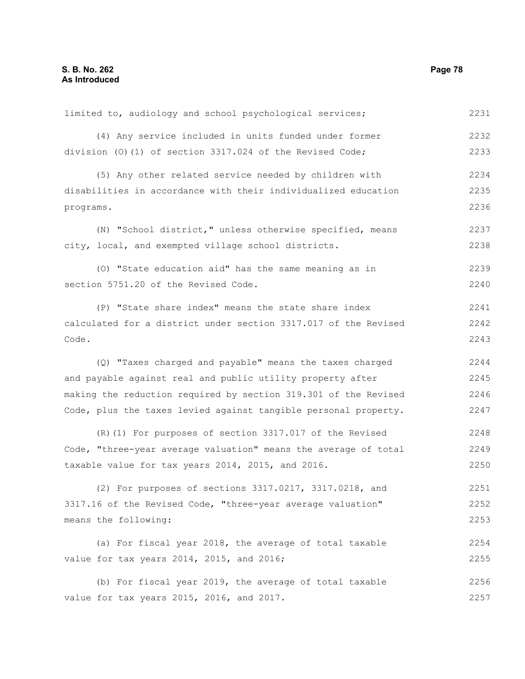| limited to, audiology and school psychological services;        | 2231 |
|-----------------------------------------------------------------|------|
| (4) Any service included in units funded under former           | 2232 |
| division $(0)$ (1) of section 3317.024 of the Revised Code;     | 2233 |
| (5) Any other related service needed by children with           | 2234 |
| disabilities in accordance with their individualized education  | 2235 |
| programs.                                                       | 2236 |
| (N) "School district," unless otherwise specified, means        | 2237 |
| city, local, and exempted village school districts.             | 2238 |
| (0) "State education aid" has the same meaning as in            | 2239 |
| section 5751.20 of the Revised Code.                            | 2240 |
| (P) "State share index" means the state share index             | 2241 |
| calculated for a district under section 3317.017 of the Revised | 2242 |
| Code.                                                           | 2243 |
| (Q) "Taxes charged and payable" means the taxes charged         | 2244 |
| and payable against real and public utility property after      | 2245 |
| making the reduction required by section 319.301 of the Revised | 2246 |
| Code, plus the taxes levied against tangible personal property. | 2247 |
| (R) (1) For purposes of section 3317.017 of the Revised         | 2248 |
| Code, "three-year average valuation" means the average of total | 2249 |
| taxable value for tax years 2014, 2015, and 2016.               | 2250 |
| (2) For purposes of sections 3317.0217, 3317.0218, and          | 2251 |
| 3317.16 of the Revised Code, "three-year average valuation"     | 2252 |
| means the following:                                            | 2253 |
| (a) For fiscal year 2018, the average of total taxable          | 2254 |
| value for tax years 2014, 2015, and 2016;                       | 2255 |
| (b) For fiscal year 2019, the average of total taxable          | 2256 |
| value for tax years 2015, 2016, and 2017.                       | 2257 |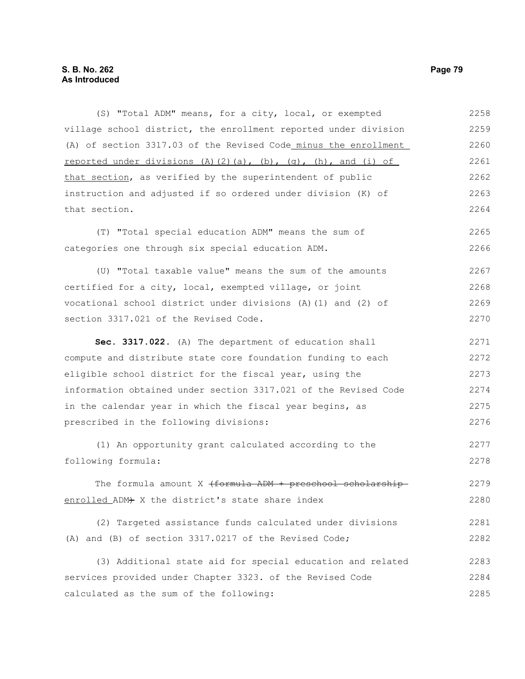(S) "Total ADM" means, for a city, local, or exempted village school district, the enrollment reported under division (A) of section 3317.03 of the Revised Code minus the enrollment reported under divisions (A)(2)(a), (b), (q), (h), and (i) of that section, as verified by the superintendent of public instruction and adjusted if so ordered under division (K) of that section. (T) "Total special education ADM" means the sum of categories one through six special education ADM. (U) "Total taxable value" means the sum of the amounts certified for a city, local, exempted village, or joint vocational school district under divisions (A)(1) and (2) of section 3317.021 of the Revised Code. **Sec. 3317.022.** (A) The department of education shall compute and distribute state core foundation funding to each eligible school district for the fiscal year, using the information obtained under section 3317.021 of the Revised Code in the calendar year in which the fiscal year begins, as prescribed in the following divisions: (1) An opportunity grant calculated according to the following formula: The formula amount X  $\{ \text{formula }$  ADM + preschool scholarshipenrolled ADM+ X the district's state share index (2) Targeted assistance funds calculated under divisions (A) and (B) of section 3317.0217 of the Revised Code; (3) Additional state aid for special education and related services provided under Chapter 3323. of the Revised Code calculated as the sum of the following: 2258 2259 2260 2261 2262 2263 2264 2265 2266 2267 2268 2269 2270 2271 2272 2273 2274 2275 2276 2277 2278 2279 2280 2281 2282 2283 2284 2285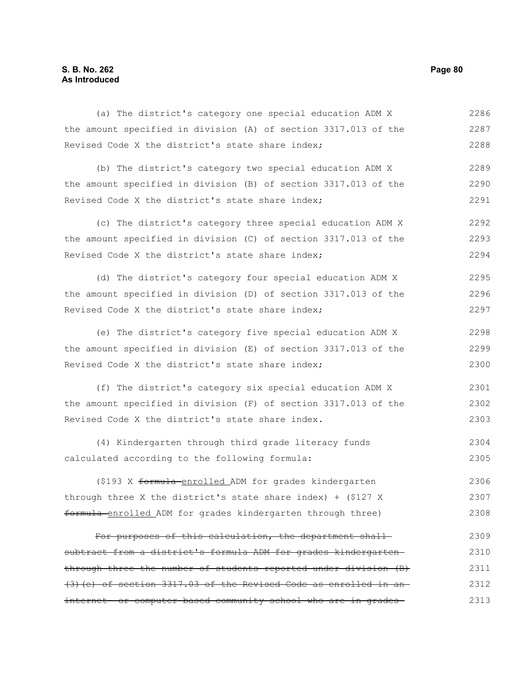# **S. B. No. 262 Page 80 As Introduced**

| (a) The district's category one special education ADM X             | 2286 |
|---------------------------------------------------------------------|------|
| the amount specified in division (A) of section 3317.013 of the     | 2287 |
| Revised Code X the district's state share index;                    | 2288 |
| (b) The district's category two special education ADM X             | 2289 |
| the amount specified in division (B) of section 3317.013 of the     | 2290 |
| Revised Code X the district's state share index;                    | 2291 |
| (c) The district's category three special education ADM X           | 2292 |
| the amount specified in division (C) of section 3317.013 of the     | 2293 |
| Revised Code X the district's state share index;                    | 2294 |
| (d) The district's category four special education ADM X            | 2295 |
| the amount specified in division (D) of section 3317.013 of the     | 2296 |
| Revised Code X the district's state share index;                    | 2297 |
| (e) The district's category five special education ADM X            | 2298 |
| the amount specified in division (E) of section 3317.013 of the     | 2299 |
| Revised Code X the district's state share index;                    | 2300 |
| (f) The district's category six special education ADM X             | 2301 |
| the amount specified in division (F) of section 3317.013 of the     | 2302 |
| Revised Code X the district's state share index.                    | 2303 |
| (4) Kindergarten through third grade literacy funds                 | 2304 |
| calculated according to the following formula:                      | 2305 |
| (\$193 X formula enrolled ADM for grades kindergarten               | 2306 |
| through three X the district's state share index) + (\$127 X        | 2307 |
| formula enrolled ADM for grades kindergarten through three)         | 2308 |
| For purposes of this calculation, the department shall-             | 2309 |
| subtract from a district's formula ADM for grades kindergarten-     | 2310 |
| through three the number of students reported under division (B)    | 2311 |
| $(3)$ (e) of section 3317.03 of the Revised Code as enrolled in an- | 2312 |
| internet- or computer-based community school who are in grades-     | 2313 |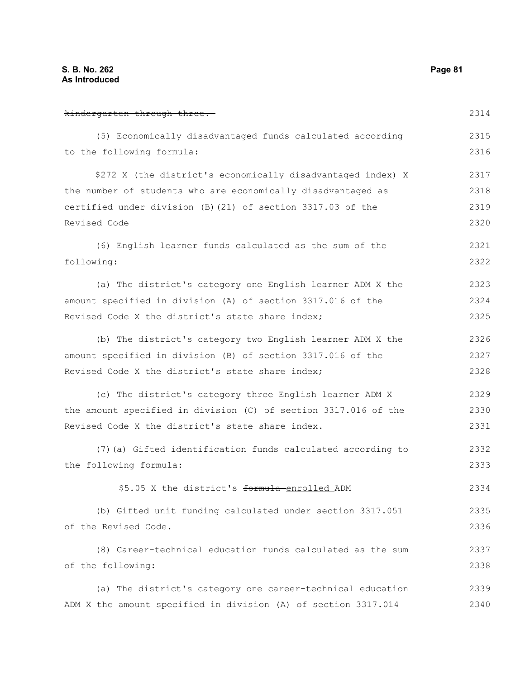kindergarten through three. (5) Economically disadvantaged funds calculated according to the following formula: \$272 X (the district's economically disadvantaged index) X the number of students who are economically disadvantaged as certified under division (B)(21) of section 3317.03 of the Revised Code (6) English learner funds calculated as the sum of the following: (a) The district's category one English learner ADM X the amount specified in division (A) of section 3317.016 of the Revised Code X the district's state share index; (b) The district's category two English learner ADM X the amount specified in division (B) of section 3317.016 of the Revised Code X the district's state share index; (c) The district's category three English learner ADM X the amount specified in division (C) of section 3317.016 of the Revised Code X the district's state share index. (7)(a) Gifted identification funds calculated according to the following formula: \$5.05 X the district's formula-enrolled ADM (b) Gifted unit funding calculated under section 3317.051 of the Revised Code. (8) Career-technical education funds calculated as the sum of the following: (a) The district's category one career-technical education 2314 2315 2316 2317 2318 2319 2320 2321 2322 2323 2324 2325 2326 2327 2328 2329 2330 2331 2332 2333 2334 2335 2336 2337 2338 2339

ADM X the amount specified in division (A) of section 3317.014 2340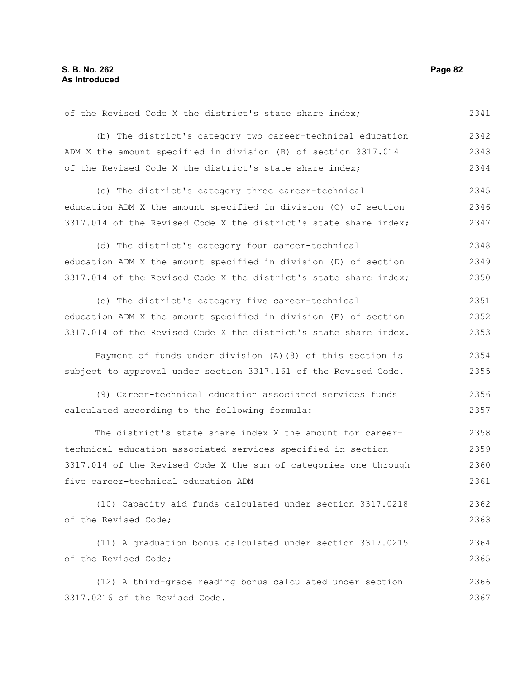of the Revised Code X the district's state share index; (b) The district's category two career-technical education ADM X the amount specified in division (B) of section 3317.014 of the Revised Code X the district's state share index; (c) The district's category three career-technical education ADM X the amount specified in division (C) of section 3317.014 of the Revised Code X the district's state share index; (d) The district's category four career-technical education ADM X the amount specified in division (D) of section 3317.014 of the Revised Code X the district's state share index; (e) The district's category five career-technical education ADM X the amount specified in division (E) of section 3317.014 of the Revised Code X the district's state share index. Payment of funds under division (A)(8) of this section is subject to approval under section 3317.161 of the Revised Code. (9) Career-technical education associated services funds calculated according to the following formula: The district's state share index X the amount for careertechnical education associated services specified in section 3317.014 of the Revised Code X the sum of categories one through five career-technical education ADM (10) Capacity aid funds calculated under section 3317.0218 of the Revised Code; (11) A graduation bonus calculated under section 3317.0215 of the Revised Code; (12) A third-grade reading bonus calculated under section 3317.0216 of the Revised Code. 2341 2342 2343 2344 2345 2346 2347 2348 2349 2350 2351 2352 2353 2354 2355 2356 2357 2358 2359 2360 2361 2362 2363 2364 2365 2366 2367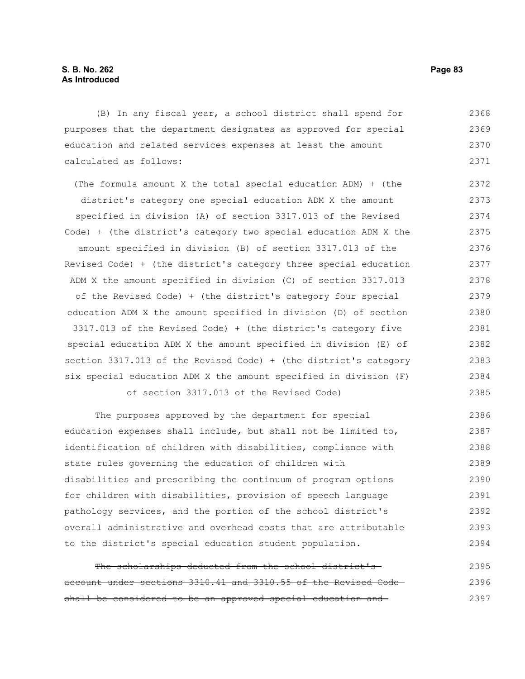(B) In any fiscal year, a school district shall spend for purposes that the department designates as approved for special education and related services expenses at least the amount calculated as follows: 2368 2369 2370 2371

(The formula amount X the total special education ADM) + (the district's category one special education ADM X the amount specified in division (A) of section 3317.013 of the Revised Code) + (the district's category two special education ADM X the amount specified in division (B) of section 3317.013 of the Revised Code) + (the district's category three special education ADM X the amount specified in division (C) of section 3317.013 of the Revised Code) + (the district's category four special education ADM X the amount specified in division (D) of section 3317.013 of the Revised Code) + (the district's category five special education ADM X the amount specified in division (E) of section 3317.013 of the Revised Code) + (the district's category six special education ADM X the amount specified in division (F) of section 3317.013 of the Revised Code) 2372 2373 2374 2375 2376 2377 2378 2379 2380 2381 2382 2383 2384 2385

The purposes approved by the department for special education expenses shall include, but shall not be limited to, identification of children with disabilities, compliance with state rules governing the education of children with disabilities and prescribing the continuum of program options for children with disabilities, provision of speech language pathology services, and the portion of the school district's overall administrative and overhead costs that are attributable to the district's special education student population. 2386 2387 2388 2389 2390 2391 2392 2393 2394

The scholarships deducted from the school district'saccount under sections 3310.41 and 3310.55 of the Revised Code shall be considered to be an approved special education and 2395 2396 2397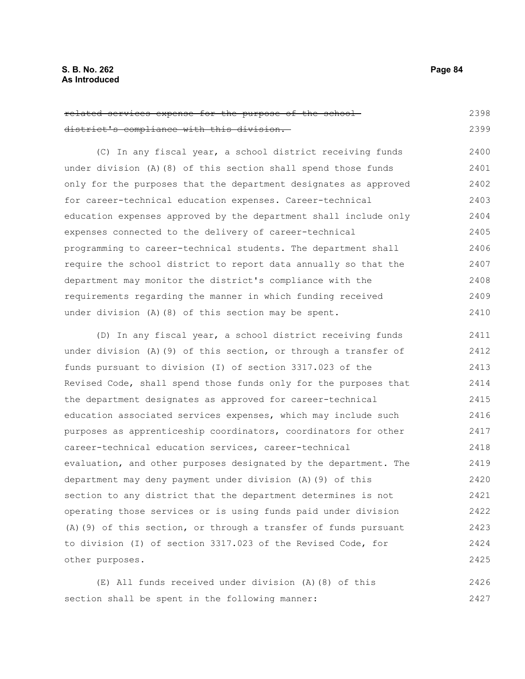| related services expense for the purpose of the school-            | 2398 |
|--------------------------------------------------------------------|------|
| district's compliance with this division.                          | 2399 |
| (C) In any fiscal year, a school district receiving funds          | 2400 |
| under division $(A)$ $(8)$ of this section shall spend those funds | 2401 |
| only for the purposes that the department designates as approved   | 2402 |
| for career-technical education expenses. Career-technical          | 2403 |
| education expenses approved by the department shall include only   | 2404 |
| expenses connected to the delivery of career-technical             | 2405 |
| programming to career-technical students. The department shall     | 2406 |
| require the school district to report data annually so that the    | 2407 |
| department may monitor the district's compliance with the          | 2408 |
| requirements regarding the manner in which funding received        | 2409 |
| under division $(A)$ $(8)$ of this section may be spent.           | 2410 |

(D) In any fiscal year, a school district receiving funds under division (A)(9) of this section, or through a transfer of funds pursuant to division (I) of section 3317.023 of the Revised Code, shall spend those funds only for the purposes that the department designates as approved for career-technical education associated services expenses, which may include such purposes as apprenticeship coordinators, coordinators for other career-technical education services, career-technical evaluation, and other purposes designated by the department. The department may deny payment under division (A)(9) of this section to any district that the department determines is not operating those services or is using funds paid under division (A)(9) of this section, or through a transfer of funds pursuant to division (I) of section 3317.023 of the Revised Code, for other purposes. 2411 2412 2413 2414 2415 2416 2417 2418 2419 2420 2421 2422 2423 2424 2425

(E) All funds received under division (A)(8) of this section shall be spent in the following manner: 2426 2427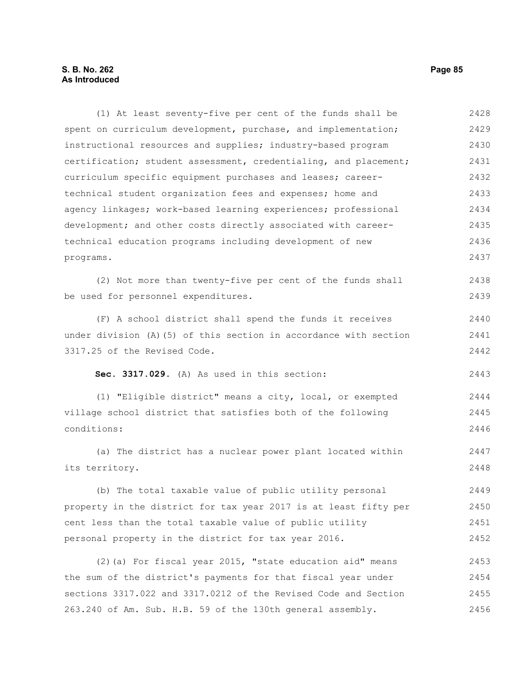## **S. B. No. 262 Page 85 As Introduced**

(1) At least seventy-five per cent of the funds shall be spent on curriculum development, purchase, and implementation; instructional resources and supplies; industry-based program certification; student assessment, credentialing, and placement; curriculum specific equipment purchases and leases; careertechnical student organization fees and expenses; home and agency linkages; work-based learning experiences; professional development; and other costs directly associated with careertechnical education programs including development of new programs. (2) Not more than twenty-five per cent of the funds shall be used for personnel expenditures. (F) A school district shall spend the funds it receives under division (A)(5) of this section in accordance with section 3317.25 of the Revised Code. **Sec. 3317.029.** (A) As used in this section: (1) "Eligible district" means a city, local, or exempted village school district that satisfies both of the following conditions: (a) The district has a nuclear power plant located within its territory. (b) The total taxable value of public utility personal property in the district for tax year 2017 is at least fifty per cent less than the total taxable value of public utility personal property in the district for tax year 2016. (2)(a) For fiscal year 2015, "state education aid" means the sum of the district's payments for that fiscal year under sections 3317.022 and 3317.0212 of the Revised Code and Section 263.240 of Am. Sub. H.B. 59 of the 130th general assembly. 2428 2429 2430 2431 2432 2433 2434 2435 2436 2437 2438 2439 2440 2441 2442 2443 2444 2445 2446 2447 2448 2449 2450 2451 2452 2453 2454 2455 2456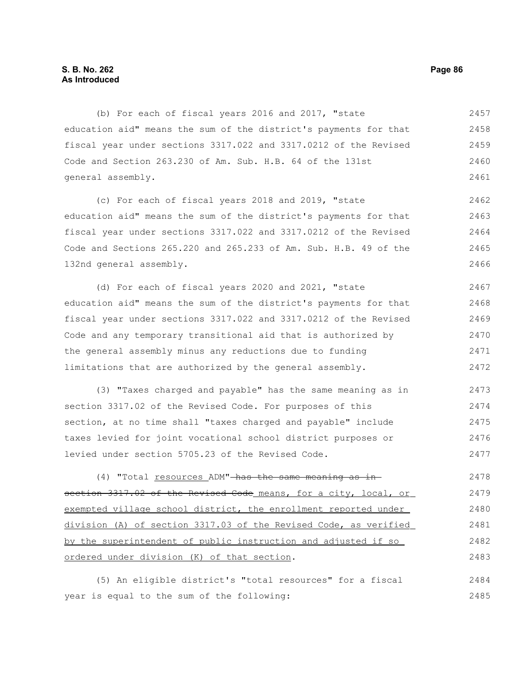## **S. B. No. 262 Page 86 As Introduced**

(b) For each of fiscal years 2016 and 2017, "state education aid" means the sum of the district's payments for that fiscal year under sections 3317.022 and 3317.0212 of the Revised Code and Section 263.230 of Am. Sub. H.B. 64 of the 131st general assembly. 2457 2458 2459 2460 2461

(c) For each of fiscal years 2018 and 2019, "state education aid" means the sum of the district's payments for that fiscal year under sections 3317.022 and 3317.0212 of the Revised Code and Sections 265.220 and 265.233 of Am. Sub. H.B. 49 of the 132nd general assembly. 2462 2463 2464 2465 2466

(d) For each of fiscal years 2020 and 2021, "state education aid" means the sum of the district's payments for that fiscal year under sections 3317.022 and 3317.0212 of the Revised Code and any temporary transitional aid that is authorized by the general assembly minus any reductions due to funding limitations that are authorized by the general assembly. 2467 2468 2469 2470 2471 2472

(3) "Taxes charged and payable" has the same meaning as in section 3317.02 of the Revised Code. For purposes of this section, at no time shall "taxes charged and payable" include taxes levied for joint vocational school district purposes or levied under section 5705.23 of the Revised Code. 2473 2474 2475 2476 2477

(4) "Total resources ADM" has the same meaning as insection 3317.02 of the Revised Code means, for a city, local, or exempted village school district, the enrollment reported under division (A) of section 3317.03 of the Revised Code, as verified by the superintendent of public instruction and adjusted if so ordered under division (K) of that section. 2478 2479 2480 2481 2482 2483

(5) An eligible district's "total resources" for a fiscal year is equal to the sum of the following: 2484 2485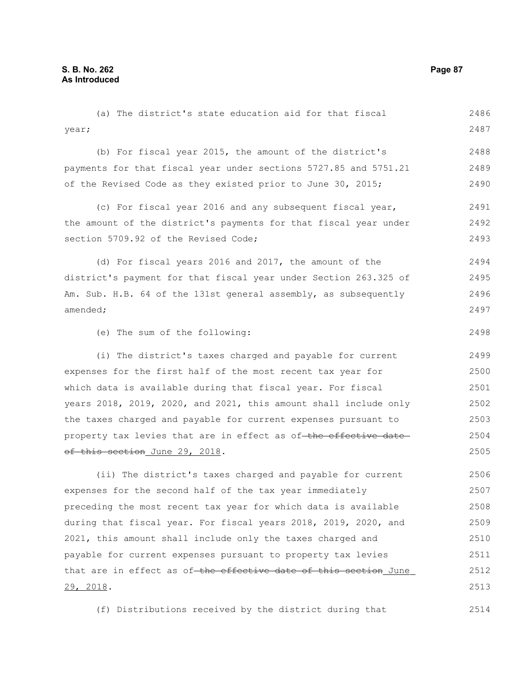29, 2018.

(a) The district's state education aid for that fiscal year; (b) For fiscal year 2015, the amount of the district's payments for that fiscal year under sections 5727.85 and 5751.21 of the Revised Code as they existed prior to June 30, 2015; (c) For fiscal year 2016 and any subsequent fiscal year, the amount of the district's payments for that fiscal year under section 5709.92 of the Revised Code; (d) For fiscal years 2016 and 2017, the amount of the district's payment for that fiscal year under Section 263.325 of Am. Sub. H.B. 64 of the 131st general assembly, as subsequently amended; (e) The sum of the following: (i) The district's taxes charged and payable for current expenses for the first half of the most recent tax year for which data is available during that fiscal year. For fiscal years 2018, 2019, 2020, and 2021, this amount shall include only the taxes charged and payable for current expenses pursuant to property tax levies that are in effect as of-the effective dateof this section June 29, 2018. (ii) The district's taxes charged and payable for current expenses for the second half of the tax year immediately preceding the most recent tax year for which data is available during that fiscal year. For fiscal years 2018, 2019, 2020, and 2021, this amount shall include only the taxes charged and payable for current expenses pursuant to property tax levies that are in effect as of the effective date of this section June 2486 2487 2488 2489 2490 2491 2492 2493 2494 2495 2496 2497 2498 2499 2500 2501 2502 2503 2504 2505 2506 2507 2508 2509 2510 2511 2512

(f) Distributions received by the district during that

2514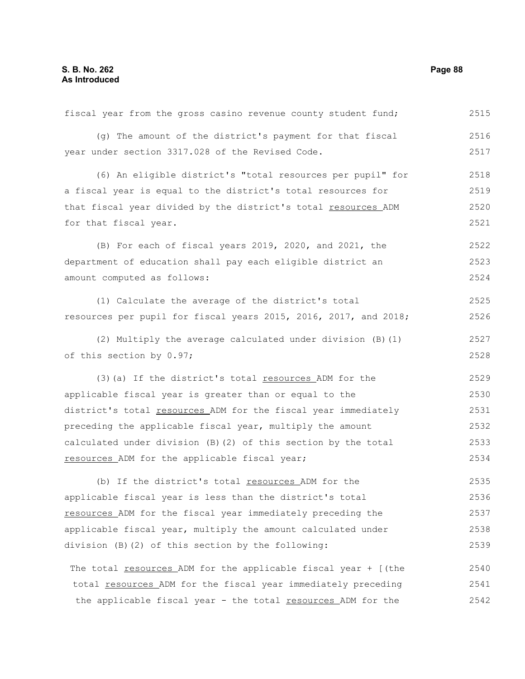fiscal year from the gross casino revenue county student fund; (g) The amount of the district's payment for that fiscal year under section 3317.028 of the Revised Code. (6) An eligible district's "total resources per pupil" for a fiscal year is equal to the district's total resources for that fiscal year divided by the district's total resources ADM for that fiscal year. (B) For each of fiscal years 2019, 2020, and 2021, the department of education shall pay each eligible district an amount computed as follows: (1) Calculate the average of the district's total resources per pupil for fiscal years 2015, 2016, 2017, and 2018; (2) Multiply the average calculated under division (B)(1) of this section by 0.97; (3)(a) If the district's total resources ADM for the applicable fiscal year is greater than or equal to the district's total resources ADM for the fiscal year immediately preceding the applicable fiscal year, multiply the amount calculated under division (B)(2) of this section by the total resources ADM for the applicable fiscal year; (b) If the district's total resources ADM for the applicable fiscal year is less than the district's total resources ADM for the fiscal year immediately preceding the applicable fiscal year, multiply the amount calculated under division (B)(2) of this section by the following: The total <u>resources</u> ADM for the applicable fiscal year + [(the total resources ADM for the fiscal year immediately preceding the applicable fiscal year - the total resources ADM for the 2515 2516 2517 2518 2519 2520 2521 2522 2523 2524 2525 2526 2527 2528 2529 2530 2531 2532 2533 2534 2535 2536 2537 2538 2539 2540 2541 2542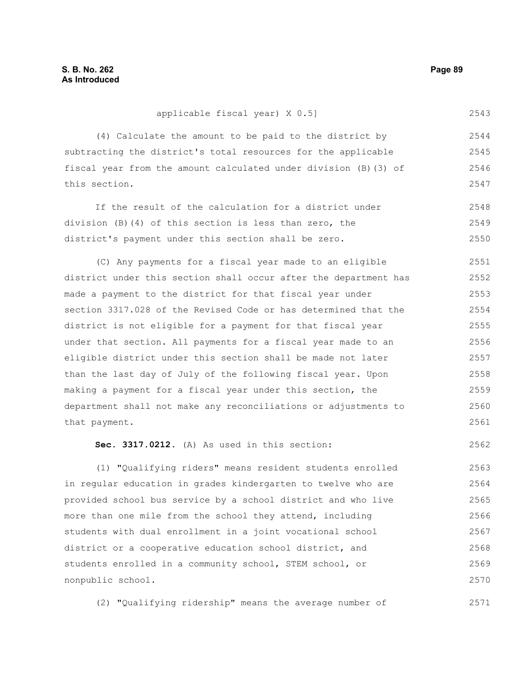| m | ı | н |
|---|---|---|
|---|---|---|

2562

#### applicable fiscal year) X 0.5] 2543

(4) Calculate the amount to be paid to the district by subtracting the district's total resources for the applicable fiscal year from the amount calculated under division (B)(3) of this section. 2544 2545 2546 2547

If the result of the calculation for a district under division (B)(4) of this section is less than zero, the district's payment under this section shall be zero. 2548 2549 2550

(C) Any payments for a fiscal year made to an eligible district under this section shall occur after the department has made a payment to the district for that fiscal year under section 3317.028 of the Revised Code or has determined that the district is not eligible for a payment for that fiscal year under that section. All payments for a fiscal year made to an eligible district under this section shall be made not later than the last day of July of the following fiscal year. Upon making a payment for a fiscal year under this section, the department shall not make any reconciliations or adjustments to that payment. 2551 2552 2553 2554 2555 2556 2557 2558 2559 2560 2561

**Sec. 3317.0212.** (A) As used in this section:

(1) "Qualifying riders" means resident students enrolled in regular education in grades kindergarten to twelve who are provided school bus service by a school district and who live more than one mile from the school they attend, including students with dual enrollment in a joint vocational school district or a cooperative education school district, and students enrolled in a community school, STEM school, or nonpublic school. 2563 2564 2565 2566 2567 2568 2569 2570

(2) "Qualifying ridership" means the average number of 2571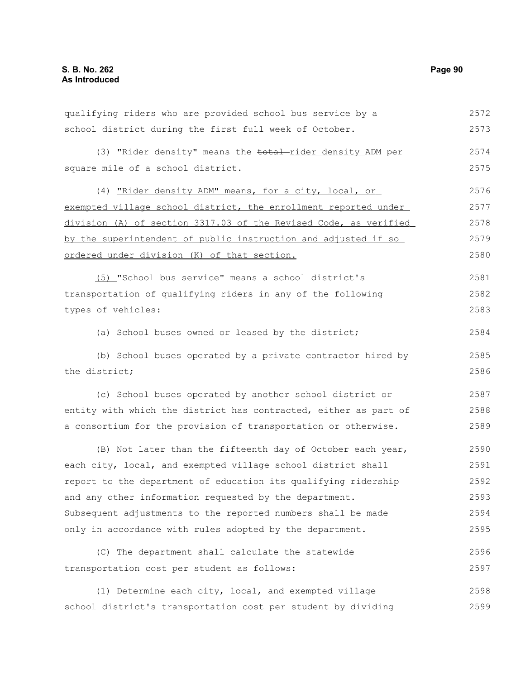school district during the first full week of October. (3) "Rider density" means the <del>total</del>-rider density ADM per square mile of a school district. (4) "Rider density ADM" means, for a city, local, or exempted village school district, the enrollment reported under division (A) of section 3317.03 of the Revised Code, as verified by the superintendent of public instruction and adjusted if so ordered under division (K) of that section. (5) "School bus service" means a school district's transportation of qualifying riders in any of the following types of vehicles: (a) School buses owned or leased by the district; (b) School buses operated by a private contractor hired by the district; (c) School buses operated by another school district or entity with which the district has contracted, either as part of a consortium for the provision of transportation or otherwise. (B) Not later than the fifteenth day of October each year, each city, local, and exempted village school district shall report to the department of education its qualifying ridership and any other information requested by the department. Subsequent adjustments to the reported numbers shall be made only in accordance with rules adopted by the department. (C) The department shall calculate the statewide transportation cost per student as follows: (1) Determine each city, local, and exempted village school district's transportation cost per student by dividing 2573 2574 2575 2576 2577 2578 2579 2580 2581 2582 2583 2584 2585 2586 2587 2588 2589 2590 2591 2592 2593 2594 2595 2596 2597 2598

qualifying riders who are provided school bus service by a

2572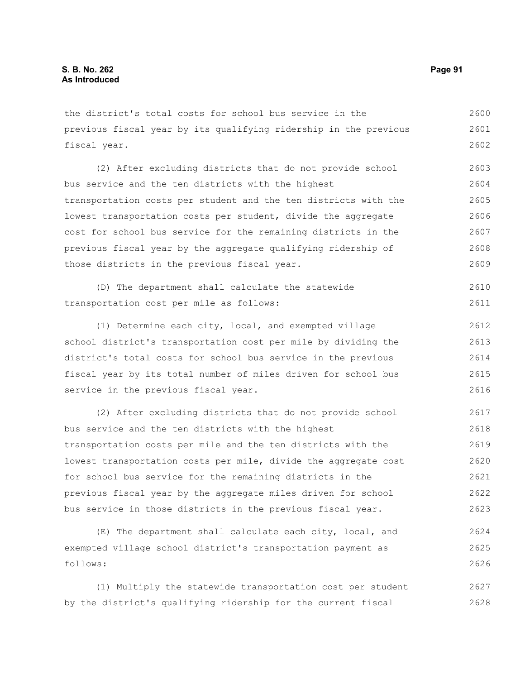the district's total costs for school bus service in the previous fiscal year by its qualifying ridership in the previous fiscal year. 2600 2601 2602

(2) After excluding districts that do not provide school bus service and the ten districts with the highest transportation costs per student and the ten districts with the lowest transportation costs per student, divide the aggregate cost for school bus service for the remaining districts in the previous fiscal year by the aggregate qualifying ridership of those districts in the previous fiscal year. 2603 2604 2605 2606 2607 2608 2609

|                                          |  | (D) The department shall calculate the statewide | 2610 |
|------------------------------------------|--|--------------------------------------------------|------|
| transportation cost per mile as follows: |  |                                                  | 2611 |

(1) Determine each city, local, and exempted village school district's transportation cost per mile by dividing the district's total costs for school bus service in the previous fiscal year by its total number of miles driven for school bus service in the previous fiscal year. 2612 2613 2614 2615 2616

(2) After excluding districts that do not provide school bus service and the ten districts with the highest transportation costs per mile and the ten districts with the lowest transportation costs per mile, divide the aggregate cost for school bus service for the remaining districts in the previous fiscal year by the aggregate miles driven for school bus service in those districts in the previous fiscal year. 2617 2618 2619 2620 2621 2622 2623

(E) The department shall calculate each city, local, and exempted village school district's transportation payment as follows: 2624 2625 2626

(1) Multiply the statewide transportation cost per student by the district's qualifying ridership for the current fiscal 2627 2628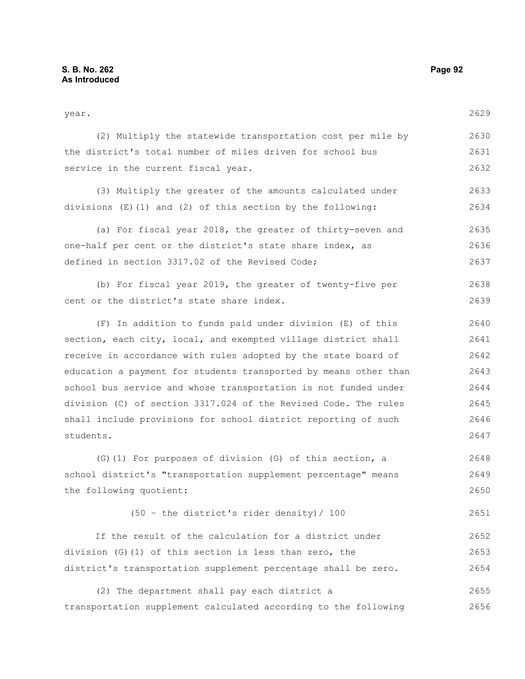year. (2) Multiply the statewide transportation cost per mile by the district's total number of miles driven for school bus service in the current fiscal year. (3) Multiply the greater of the amounts calculated under divisions (E)(1) and (2) of this section by the following: (a) For fiscal year 2018, the greater of thirty-seven and one-half per cent or the district's state share index, as defined in section 3317.02 of the Revised Code; (b) For fiscal year 2019, the greater of twenty-five per cent or the district's state share index. (F) In addition to funds paid under division (E) of this section, each city, local, and exempted village district shall receive in accordance with rules adopted by the state board of education a payment for students transported by means other than school bus service and whose transportation is not funded under division (C) of section 3317.024 of the Revised Code. The rules shall include provisions for school district reporting of such students. (G)(1) For purposes of division (G) of this section, a school district's "transportation supplement percentage" means the following quotient: (50 – the district's rider density)/ 100 If the result of the calculation for a district under 2629 2630 2631 2632 2633 2634 2635 2636 2637 2638 2639 2640 2641 2642 2643 2644 2645 2646 2647 2648 2649 2650 2651 2652

(2) The department shall pay each district a transportation supplement calculated according to the following 2655 2656

division (G)(1) of this section is less than zero, the

district's transportation supplement percentage shall be zero.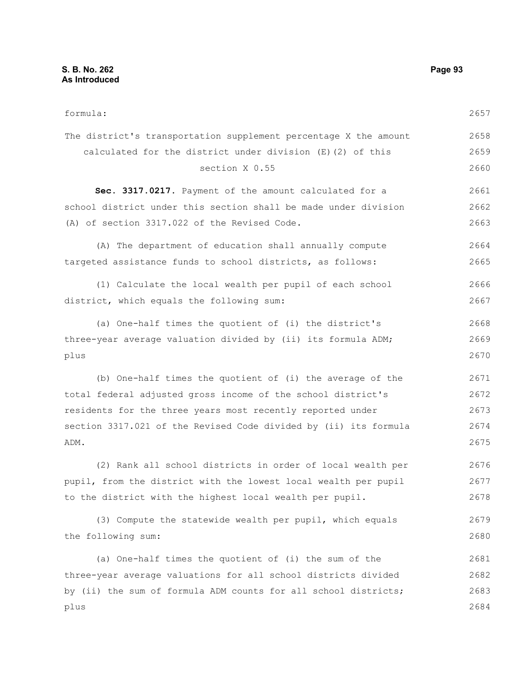| formula:                                                         | 2657 |
|------------------------------------------------------------------|------|
| The district's transportation supplement percentage X the amount | 2658 |
| calculated for the district under division (E) (2) of this       | 2659 |
| section X 0.55                                                   | 2660 |
| Sec. 3317.0217. Payment of the amount calculated for a           | 2661 |
| school district under this section shall be made under division  | 2662 |
| (A) of section 3317.022 of the Revised Code.                     | 2663 |
| (A) The department of education shall annually compute           | 2664 |
| targeted assistance funds to school districts, as follows:       | 2665 |
| (1) Calculate the local wealth per pupil of each school          | 2666 |
| district, which equals the following sum:                        | 2667 |
| (a) One-half times the quotient of (i) the district's            | 2668 |
| three-year average valuation divided by (ii) its formula ADM;    | 2669 |
| plus                                                             | 2670 |
| (b) One-half times the quotient of (i) the average of the        | 2671 |
| total federal adjusted gross income of the school district's     | 2672 |
| residents for the three years most recently reported under       | 2673 |
| section 3317.021 of the Revised Code divided by (ii) its formula | 2674 |
| ADM.                                                             | 2675 |
| (2) Rank all school districts in order of local wealth per       | 2676 |
| pupil, from the district with the lowest local wealth per pupil  | 2677 |
| to the district with the highest local wealth per pupil.         | 2678 |
| (3) Compute the statewide wealth per pupil, which equals         | 2679 |
| the following sum:                                               | 2680 |
| (a) One-half times the quotient of (i) the sum of the            | 2681 |
| three-year average valuations for all school districts divided   | 2682 |
| by (ii) the sum of formula ADM counts for all school districts;  | 2683 |
| plus                                                             | 2684 |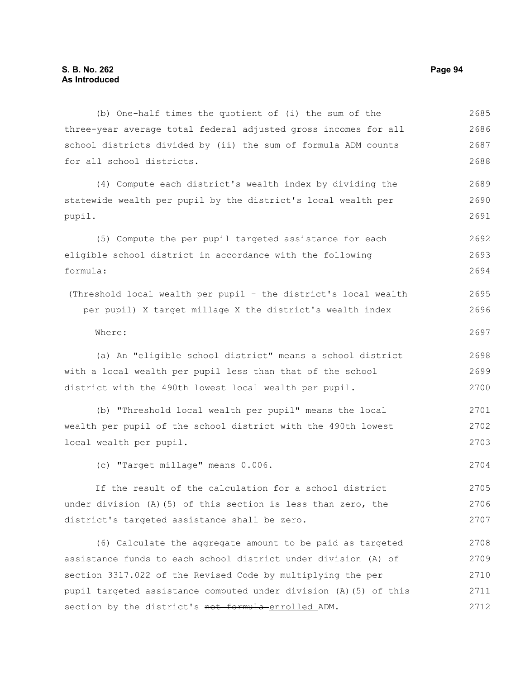(b) One-half times the quotient of (i) the sum of the three-year average total federal adjusted gross incomes for all school districts divided by (ii) the sum of formula ADM counts for all school districts. (4) Compute each district's wealth index by dividing the statewide wealth per pupil by the district's local wealth per pupil. (5) Compute the per pupil targeted assistance for each eligible school district in accordance with the following formula: (Threshold local wealth per pupil - the district's local wealth per pupil) X target millage X the district's wealth index Where: (a) An "eligible school district" means a school district with a local wealth per pupil less than that of the school district with the 490th lowest local wealth per pupil. (b) "Threshold local wealth per pupil" means the local wealth per pupil of the school district with the 490th lowest local wealth per pupil. (c) "Target millage" means 0.006. If the result of the calculation for a school district under division  $(A)$  (5) of this section is less than zero, the district's targeted assistance shall be zero. (6) Calculate the aggregate amount to be paid as targeted assistance funds to each school district under division (A) of section 3317.022 of the Revised Code by multiplying the per pupil targeted assistance computed under division (A)(5) of this section by the district's net formula enrolled ADM. 2685 2686 2687 2688 2689 2690 2691 2692 2693 2694 2695 2696 2697 2698 2699 2700 2701 2702 2703 2704 2705 2706 2707 2708 2709 2710 2711 2712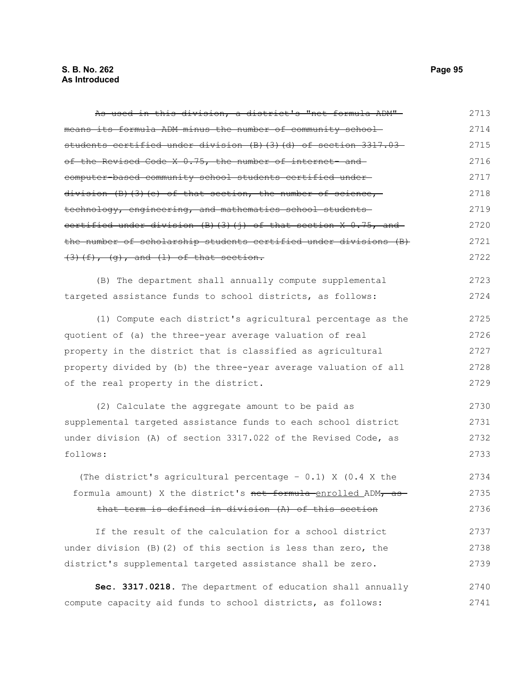As used in this division, a district's "net formula ADM" means its formula ADM minus the number of community school students certified under division (B)(3)(d) of section 3317.03 of the Revised Code X 0.75, the number of internet- and computer-based community school students certified under division (B)(3)(e) of that section, the number of science, technology, engineering, and mathematics school students certified under division  $(B)$   $(3)$   $(j)$  of that section X 0.75, and the number of scholarship students certified under divisions (B)  $(3)$  (f),  $(g)$ , and (l) of that section. (B) The department shall annually compute supplemental targeted assistance funds to school districts, as follows: (1) Compute each district's agricultural percentage as the quotient of (a) the three-year average valuation of real property in the district that is classified as agricultural property divided by (b) the three-year average valuation of all of the real property in the district. (2) Calculate the aggregate amount to be paid as supplemental targeted assistance funds to each school district under division (A) of section 3317.022 of the Revised Code, as follows: (The district's agricultural percentage – 0.1) X (0.4 X the formula amount) X the district's net formula enrolled ADM, as that term is defined in division (A) of this section If the result of the calculation for a school district under division (B)(2) of this section is less than zero, the district's supplemental targeted assistance shall be zero. **Sec. 3317.0218.** The department of education shall annually compute capacity aid funds to school districts, as follows: 2713 2714 2715 2716 2717 2718 2719 2720 2721 2722 2723 2724 2725 2726 2727 2728 2729 2730 2731 2732 2733 2734 2735 2736 2737 2738 2739 2740 2741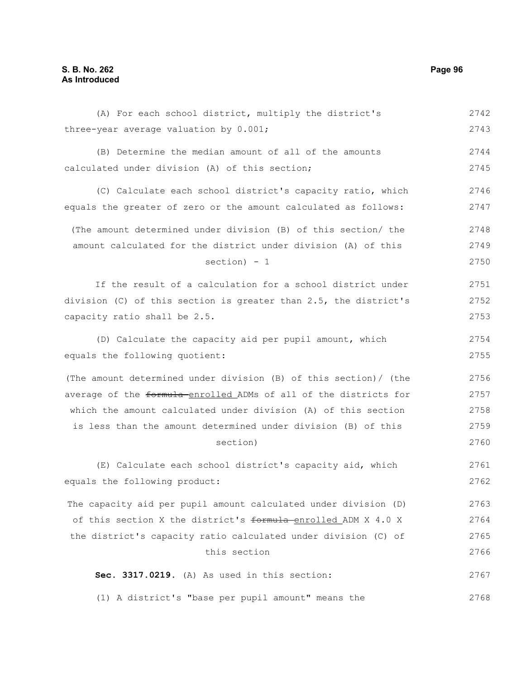(A) For each school district, multiply the district's three-year average valuation by 0.001; (B) Determine the median amount of all of the amounts calculated under division (A) of this section; (C) Calculate each school district's capacity ratio, which equals the greater of zero or the amount calculated as follows: (The amount determined under division (B) of this section/ the amount calculated for the district under division (A) of this section) - 1 If the result of a calculation for a school district under division (C) of this section is greater than 2.5, the district's capacity ratio shall be 2.5. (D) Calculate the capacity aid per pupil amount, which equals the following quotient: (The amount determined under division (B) of this section)/ (the average of the formula-enrolled ADMs of all of the districts for which the amount calculated under division (A) of this section is less than the amount determined under division (B) of this section) (E) Calculate each school district's capacity aid, which equals the following product: The capacity aid per pupil amount calculated under division (D) of this section X the district's formula enrolled ADM X 4.0 X the district's capacity ratio calculated under division (C) of this section **Sec. 3317.0219.** (A) As used in this section: 2742 2743 2744 2745 2746 2747 2748 2749 2750 2751 2752 2753 2754 2755 2756 2757 2758 2759 2760 2761 2762 2763 2764 2765 2766 2767

(1) A district's "base per pupil amount" means the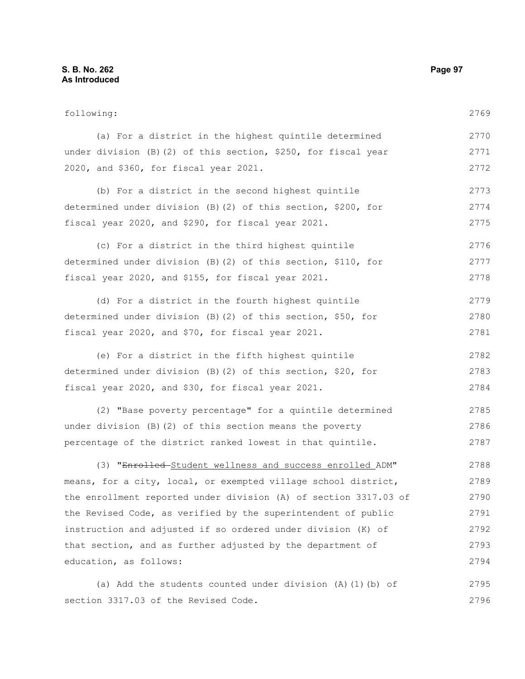following: (a) For a district in the highest quintile determined under division (B)(2) of this section, \$250, for fiscal year 2020, and \$360, for fiscal year 2021. (b) For a district in the second highest quintile determined under division (B)(2) of this section, \$200, for fiscal year 2020, and \$290, for fiscal year 2021. (c) For a district in the third highest quintile determined under division (B)(2) of this section, \$110, for fiscal year 2020, and \$155, for fiscal year 2021. (d) For a district in the fourth highest quintile determined under division (B)(2) of this section, \$50, for fiscal year 2020, and \$70, for fiscal year 2021. (e) For a district in the fifth highest quintile determined under division (B)(2) of this section, \$20, for fiscal year 2020, and \$30, for fiscal year 2021. (2) "Base poverty percentage" for a quintile determined under division (B)(2) of this section means the poverty percentage of the district ranked lowest in that quintile. (3) "Enrolled Student wellness and success enrolled ADM" means, for a city, local, or exempted village school district, the enrollment reported under division (A) of section 3317.03 of the Revised Code, as verified by the superintendent of public instruction and adjusted if so ordered under division (K) of that section, and as further adjusted by the department of education, as follows: (a) Add the students counted under division (A)(1)(b) of 2769 2770 2771 2772 2773 2774 2775 2776 2777 2778 2779 2780 2781 2782 2783 2784 2785 2786 2787 2788 2789 2790 2791 2792 2793 2794 2795

section 3317.03 of the Revised Code.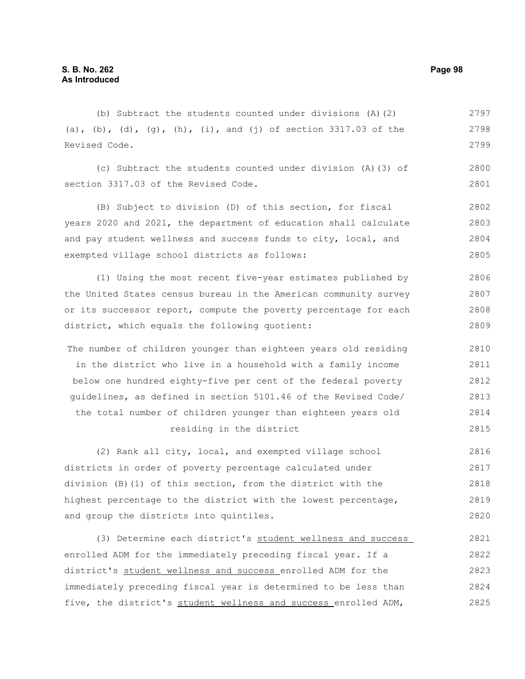(b) Subtract the students counted under divisions (A)(2) (a), (b), (d), (g), (h), (i), and (j) of section 3317.03 of the Revised Code. 2797 2798 2799

(c) Subtract the students counted under division (A)(3) of section 3317.03 of the Revised Code. 2800 2801

(B) Subject to division (D) of this section, for fiscal years 2020 and 2021, the department of education shall calculate and pay student wellness and success funds to city, local, and exempted village school districts as follows: 2802 2803 2804 2805

(1) Using the most recent five-year estimates published by the United States census bureau in the American community survey or its successor report, compute the poverty percentage for each district, which equals the following quotient: 2806 2807 2808 2809

The number of children younger than eighteen years old residing in the district who live in a household with a family income below one hundred eighty-five per cent of the federal poverty guidelines, as defined in section 5101.46 of the Revised Code/ the total number of children younger than eighteen years old residing in the district 2810 2811 2812 2813 2814 2815

(2) Rank all city, local, and exempted village school districts in order of poverty percentage calculated under division (B)(1) of this section, from the district with the highest percentage to the district with the lowest percentage, and group the districts into quintiles. 2816 2817 2818 2819 2820

(3) Determine each district's student wellness and success enrolled ADM for the immediately preceding fiscal year. If a district's student wellness and success enrolled ADM for the immediately preceding fiscal year is determined to be less than five, the district's student wellness and success enrolled ADM, 2821 2822 2823 2824 2825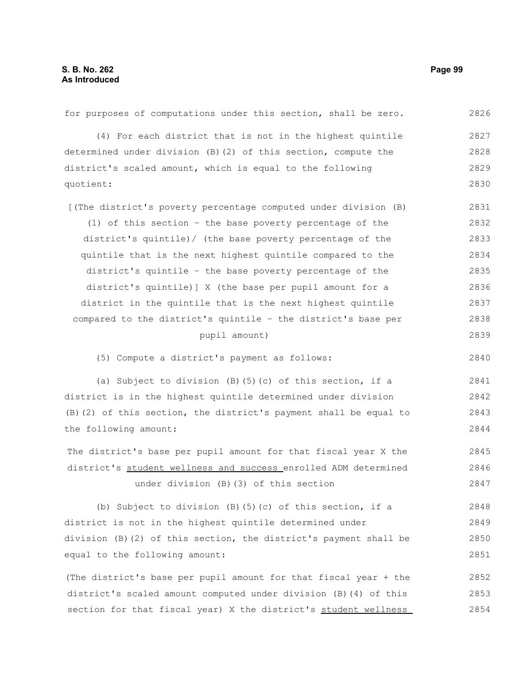for purposes of computations under this section, shall be zero. (4) For each district that is not in the highest quintile determined under division (B)(2) of this section, compute the district's scaled amount, which is equal to the following quotient: [(The district's poverty percentage computed under division (B) (1) of this section – the base poverty percentage of the district's quintile)/ (the base poverty percentage of the quintile that is the next highest quintile compared to the district's quintile – the base poverty percentage of the district's quintile)] X (the base per pupil amount for a district in the quintile that is the next highest quintile compared to the district's quintile – the district's base per pupil amount) (5) Compute a district's payment as follows: (a) Subject to division (B)(5)(c) of this section, if a district is in the highest quintile determined under division (B)(2) of this section, the district's payment shall be equal to the following amount: The district's base per pupil amount for that fiscal year X the district's student wellness and success enrolled ADM determined under division (B)(3) of this section (b) Subject to division (B)(5)(c) of this section, if a district is not in the highest quintile determined under division (B)(2) of this section, the district's payment shall be equal to the following amount: (The district's base per pupil amount for that fiscal year + the district's scaled amount computed under division (B)(4) of this section for that fiscal year) X the district's student wellness 2826 2827 2828 2829 2830 2831 2832 2833 2834 2835 2836 2837 2838 2839 2840 2841 2842 2843 2844 2845 2846 2847 2848 2849 2850 2851 2852 2853 2854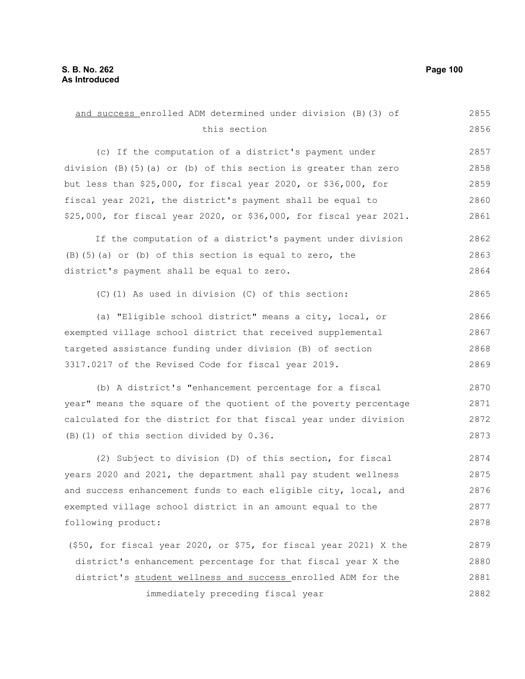this section (c) If the computation of a district's payment under division (B)(5)(a) or (b) of this section is greater than zero but less than \$25,000, for fiscal year 2020, or \$36,000, for fiscal year 2021, the district's payment shall be equal to \$25,000, for fiscal year 2020, or \$36,000, for fiscal year 2021. If the computation of a district's payment under division (B)(5)(a) or (b) of this section is equal to zero, the district's payment shall be equal to zero. (C)(1) As used in division (C) of this section: (a) "Eligible school district" means a city, local, or exempted village school district that received supplemental targeted assistance funding under division (B) of section 3317.0217 of the Revised Code for fiscal year 2019. (b) A district's "enhancement percentage for a fiscal year" means the square of the quotient of the poverty percentage calculated for the district for that fiscal year under division (B)(1) of this section divided by 0.36. (2) Subject to division (D) of this section, for fiscal years 2020 and 2021, the department shall pay student wellness and success enhancement funds to each eligible city, local, and exempted village school district in an amount equal to the following product: (\$50, for fiscal year 2020, or \$75, for fiscal year 2021) X the district's enhancement percentage for that fiscal year X the district's student wellness and success enrolled ADM for the 2856 2857 2858 2859 2860 2861 2862 2863 2864 2865 2866 2867 2868 2869 2870 2871 2872 2873 2874 2875 2876 2877 2878 2879 2880 2881 2882

and success enrolled ADM determined under division (B)(3) of

immediately preceding fiscal year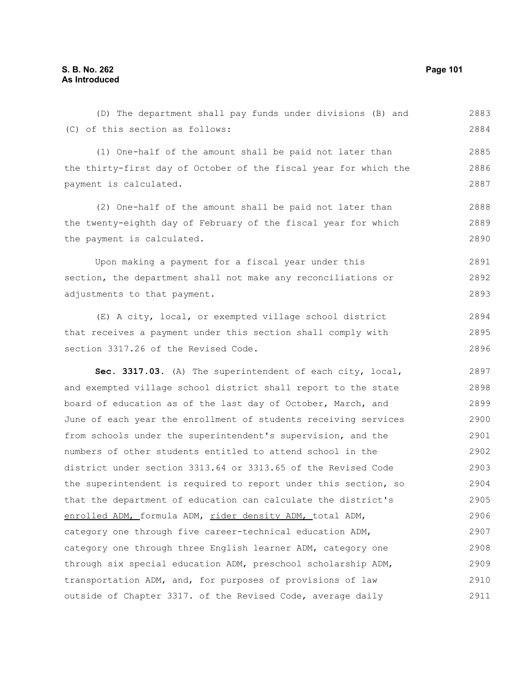(D) The department shall pay funds under divisions (B) and (C) of this section as follows: (1) One-half of the amount shall be paid not later than the thirty-first day of October of the fiscal year for which the payment is calculated. (2) One-half of the amount shall be paid not later than the twenty-eighth day of February of the fiscal year for which the payment is calculated. Upon making a payment for a fiscal year under this section, the department shall not make any reconciliations or adjustments to that payment. (E) A city, local, or exempted village school district that receives a payment under this section shall comply with section 3317.26 of the Revised Code. **Sec. 3317.03.** (A) The superintendent of each city, local, and exempted village school district shall report to the state board of education as of the last day of October, March, and June of each year the enrollment of students receiving services from schools under the superintendent's supervision, and the numbers of other students entitled to attend school in the district under section 3313.64 or 3313.65 of the Revised Code the superintendent is required to report under this section, so that the department of education can calculate the district's enrolled ADM, formula ADM, rider density ADM, total ADM, category one through five career-technical education ADM, category one through three English learner ADM, category one through six special education ADM, preschool scholarship ADM, transportation ADM, and, for purposes of provisions of law outside of Chapter 3317. of the Revised Code, average daily 2883 2884 2885 2886 2887 2888 2889 2890 2891 2892 2893 2894 2895 2896 2897 2898 2899 2900 2901 2902 2903 2904 2905 2906 2907 2908 2909 2910 2911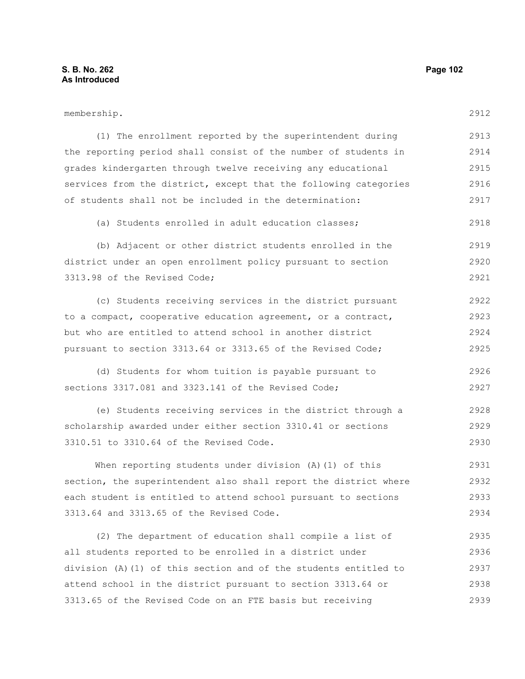| membership.                                                      | 2912 |
|------------------------------------------------------------------|------|
| (1) The enrollment reported by the superintendent during         | 2913 |
| the reporting period shall consist of the number of students in  | 2914 |
| grades kindergarten through twelve receiving any educational     | 2915 |
| services from the district, except that the following categories | 2916 |
| of students shall not be included in the determination:          | 2917 |
| (a) Students enrolled in adult education classes;                | 2918 |
| (b) Adjacent or other district students enrolled in the          | 2919 |
| district under an open enrollment policy pursuant to section     | 2920 |
| 3313.98 of the Revised Code;                                     | 2921 |
| (c) Students receiving services in the district pursuant         | 2922 |
| to a compact, cooperative education agreement, or a contract,    | 2923 |
| but who are entitled to attend school in another district        | 2924 |
| pursuant to section 3313.64 or 3313.65 of the Revised Code;      | 2925 |
| (d) Students for whom tuition is payable pursuant to             | 2926 |
| sections 3317.081 and 3323.141 of the Revised Code;              | 2927 |
| (e) Students receiving services in the district through a        | 2928 |
| scholarship awarded under either section 3310.41 or sections     | 2929 |
| 3310.51 to 3310.64 of the Revised Code.                          | 2930 |
| When reporting students under division (A) (1) of this           | 2931 |
| section, the superintendent also shall report the district where | 2932 |
| each student is entitled to attend school pursuant to sections   | 2933 |
| 3313.64 and 3313.65 of the Revised Code.                         | 2934 |
| (2) The department of education shall compile a list of          | 2935 |
| all students reported to be enrolled in a district under         | 2936 |
| division (A)(1) of this section and of the students entitled to  | 2937 |

attend school in the district pursuant to section 3313.64 or 3313.65 of the Revised Code on an FTE basis but receiving 2938 2939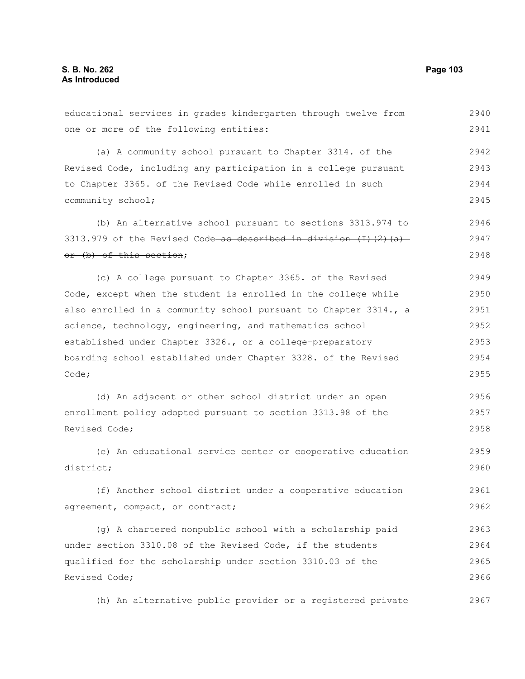educational services in grades kindergarten through twelve from one or more of the following entities: (a) A community school pursuant to Chapter 3314. of the Revised Code, including any participation in a college pursuant to Chapter 3365. of the Revised Code while enrolled in such community school; (b) An alternative school pursuant to sections 3313.974 to 3313.979 of the Revised Code as described in division  $(1)$   $(2)$   $(a)$ or (b) of this section; (c) A college pursuant to Chapter 3365. of the Revised Code, except when the student is enrolled in the college while also enrolled in a community school pursuant to Chapter 3314., a science, technology, engineering, and mathematics school established under Chapter 3326., or a college-preparatory boarding school established under Chapter 3328. of the Revised Code; (d) An adjacent or other school district under an open enrollment policy adopted pursuant to section 3313.98 of the Revised Code; (e) An educational service center or cooperative education district; (f) Another school district under a cooperative education 2941 2942 2943 2944 2945 2946 2947 2948 2949 2950 2951 2952 2953 2954 2955 2956 2957 2958 2959 2960 2961

agreement, compact, or contract; 2962

(g) A chartered nonpublic school with a scholarship paid under section 3310.08 of the Revised Code, if the students qualified for the scholarship under section 3310.03 of the Revised Code; 2963 2964 2965 2966

(h) An alternative public provider or a registered private 2967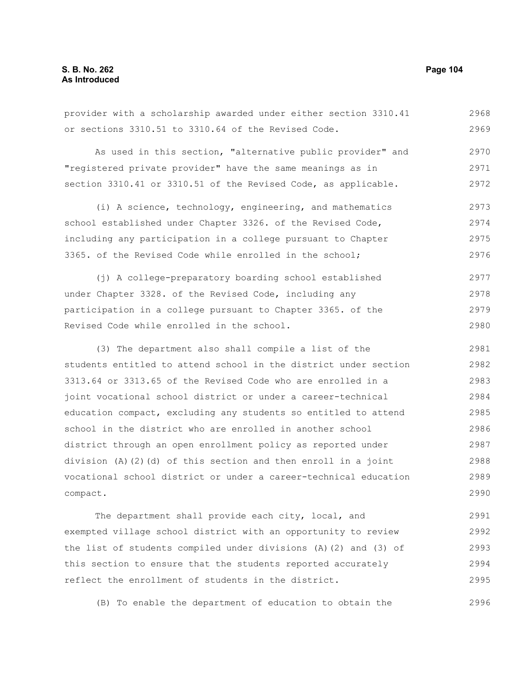provider with a scholarship awarded under either section 3310.41 or sections 3310.51 to 3310.64 of the Revised Code. 2968 2969

As used in this section, "alternative public provider" and "registered private provider" have the same meanings as in section 3310.41 or 3310.51 of the Revised Code, as applicable. 2970 2971 2972

(i) A science, technology, engineering, and mathematics school established under Chapter 3326. of the Revised Code, including any participation in a college pursuant to Chapter 3365. of the Revised Code while enrolled in the school; 2973 2974 2975 2976

(j) A college-preparatory boarding school established under Chapter 3328. of the Revised Code, including any participation in a college pursuant to Chapter 3365. of the Revised Code while enrolled in the school. 2977 2978 2979 2980

(3) The department also shall compile a list of the students entitled to attend school in the district under section 3313.64 or 3313.65 of the Revised Code who are enrolled in a joint vocational school district or under a career-technical education compact, excluding any students so entitled to attend school in the district who are enrolled in another school district through an open enrollment policy as reported under division (A)(2)(d) of this section and then enroll in a joint vocational school district or under a career-technical education compact. 2981 2982 2983 2984 2985 2986 2987 2988 2989 2990

The department shall provide each city, local, and exempted village school district with an opportunity to review the list of students compiled under divisions (A)(2) and (3) of this section to ensure that the students reported accurately reflect the enrollment of students in the district. 2991 2992 2993 2994 2995

(B) To enable the department of education to obtain the 2996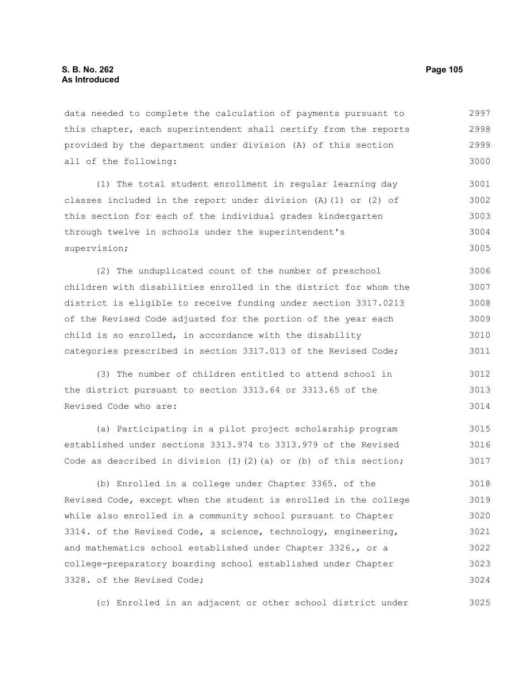data needed to complete the calculation of payments pursuant to this chapter, each superintendent shall certify from the reports provided by the department under division (A) of this section all of the following: 2997 2998 2999 3000

(1) The total student enrollment in regular learning day classes included in the report under division (A)(1) or (2) of this section for each of the individual grades kindergarten through twelve in schools under the superintendent's supervision; 3001 3002 3003 3004 3005

(2) The unduplicated count of the number of preschool children with disabilities enrolled in the district for whom the district is eligible to receive funding under section 3317.0213 of the Revised Code adjusted for the portion of the year each child is so enrolled, in accordance with the disability categories prescribed in section 3317.013 of the Revised Code; 3006 3007 3008 3009 3010 3011

(3) The number of children entitled to attend school in the district pursuant to section 3313.64 or 3313.65 of the Revised Code who are: 3012 3013 3014

(a) Participating in a pilot project scholarship program established under sections 3313.974 to 3313.979 of the Revised Code as described in division  $(I)$   $(2)$   $(a)$  or  $(b)$  of this section; 3015 3016 3017

(b) Enrolled in a college under Chapter 3365. of the Revised Code, except when the student is enrolled in the college while also enrolled in a community school pursuant to Chapter 3314. of the Revised Code, a science, technology, engineering, and mathematics school established under Chapter 3326., or a college-preparatory boarding school established under Chapter 3328. of the Revised Code; 3018 3019 3020 3021 3022 3023 3024

(c) Enrolled in an adjacent or other school district under 3025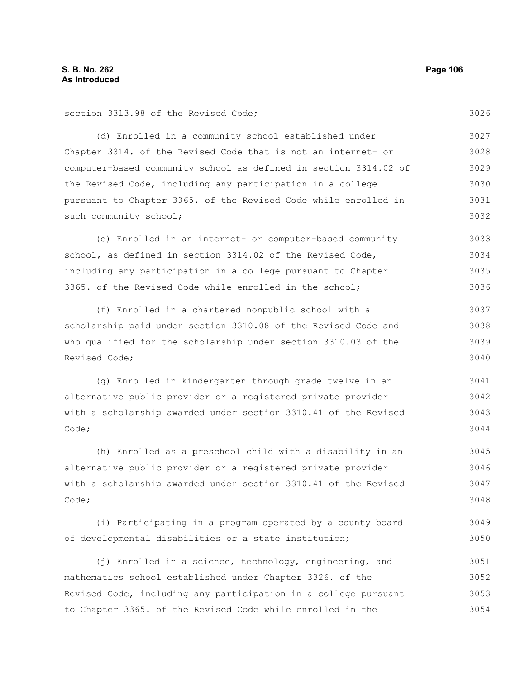section 3313.98 of the Revised Code;

(d) Enrolled in a community school established under Chapter 3314. of the Revised Code that is not an internet- or computer-based community school as defined in section 3314.02 of the Revised Code, including any participation in a college pursuant to Chapter 3365. of the Revised Code while enrolled in such community school; 3027 3028 3029 3030 3031 3032

(e) Enrolled in an internet- or computer-based community school, as defined in section 3314.02 of the Revised Code, including any participation in a college pursuant to Chapter 3365. of the Revised Code while enrolled in the school; 3033 3034 3035 3036

(f) Enrolled in a chartered nonpublic school with a scholarship paid under section 3310.08 of the Revised Code and who qualified for the scholarship under section 3310.03 of the Revised Code; 3037 3038 3039 3040

(g) Enrolled in kindergarten through grade twelve in an alternative public provider or a registered private provider with a scholarship awarded under section 3310.41 of the Revised Code; 3041 3042 3043 3044

(h) Enrolled as a preschool child with a disability in an alternative public provider or a registered private provider with a scholarship awarded under section 3310.41 of the Revised Code; 3045 3046 3047 3048

(i) Participating in a program operated by a county board of developmental disabilities or a state institution; 3049 3050

(j) Enrolled in a science, technology, engineering, and mathematics school established under Chapter 3326. of the Revised Code, including any participation in a college pursuant to Chapter 3365. of the Revised Code while enrolled in the 3051 3052 3053 3054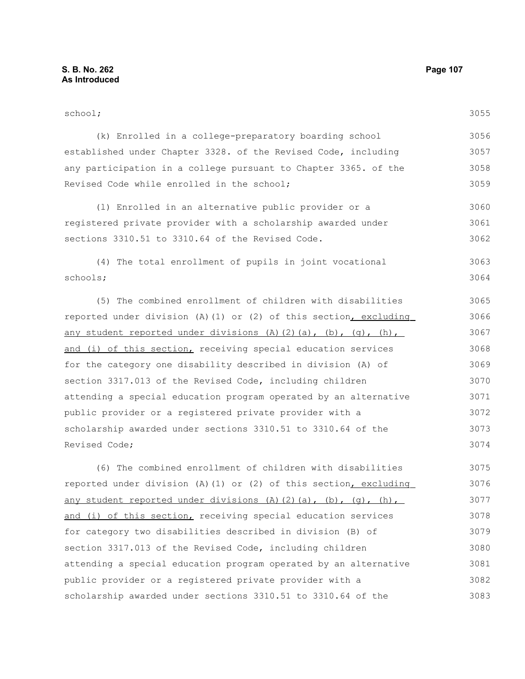#### school; (k) Enrolled in a college-preparatory boarding school established under Chapter 3328. of the Revised Code, including any participation in a college pursuant to Chapter 3365. of the Revised Code while enrolled in the school; (l) Enrolled in an alternative public provider or a registered private provider with a scholarship awarded under sections 3310.51 to 3310.64 of the Revised Code. (4) The total enrollment of pupils in joint vocational schools; (5) The combined enrollment of children with disabilities 3055 3056 3057 3058 3059 3060 3061 3062 3063 3064 3065

reported under division (A)(1) or (2) of this section, excluding any student reported under divisions (A)(2)(a), (b), (q), (h), and (i) of this section, receiving special education services for the category one disability described in division (A) of section 3317.013 of the Revised Code, including children attending a special education program operated by an alternative public provider or a registered private provider with a scholarship awarded under sections 3310.51 to 3310.64 of the Revised Code; 3066 3067 3068 3069 3070 3071 3072 3073 3074

(6) The combined enrollment of children with disabilities reported under division (A)(1) or (2) of this section, excluding any student reported under divisions (A)(2)(a), (b), (q), (h), and (i) of this section, receiving special education services for category two disabilities described in division (B) of section 3317.013 of the Revised Code, including children attending a special education program operated by an alternative public provider or a registered private provider with a scholarship awarded under sections 3310.51 to 3310.64 of the 3075 3076 3077 3078 3079 3080 3081 3082 3083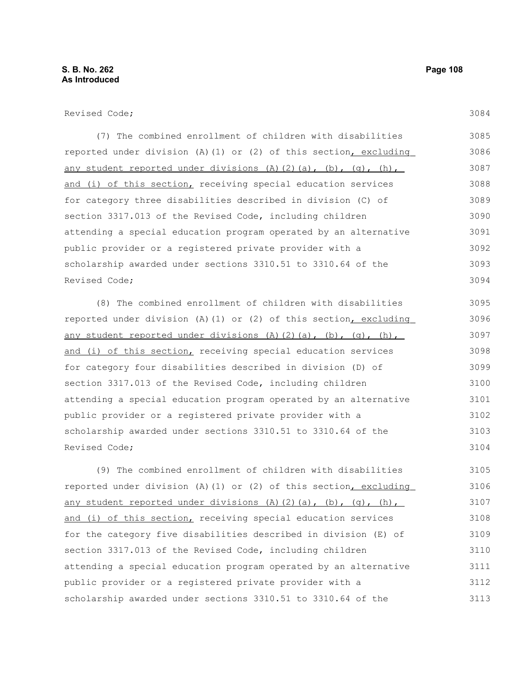Revised Code;

(7) The combined enrollment of children with disabilities reported under division (A)(1) or (2) of this section, excluding any student reported under divisions (A)(2)(a), (b), (q), (h), and (i) of this section, receiving special education services for category three disabilities described in division (C) of section 3317.013 of the Revised Code, including children attending a special education program operated by an alternative public provider or a registered private provider with a scholarship awarded under sections 3310.51 to 3310.64 of the Revised Code; 3085 3086 3087 3088 3089 3090 3091 3092 3093 3094

(8) The combined enrollment of children with disabilities reported under division (A)(1) or (2) of this section, excluding any student reported under divisions (A)(2)(a), (b), (q), (h), and (i) of this section, receiving special education services for category four disabilities described in division (D) of section 3317.013 of the Revised Code, including children attending a special education program operated by an alternative public provider or a registered private provider with a scholarship awarded under sections 3310.51 to 3310.64 of the Revised Code; 3095 3096 3097 3098 3099 3100 3101 3102 3103 3104

(9) The combined enrollment of children with disabilities reported under division (A)(1) or (2) of this section, excluding any student reported under divisions  $(A)$   $(2)$   $(a)$ ,  $(b)$ ,  $(q)$ ,  $(h)$ , and (i) of this section, receiving special education services for the category five disabilities described in division (E) of section 3317.013 of the Revised Code, including children attending a special education program operated by an alternative public provider or a registered private provider with a scholarship awarded under sections 3310.51 to 3310.64 of the 3105 3106 3107 3108 3109 3110 3111 3112 3113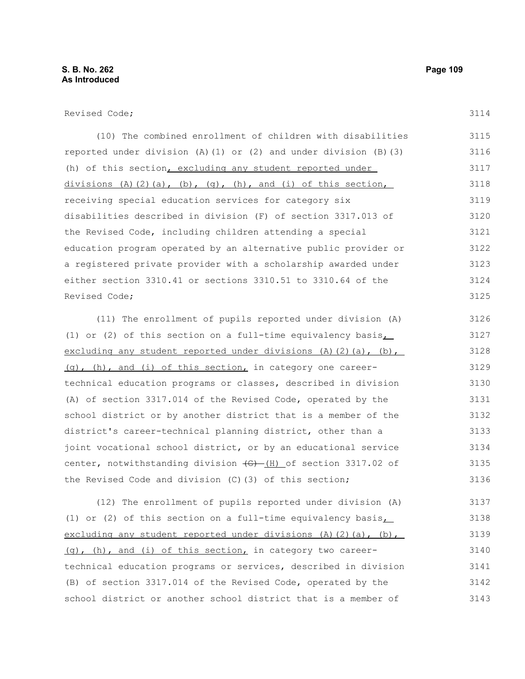Revised Code;

| (10) The combined enrollment of children with disabilities                       | 3115 |
|----------------------------------------------------------------------------------|------|
| reported under division $(A) (1)$ or $(2)$ and under division $(B) (3)$          | 3116 |
| (h) of this section, excluding any student reported under                        | 3117 |
| divisions $(A)$ $(2)$ $(a)$ , $(b)$ , $(q)$ , $(h)$ , and $(i)$ of this section, | 3118 |
| receiving special education services for category six                            | 3119 |
| disabilities described in division (F) of section 3317.013 of                    | 3120 |
| the Revised Code, including children attending a special                         | 3121 |
| education program operated by an alternative public provider or                  | 3122 |
| a registered private provider with a scholarship awarded under                   | 3123 |
| either section 3310.41 or sections 3310.51 to 3310.64 of the                     | 3124 |
| Revised Code;                                                                    | 3125 |
|                                                                                  |      |
| (11) The enrollment of pupils reported under division (A)                        | 3126 |
| (1) or (2) of this section on a full-time equivalency basis                      | 3127 |
| excluding any student reported under divisions (A)(2)(a), (b),                   | 3128 |
| (q), (h), and (i) of this section, in category one career-                       | 3129 |
| technical education programs or classes, described in division                   | 3130 |
| (A) of section 3317.014 of the Revised Code, operated by the                     | 3131 |
| school district or by another district that is a member of the                   | 3132 |
| district's career-technical planning district, other than a                      | 3133 |
| joint vocational school district, or by an educational service                   | 3134 |
| center, notwithstanding division $\frac{1}{2}$ (H) of section 3317.02 of         | 3135 |
| the Revised Code and division (C) (3) of this section;                           | 3136 |
|                                                                                  |      |
| (12) The enrollment of pupils reported under division (A)                        | 3137 |
| (1) or (2) of this section on a full-time equivalency basis                      | 3138 |
| excluding any student reported under divisions $(A)$ $(2)$ $(a)$ , $(b)$ ,       | 3139 |

 (g), (h), and (i) of this section, in category two careertechnical education programs or services, described in division (B) of section 3317.014 of the Revised Code, operated by the school district or another school district that is a member of 3140 3141 3142 3143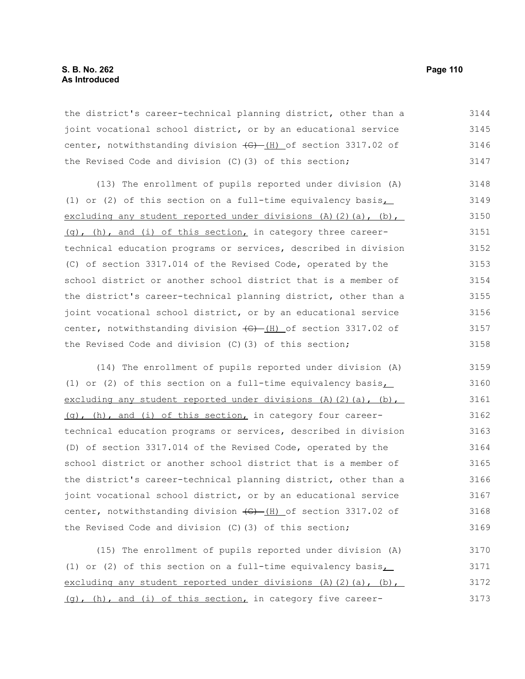the district's career-technical planning district, other than a joint vocational school district, or by an educational service center, notwithstanding division  $\frac{1}{2}$  (H) of section 3317.02 of the Revised Code and division (C)(3) of this section; 3144 3145 3146 3147

(13) The enrollment of pupils reported under division (A) (1) or (2) of this section on a full-time equivalency basis, excluding any student reported under divisions (A)(2)(a), (b), (g), (h), and (i) of this section, in category three careertechnical education programs or services, described in division (C) of section 3317.014 of the Revised Code, operated by the school district or another school district that is a member of the district's career-technical planning district, other than a joint vocational school district, or by an educational service center, notwithstanding division  $\frac{1}{10}$  (H) of section 3317.02 of the Revised Code and division (C)(3) of this section; 3148 3149 3150 3151 3152 3153 3154 3155 3156 3157 3158

(14) The enrollment of pupils reported under division (A) (1) or (2) of this section on a full-time equivalency basis, excluding any student reported under divisions  $(A)$   $(2)$   $(a)$ ,  $(b)$ , (g), (h), and (i) of this section, in category four careertechnical education programs or services, described in division (D) of section 3317.014 of the Revised Code, operated by the school district or another school district that is a member of the district's career-technical planning district, other than a joint vocational school district, or by an educational service center, notwithstanding division  $\overline{(G) - (H)}$  of section 3317.02 of the Revised Code and division (C)(3) of this section; 3159 3160 3161 3162 3163 3164 3165 3166 3167 3168 3169

(15) The enrollment of pupils reported under division (A) (1) or (2) of this section on a full-time equivalency basis, excluding any student reported under divisions  $(A)$   $(2)$   $(a)$ ,  $(b)$ , (g), (h), and (i) of this section, in category five career-3170 3171 3172 3173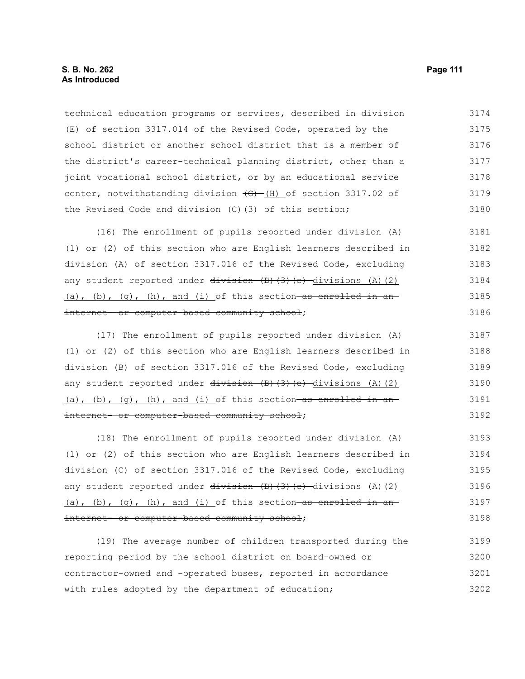technical education programs or services, described in division (E) of section 3317.014 of the Revised Code, operated by the school district or another school district that is a member of the district's career-technical planning district, other than a joint vocational school district, or by an educational service center, notwithstanding division  $\left(\frac{G}{H}\right)$  of section 3317.02 of the Revised Code and division (C)(3) of this section; 3174 3175 3176 3177 3178 3179 3180

(16) The enrollment of pupils reported under division (A) (1) or (2) of this section who are English learners described in division (A) of section 3317.016 of the Revised Code, excluding any student reported under  $\frac{division}{(B)(3)(e)}$  divisions (A)(2) (a), (b), (q), (h), and (i) of this section as enrolled in an internet- or computer-based community school; 3181 3182 3183 3184 3185 3186

(17) The enrollment of pupils reported under division (A) (1) or (2) of this section who are English learners described in division (B) of section 3317.016 of the Revised Code, excluding any student reported under  $\frac{div}{sin{m}}$  (B)(3)(e) divisions (A)(2) (a), (b), (q), (h), and (i) of this section as enrolled in an internet- or computer-based community school; 3187 3188 3189 3190 3191 3192

(18) The enrollment of pupils reported under division (A) (1) or (2) of this section who are English learners described in division (C) of section 3317.016 of the Revised Code, excluding any student reported under  $\frac{division}{(B)}$ (3)(e) divisions (A)(2) (a), (b), (q), (h), and (i) of this section—as enrolled in aninternet- or computer-based community school; 3193 3194 3195 3196 3197 3198

(19) The average number of children transported during the reporting period by the school district on board-owned or contractor-owned and -operated buses, reported in accordance with rules adopted by the department of education; 3199 3200 3201 3202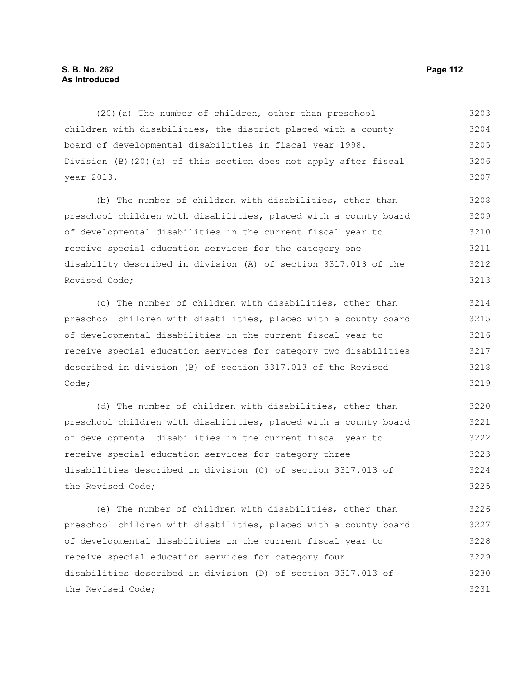(20)(a) The number of children, other than preschool children with disabilities, the district placed with a county board of developmental disabilities in fiscal year 1998. Division (B)(20)(a) of this section does not apply after fiscal year 2013. 3203 3204 3205 3206 3207

(b) The number of children with disabilities, other than preschool children with disabilities, placed with a county board of developmental disabilities in the current fiscal year to receive special education services for the category one disability described in division (A) of section 3317.013 of the Revised Code; 3208 3209 3210 3211 3212 3213

(c) The number of children with disabilities, other than preschool children with disabilities, placed with a county board of developmental disabilities in the current fiscal year to receive special education services for category two disabilities described in division (B) of section 3317.013 of the Revised Code; 3214 3215 3216 3217 3218 3219

(d) The number of children with disabilities, other than preschool children with disabilities, placed with a county board of developmental disabilities in the current fiscal year to receive special education services for category three disabilities described in division (C) of section 3317.013 of the Revised Code; 3220 3221 3222 3223 3224 3225

(e) The number of children with disabilities, other than preschool children with disabilities, placed with a county board of developmental disabilities in the current fiscal year to receive special education services for category four disabilities described in division (D) of section 3317.013 of the Revised Code; 3226 3227 3228 3229 3230 3231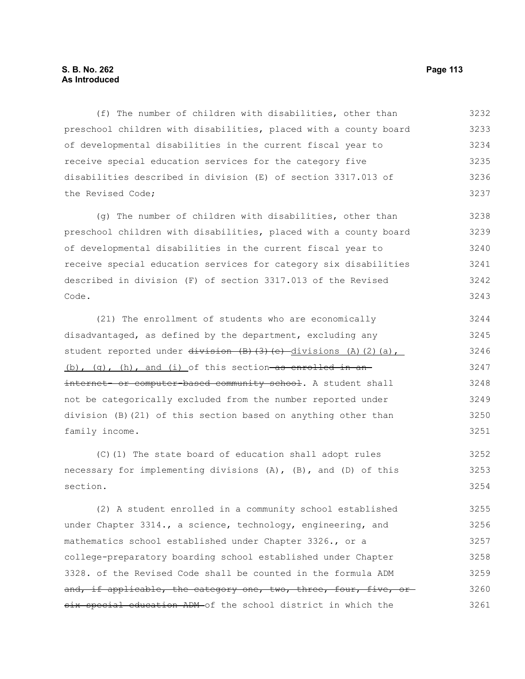(f) The number of children with disabilities, other than preschool children with disabilities, placed with a county board of developmental disabilities in the current fiscal year to receive special education services for the category five disabilities described in division (E) of section 3317.013 of the Revised Code; 3232 3233 3234 3235 3236 3237

(g) The number of children with disabilities, other than preschool children with disabilities, placed with a county board of developmental disabilities in the current fiscal year to receive special education services for category six disabilities described in division (F) of section 3317.013 of the Revised Code. 3238 3239 3240 3241 3242 3243

(21) The enrollment of students who are economically disadvantaged, as defined by the department, excluding any student reported under  $\frac{divission}{(B)(3)}$ (e) divisions (A)(2)(a), (b), (q), (h), and (i) of this section as enrolled in aninternet- or computer-based community school. A student shall not be categorically excluded from the number reported under division (B)(21) of this section based on anything other than family income. 3244 3245 3246 3247 3248 3249 3250 3251

(C)(1) The state board of education shall adopt rules necessary for implementing divisions (A), (B), and (D) of this section. 3252 3253 3254

(2) A student enrolled in a community school established under Chapter 3314., a science, technology, engineering, and mathematics school established under Chapter 3326., or a college-preparatory boarding school established under Chapter 3328. of the Revised Code shall be counted in the formula ADM and, if applicable, the category one, two, three, four, five, orsix special education ADM of the school district in which the 3255 3256 3257 3258 3259 3260 3261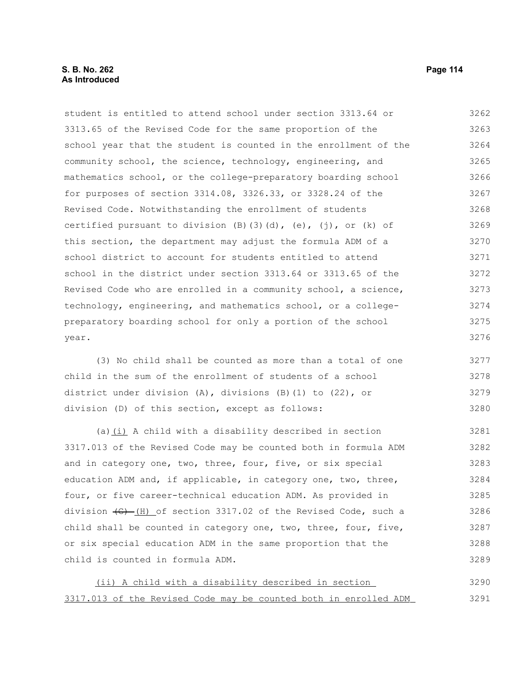# **S. B. No. 262 Page 114 As Introduced**

student is entitled to attend school under section 3313.64 or 3313.65 of the Revised Code for the same proportion of the school year that the student is counted in the enrollment of the community school, the science, technology, engineering, and mathematics school, or the college-preparatory boarding school for purposes of section 3314.08, 3326.33, or 3328.24 of the Revised Code. Notwithstanding the enrollment of students certified pursuant to division  $(B)$ (3)(d),  $(e)$ ,  $(j)$ , or  $(k)$  of this section, the department may adjust the formula ADM of a school district to account for students entitled to attend school in the district under section 3313.64 or 3313.65 of the Revised Code who are enrolled in a community school, a science, technology, engineering, and mathematics school, or a collegepreparatory boarding school for only a portion of the school year. 3262 3263 3264 3265 3266 3267 3268 3269 3270 3271 3272 3273 3274 3275 3276

(3) No child shall be counted as more than a total of one child in the sum of the enrollment of students of a school district under division (A), divisions (B)(1) to (22), or division (D) of this section, except as follows: 3277 3278 3279 3280

(a) $(i)$  A child with a disability described in section 3317.013 of the Revised Code may be counted both in formula ADM and in category one, two, three, four, five, or six special education ADM and, if applicable, in category one, two, three, four, or five career-technical education ADM. As provided in division  $\left(\theta - \left(\theta\right)\right)$  of section 3317.02 of the Revised Code, such a child shall be counted in category one, two, three, four, five, or six special education ADM in the same proportion that the child is counted in formula ADM. 3281 3282 3283 3284 3285 3286 3287 3288 3289

 (ii) A child with a disability described in section 3317.013 of the Revised Code may be counted both in enrolled ADM 3290 3291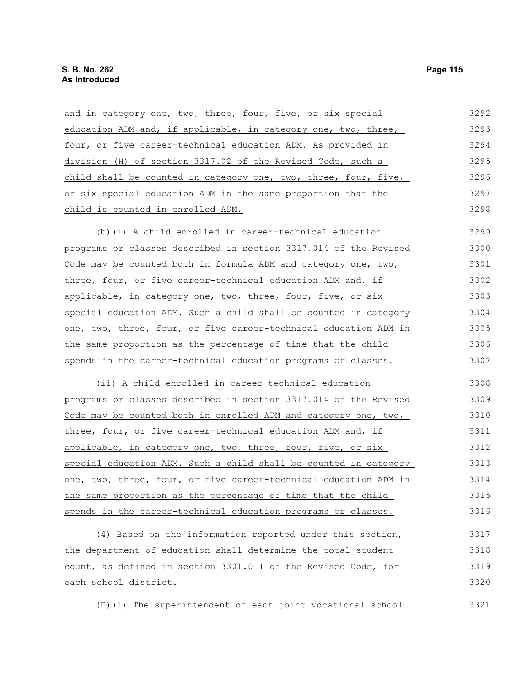| and in category one, two, three, four, five, or six special     | 3292 |
|-----------------------------------------------------------------|------|
| education ADM and, if applicable, in category one, two, three,  | 3293 |
| four, or five career-technical education ADM. As provided in    | 3294 |
| division (H) of section 3317.02 of the Revised Code, such a     | 3295 |
| child shall be counted in category one, two, three, four, five, | 3296 |
| or six special education ADM in the same proportion that the    | 3297 |
| child is counted in enrolled ADM.                               | 3298 |
|                                                                 |      |

(b)(i) A child enrolled in career-technical education programs or classes described in section 3317.014 of the Revised Code may be counted both in formula ADM and category one, two, three, four, or five career-technical education ADM and, if applicable, in category one, two, three, four, five, or six special education ADM. Such a child shall be counted in category one, two, three, four, or five career-technical education ADM in the same proportion as the percentage of time that the child spends in the career-technical education programs or classes. 3299 3300 3301 3302 3303 3304 3305 3306 3307

 (ii) A child enrolled in career-technical education programs or classes described in section 3317.014 of the Revised Code may be counted both in enrolled ADM and category one, two, three, four, or five career-technical education ADM and, if applicable, in category one, two, three, four, five, or six special education ADM. Such a child shall be counted in category one, two, three, four, or five career-technical education ADM in the same proportion as the percentage of time that the child spends in the career-technical education programs or classes. 3308 3309 3310 3311 3312 3313 3314 3315 3316

(4) Based on the information reported under this section, the department of education shall determine the total student count, as defined in section 3301.011 of the Revised Code, for each school district. 3317 3318 3319 3320

(D)(1) The superintendent of each joint vocational school 3321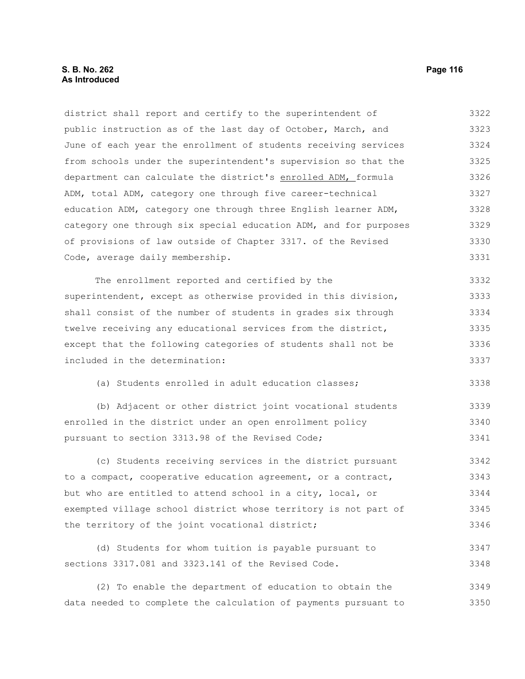# **S. B. No. 262 Page 116 As Introduced**

district shall report and certify to the superintendent of public instruction as of the last day of October, March, and June of each year the enrollment of students receiving services from schools under the superintendent's supervision so that the department can calculate the district's enrolled ADM, formula ADM, total ADM, category one through five career-technical education ADM, category one through three English learner ADM, category one through six special education ADM, and for purposes of provisions of law outside of Chapter 3317. of the Revised Code, average daily membership. 3322 3323 3324 3325 3326 3327 3328 3329 3330 3331

The enrollment reported and certified by the superintendent, except as otherwise provided in this division, shall consist of the number of students in grades six through twelve receiving any educational services from the district, except that the following categories of students shall not be included in the determination: 3332 3333 3334 3335 3336 3337

(a) Students enrolled in adult education classes;

(b) Adjacent or other district joint vocational students enrolled in the district under an open enrollment policy pursuant to section 3313.98 of the Revised Code; 3339 3340 3341

(c) Students receiving services in the district pursuant to a compact, cooperative education agreement, or a contract, but who are entitled to attend school in a city, local, or exempted village school district whose territory is not part of the territory of the joint vocational district; 3342 3343 3344 3345 3346

(d) Students for whom tuition is payable pursuant to sections 3317.081 and 3323.141 of the Revised Code. 3347 3348

(2) To enable the department of education to obtain the data needed to complete the calculation of payments pursuant to 3349 3350

3338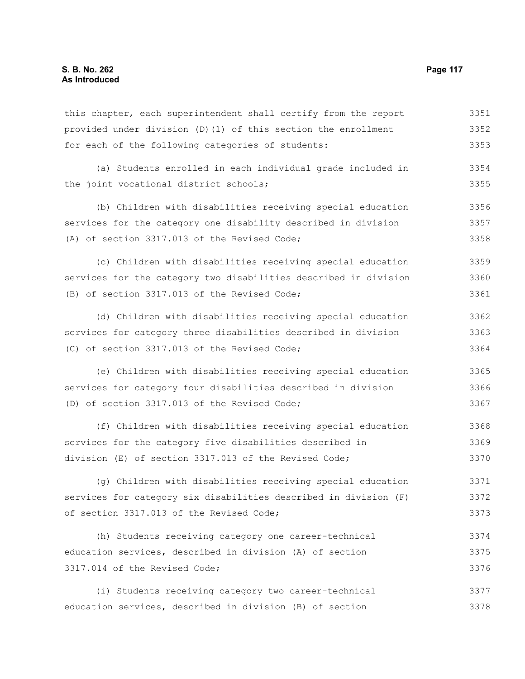| this chapter, each superintendent shall certify from the report  | 3351 |
|------------------------------------------------------------------|------|
| provided under division (D) (1) of this section the enrollment   | 3352 |
| for each of the following categories of students:                | 3353 |
| (a) Students enrolled in each individual grade included in       | 3354 |
| the joint vocational district schools;                           | 3355 |
| (b) Children with disabilities receiving special education       | 3356 |
| services for the category one disability described in division   | 3357 |
| (A) of section 3317.013 of the Revised Code;                     | 3358 |
| (c) Children with disabilities receiving special education       | 3359 |
| services for the category two disabilities described in division | 3360 |
| (B) of section 3317.013 of the Revised Code;                     | 3361 |
| (d) Children with disabilities receiving special education       | 3362 |
| services for category three disabilities described in division   | 3363 |
| (C) of section 3317.013 of the Revised Code;                     | 3364 |
| (e) Children with disabilities receiving special education       | 3365 |
| services for category four disabilities described in division    | 3366 |
| (D) of section 3317.013 of the Revised Code;                     | 3367 |
| (f) Children with disabilities receiving special education       | 3368 |
| services for the category five disabilities described in         | 3369 |
| division (E) of section 3317.013 of the Revised Code;            | 3370 |
| (g) Children with disabilities receiving special education       | 3371 |
| services for category six disabilities described in division (F) | 3372 |
| of section 3317.013 of the Revised Code;                         | 3373 |
| (h) Students receiving category one career-technical             | 3374 |
| education services, described in division (A) of section         | 3375 |
| 3317.014 of the Revised Code;                                    | 3376 |
| (i) Students receiving category two career-technical             | 3377 |
| education services, described in division (B) of section         | 3378 |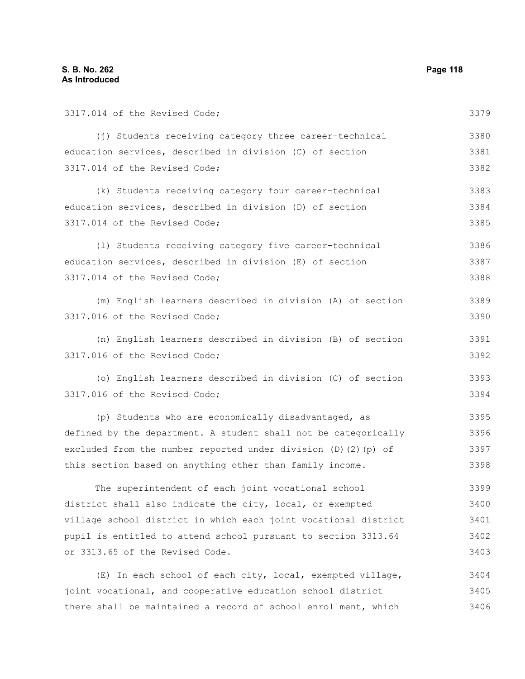3317.014 of the Revised Code; (j) Students receiving category three career-technical education services, described in division (C) of section 3317.014 of the Revised Code; (k) Students receiving category four career-technical education services, described in division (D) of section 3317.014 of the Revised Code; (l) Students receiving category five career-technical education services, described in division (E) of section 3317.014 of the Revised Code; (m) English learners described in division (A) of section 3317.016 of the Revised Code; (n) English learners described in division (B) of section 3317.016 of the Revised Code; (o) English learners described in division (C) of section 3317.016 of the Revised Code; (p) Students who are economically disadvantaged, as defined by the department. A student shall not be categorically excluded from the number reported under division (D)(2)(p) of this section based on anything other than family income. The superintendent of each joint vocational school district shall also indicate the city, local, or exempted village school district in which each joint vocational district pupil is entitled to attend school pursuant to section 3313.64 or 3313.65 of the Revised Code. (E) In each school of each city, local, exempted village, 3379 3380 3381 3382 3383 3384 3385 3386 3387 3388 3389 3390 3391 3392 3393 3394 3395 3396 3397 3398 3399 3400 3401 3402 3403 3404

joint vocational, and cooperative education school district there shall be maintained a record of school enrollment, which 3405 3406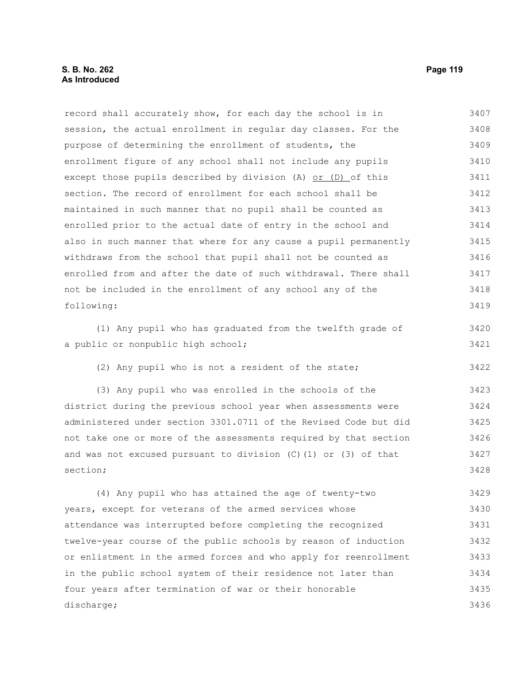record shall accurately show, for each day the school is in session, the actual enrollment in regular day classes. For the purpose of determining the enrollment of students, the enrollment figure of any school shall not include any pupils except those pupils described by division (A)  $or$  (D) of this section. The record of enrollment for each school shall be maintained in such manner that no pupil shall be counted as enrolled prior to the actual date of entry in the school and also in such manner that where for any cause a pupil permanently withdraws from the school that pupil shall not be counted as enrolled from and after the date of such withdrawal. There shall not be included in the enrollment of any school any of the following: 3407 3408 3409 3410 3411 3412 3413 3414 3415 3416 3417 3418 3419

(1) Any pupil who has graduated from the twelfth grade of a public or nonpublic high school;

(2) Any pupil who is not a resident of the state;

(3) Any pupil who was enrolled in the schools of the district during the previous school year when assessments were administered under section 3301.0711 of the Revised Code but did not take one or more of the assessments required by that section and was not excused pursuant to division  $(C)$  (1) or (3) of that section; 3423 3424 3425 3426 3427 3428

(4) Any pupil who has attained the age of twenty-two years, except for veterans of the armed services whose attendance was interrupted before completing the recognized twelve-year course of the public schools by reason of induction or enlistment in the armed forces and who apply for reenrollment in the public school system of their residence not later than four years after termination of war or their honorable discharge; 3429 3430 3431 3432 3433 3434 3435 3436

3420 3421

3422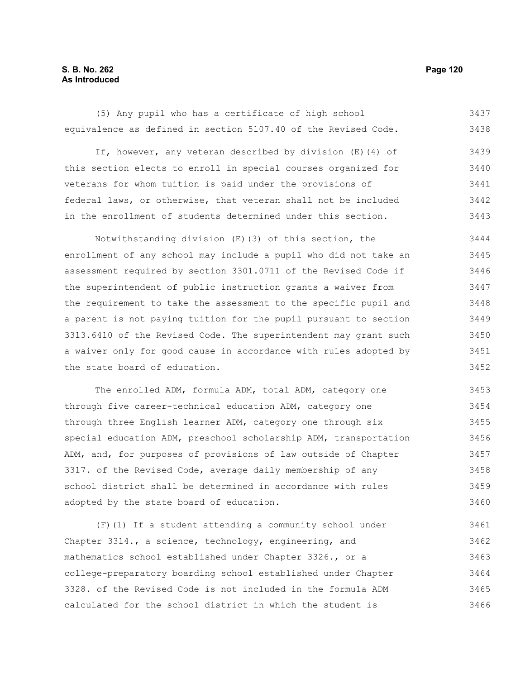# **S. B. No. 262 Page 120 As Introduced**

(5) Any pupil who has a certificate of high school equivalence as defined in section 5107.40 of the Revised Code. 3437 3438

If, however, any veteran described by division (E)(4) of this section elects to enroll in special courses organized for veterans for whom tuition is paid under the provisions of federal laws, or otherwise, that veteran shall not be included in the enrollment of students determined under this section. 3439 3440 3441 3442 3443

Notwithstanding division (E)(3) of this section, the enrollment of any school may include a pupil who did not take an assessment required by section 3301.0711 of the Revised Code if the superintendent of public instruction grants a waiver from the requirement to take the assessment to the specific pupil and a parent is not paying tuition for the pupil pursuant to section 3313.6410 of the Revised Code. The superintendent may grant such a waiver only for good cause in accordance with rules adopted by the state board of education. 3444 3445 3446 3447 3448 3449 3450 3451 3452

The enrolled ADM, formula ADM, total ADM, category one through five career-technical education ADM, category one through three English learner ADM, category one through six special education ADM, preschool scholarship ADM, transportation ADM, and, for purposes of provisions of law outside of Chapter 3317. of the Revised Code, average daily membership of any school district shall be determined in accordance with rules adopted by the state board of education. 3453 3454 3455 3456 3457 3458 3459 3460

(F)(1) If a student attending a community school under Chapter 3314., a science, technology, engineering, and mathematics school established under Chapter 3326., or a college-preparatory boarding school established under Chapter 3328. of the Revised Code is not included in the formula ADM calculated for the school district in which the student is 3461 3462 3463 3464 3465 3466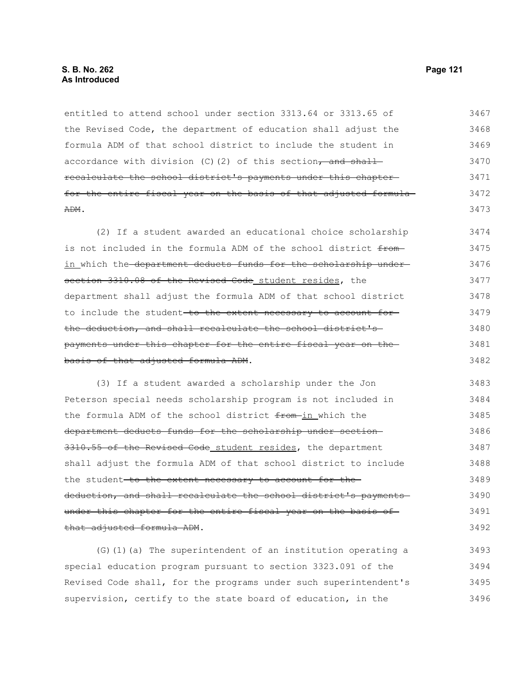entitled to attend school under section 3313.64 or 3313.65 of the Revised Code, the department of education shall adjust the formula ADM of that school district to include the student in accordance with division  $(C)$  (2) of this section, and shall recalculate the school district's payments under this chapter for the entire fiscal year on the basis of that adjusted formula-ADM. 3467 3468 3469 3470 3471 3472 3473

(2) If a student awarded an educational choice scholarship is not included in the formula ADM of the school district fromin which the department deducts funds for the scholarship undersection 3310.08 of the Revised Code student resides, the department shall adjust the formula ADM of that school district to include the student-to the extent necessary to account forthe deduction, and shall recalculate the school district's payments under this chapter for the entire fiscal year on the basis of that adjusted formula ADM. 3474 3475 3476 3477 3478 3479 3480 3481 3482

(3) If a student awarded a scholarship under the Jon Peterson special needs scholarship program is not included in the formula ADM of the school district from-in which the department deducts funds for the scholarship under section 3310.55 of the Revised Code student resides, the department shall adjust the formula ADM of that school district to include the student-to the extent necessary to account for thededuction, and shall recalculate the school district's payments under this chapter for the entire fiscal year on the basis of that adjusted formula ADM. 3483 3484 3485 3486 3487 3488 3489 3490 3491 3492

(G)(1)(a) The superintendent of an institution operating a special education program pursuant to section 3323.091 of the Revised Code shall, for the programs under such superintendent's supervision, certify to the state board of education, in the 3493 3494 3495 3496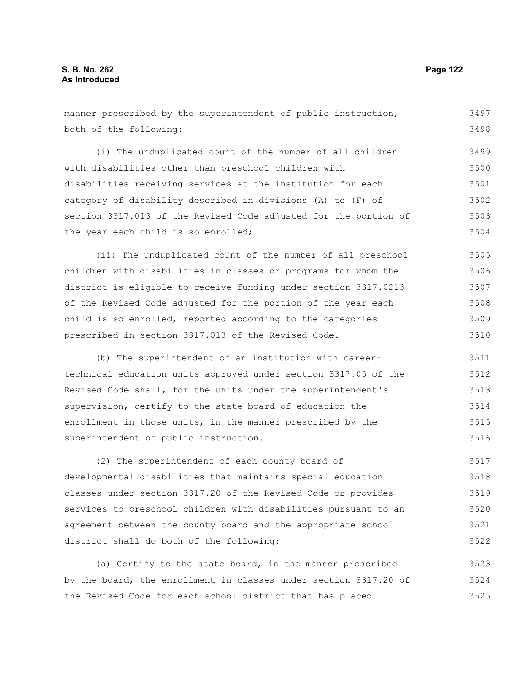| manner prescribed by the superintendent of public instruction,   |       |  |  |  |  |  |
|------------------------------------------------------------------|-------|--|--|--|--|--|
| both of the following:                                           |       |  |  |  |  |  |
| (i) The unduplicated count of the number of all children         | 3499  |  |  |  |  |  |
| with disabilities other than preschool children with             | 3500  |  |  |  |  |  |
| disabilities receiving services at the institution for each      | 3501  |  |  |  |  |  |
|                                                                  | 3502  |  |  |  |  |  |
| category of disability described in divisions (A) to (F) of      |       |  |  |  |  |  |
| section 3317.013 of the Revised Code adjusted for the portion of | 3503  |  |  |  |  |  |
| the year each child is so enrolled;                              | 3504  |  |  |  |  |  |
| (ii) The unduplicated count of the number of all preschool       | 3505  |  |  |  |  |  |
| children with disabilities in classes or programs for whom the   | 3506  |  |  |  |  |  |
| district is eligible to receive funding under section 3317.0213  | 3507  |  |  |  |  |  |
| of the Revised Code adjusted for the portion of the year each    | 3508  |  |  |  |  |  |
| child is so enrolled, reported according to the categories       |       |  |  |  |  |  |
| prescribed in section 3317.013 of the Revised Code.              | 3510  |  |  |  |  |  |
| (b) The superintendent of an institution with career-            | 3511  |  |  |  |  |  |
| technical education units approved under section 3317.05 of the  | 3512  |  |  |  |  |  |
| Revised Code shall, for the units under the superintendent's     | 3513  |  |  |  |  |  |
| supervision, certify to the state board of education the         | 3514  |  |  |  |  |  |
| enrollment in those units, in the manner prescribed by the       | 3515  |  |  |  |  |  |
| superintendent of public instruction.                            | 3516  |  |  |  |  |  |
| (2) The superintendent of each county board of                   | 3517  |  |  |  |  |  |
| developmental disabilities that maintains special education      | 3518  |  |  |  |  |  |
| classes under section 3317.20 of the Revised Code or provides    | 3519  |  |  |  |  |  |
| services to preschool children with disabilities pursuant to an  | 3520. |  |  |  |  |  |

services to preschool children with disabilities pursuant to an agreement between the county board and the appropriate school district shall do both of the following: 3520 3521 3522

(a) Certify to the state board, in the manner prescribed by the board, the enrollment in classes under section 3317.20 of the Revised Code for each school district that has placed 3523 3524 3525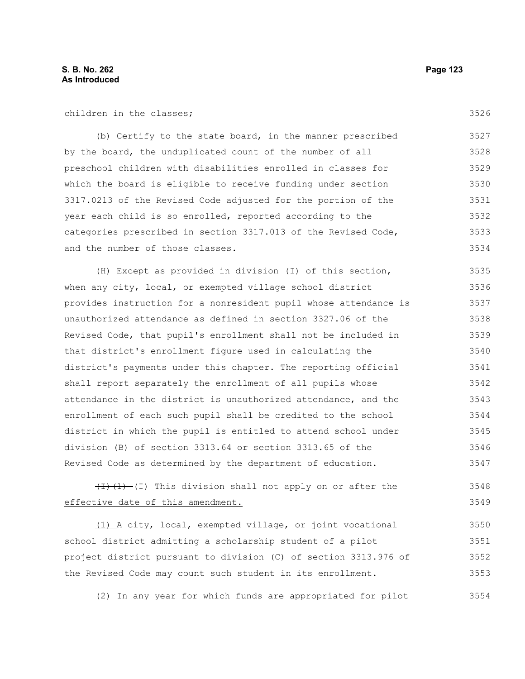3526

| (b) Certify to the state board, in the manner prescribed       | 3527 |
|----------------------------------------------------------------|------|
| by the board, the unduplicated count of the number of all      | 3528 |
| preschool children with disabilities enrolled in classes for   | 3529 |
| which the board is eligible to receive funding under section   | 3530 |
| 3317.0213 of the Revised Code adjusted for the portion of the  | 3531 |
| year each child is so enrolled, reported according to the      | 3532 |
| categories prescribed in section 3317.013 of the Revised Code, | 3533 |
| and the number of those classes.                               | 3534 |

(H) Except as provided in division (I) of this section, when any city, local, or exempted village school district provides instruction for a nonresident pupil whose attendance is unauthorized attendance as defined in section 3327.06 of the Revised Code, that pupil's enrollment shall not be included in that district's enrollment figure used in calculating the district's payments under this chapter. The reporting official shall report separately the enrollment of all pupils whose attendance in the district is unauthorized attendance, and the enrollment of each such pupil shall be credited to the school district in which the pupil is entitled to attend school under division (B) of section 3313.64 or section 3313.65 of the Revised Code as determined by the department of education. 3535 3536 3537 3538 3539 3540 3541 3542 3543 3544 3545 3546 3547

#### $(H)(1)$  (I) This division shall not apply on or after the effective date of this amendment. 3548 3549

(1) A city, local, exempted village, or joint vocational school district admitting a scholarship student of a pilot project district pursuant to division (C) of section 3313.976 of the Revised Code may count such student in its enrollment. 3550 3551 3552 3553

(2) In any year for which funds are appropriated for pilot 3554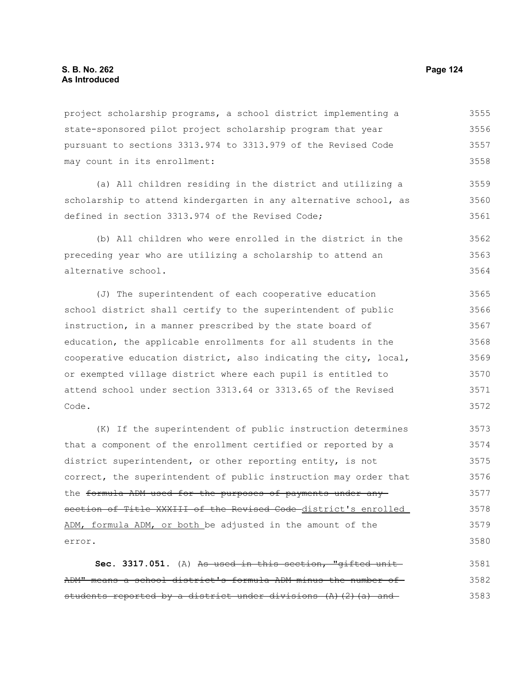error.

project scholarship programs, a school district implementing a state-sponsored pilot project scholarship program that year pursuant to sections 3313.974 to 3313.979 of the Revised Code may count in its enrollment: (a) All children residing in the district and utilizing a scholarship to attend kindergarten in any alternative school, as defined in section 3313.974 of the Revised Code; (b) All children who were enrolled in the district in the preceding year who are utilizing a scholarship to attend an alternative school. (J) The superintendent of each cooperative education school district shall certify to the superintendent of public instruction, in a manner prescribed by the state board of education, the applicable enrollments for all students in the cooperative education district, also indicating the city, local, or exempted village district where each pupil is entitled to attend school under section 3313.64 or 3313.65 of the Revised Code. (K) If the superintendent of public instruction determines that a component of the enrollment certified or reported by a district superintendent, or other reporting entity, is not correct, the superintendent of public instruction may order that the formula ADM used for the purposes of payments under any section of Title XXXIII of the Revised Code district's enrolled ADM, formula ADM, or both be adjusted in the amount of the 3555 3556 3557 3558 3559 3560 3561 3562 3563 3564 3565 3566 3567 3568 3569 3570 3571 3572 3573 3574 3575 3576 3577 3578 3579

Sec. 3317.051. (A) As used in this section, "gifted unit ADM" means a school district's formula ADM minus the number of students reported by a district under divisions  $(A)$   $(2)$   $(a)$  and 3581 3582 3583

3580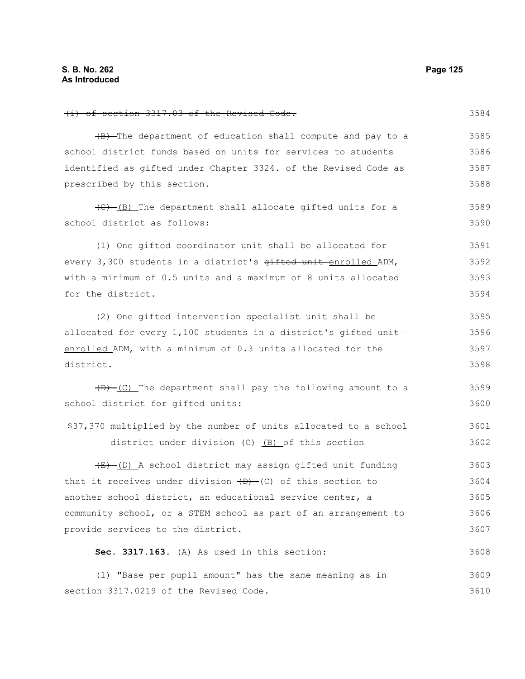(i) of section 3317.03 of the Revised Code. (B) The department of education shall compute and pay to a school district funds based on units for services to students identified as gifted under Chapter 3324. of the Revised Code as prescribed by this section. (C) (B) The department shall allocate gifted units for a school district as follows: (1) One gifted coordinator unit shall be allocated for every 3,300 students in a district's  $q$ ifted unit enrolled ADM, with a minimum of 0.5 units and a maximum of 8 units allocated for the district. (2) One gifted intervention specialist unit shall be allocated for every  $1,100$  students in a district's  $\theta$ ifted unit enrolled ADM, with a minimum of 0.3 units allocated for the district. (D) (C) The department shall pay the following amount to a school district for gifted units: \$37,370 multiplied by the number of units allocated to a school district under division  $\left(\frac{C}{C}\right)$  of this section (E) (D) A school district may assign gifted unit funding that it receives under division  $(D)$  (C) of this section to another school district, an educational service center, a community school, or a STEM school as part of an arrangement to provide services to the district. **Sec. 3317.163.** (A) As used in this section: (1) "Base per pupil amount" has the same meaning as in section 3317.0219 of the Revised Code. 3584 3585 3586 3587 3588 3589 3590 3591 3592 3593 3594 3595 3596 3597 3598 3599 3600 3601 3602 3603 3604 3605 3606 3607 3608 3609 3610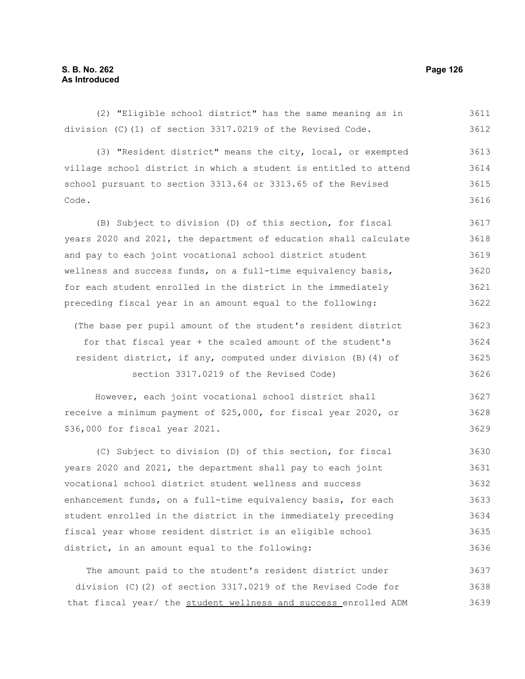(2) "Eligible school district" has the same meaning as in division (C)(1) of section 3317.0219 of the Revised Code. (3) "Resident district" means the city, local, or exempted village school district in which a student is entitled to attend school pursuant to section 3313.64 or 3313.65 of the Revised Code. (B) Subject to division (D) of this section, for fiscal years 2020 and 2021, the department of education shall calculate and pay to each joint vocational school district student wellness and success funds, on a full-time equivalency basis, for each student enrolled in the district in the immediately preceding fiscal year in an amount equal to the following: (The base per pupil amount of the student's resident district for that fiscal year + the scaled amount of the student's resident district, if any, computed under division (B)(4) of section 3317.0219 of the Revised Code) However, each joint vocational school district shall receive a minimum payment of \$25,000, for fiscal year 2020, or \$36,000 for fiscal year 2021. (C) Subject to division (D) of this section, for fiscal 3611 3612 3613 3614 3615 3616 3617 3618 3619 3620 3621 3622 3623 3624 3625 3626 3627 3628 3629 3630

years 2020 and 2021, the department shall pay to each joint vocational school district student wellness and success enhancement funds, on a full-time equivalency basis, for each student enrolled in the district in the immediately preceding fiscal year whose resident district is an eligible school district, in an amount equal to the following: 3631 3632 3633 3634 3635 3636

The amount paid to the student's resident district under division (C)(2) of section 3317.0219 of the Revised Code for that fiscal year/ the student wellness and success enrolled ADM 3637 3638 3639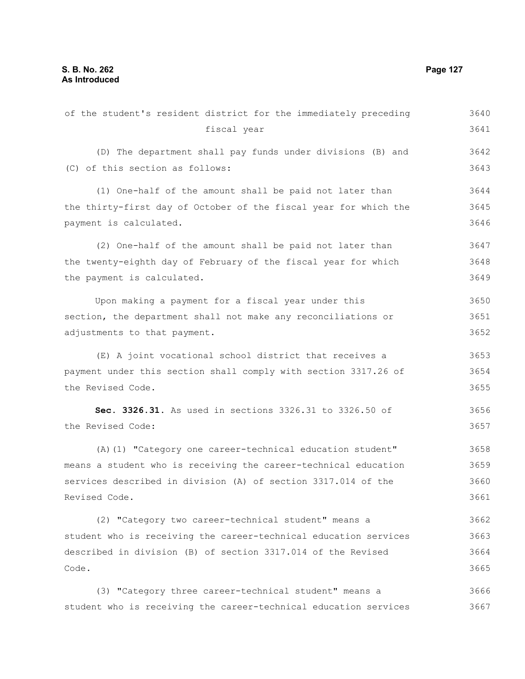| of the student's resident district for the immediately preceding | 3640 |
|------------------------------------------------------------------|------|
| fiscal year                                                      | 3641 |
| (D) The department shall pay funds under divisions (B) and       | 3642 |
| (C) of this section as follows:                                  | 3643 |
| (1) One-half of the amount shall be paid not later than          | 3644 |
| the thirty-first day of October of the fiscal year for which the | 3645 |
| payment is calculated.                                           | 3646 |
| (2) One-half of the amount shall be paid not later than          | 3647 |
| the twenty-eighth day of February of the fiscal year for which   | 3648 |
| the payment is calculated.                                       | 3649 |
| Upon making a payment for a fiscal year under this               | 3650 |
| section, the department shall not make any reconciliations or    | 3651 |
| adjustments to that payment.                                     | 3652 |
| (E) A joint vocational school district that receives a           | 3653 |
| payment under this section shall comply with section 3317.26 of  | 3654 |
| the Revised Code.                                                | 3655 |
| Sec. 3326.31. As used in sections 3326.31 to 3326.50 of          | 3656 |
| the Revised Code:                                                | 3657 |
| (A) (1) "Category one career-technical education student"        | 3658 |
| means a student who is receiving the career-technical education  | 3659 |
| services described in division (A) of section 3317.014 of the    | 3660 |
| Revised Code.                                                    | 3661 |
| (2) "Category two career-technical student" means a              | 3662 |
| student who is receiving the career-technical education services | 3663 |
| described in division (B) of section 3317.014 of the Revised     | 3664 |
| Code.                                                            | 3665 |
| (3) "Category three career-technical student" means a            | 3666 |
| student who is receiving the career-technical education services | 3667 |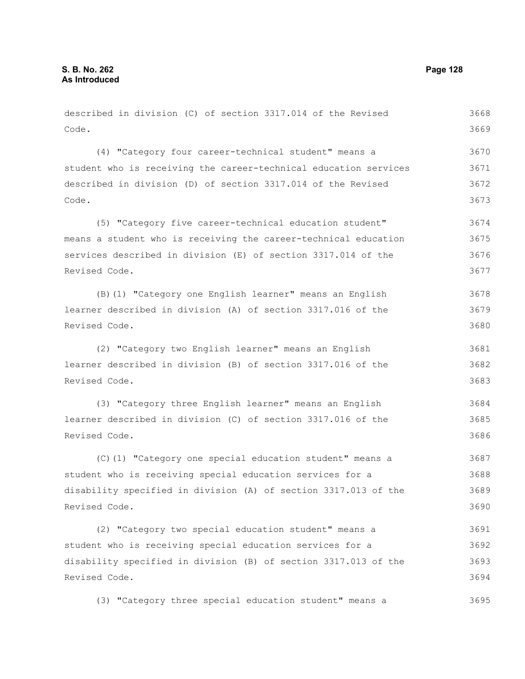| described in division (C) of section 3317.014 of the Revised     | 3668 |
|------------------------------------------------------------------|------|
| Code.                                                            | 3669 |
| (4) "Category four career-technical student" means a             | 3670 |
| student who is receiving the career-technical education services | 3671 |
| described in division (D) of section 3317.014 of the Revised     | 3672 |
| Code.                                                            | 3673 |
|                                                                  |      |
| (5) "Category five career-technical education student"           | 3674 |
| means a student who is receiving the career-technical education  | 3675 |
| services described in division (E) of section 3317.014 of the    | 3676 |
| Revised Code.                                                    | 3677 |
| (B) (1) "Category one English learner" means an English          | 3678 |
| learner described in division (A) of section 3317.016 of the     | 3679 |
| Revised Code.                                                    | 3680 |
| (2) "Category two English learner" means an English              | 3681 |
| learner described in division (B) of section 3317.016 of the     | 3682 |
| Revised Code.                                                    | 3683 |
| (3) "Category three English learner" means an English            | 3684 |
| learner described in division (C) of section 3317.016 of the     | 3685 |
| Revised Code.                                                    | 3686 |
| (C) (1) "Category one special education student" means a         | 3687 |
| student who is receiving special education services for a        | 3688 |
| disability specified in division (A) of section 3317.013 of the  | 3689 |
| Revised Code.                                                    | 3690 |
| (2) "Category two special education student" means a             | 3691 |
| student who is receiving special education services for a        | 3692 |
| disability specified in division (B) of section 3317.013 of the  | 3693 |
| Revised Code.                                                    | 3694 |
|                                                                  |      |

(3) "Category three special education student" means a 3695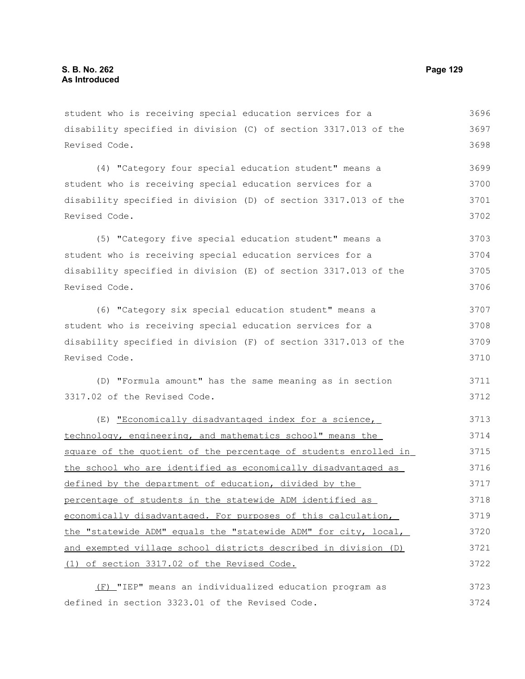student who is receiving special education services for a disability specified in division (C) of section 3317.013 of the Revised Code. 3696 3697 3698

(4) "Category four special education student" means a student who is receiving special education services for a disability specified in division (D) of section 3317.013 of the Revised Code. 3699 3700 3701 3702

(5) "Category five special education student" means a student who is receiving special education services for a disability specified in division (E) of section 3317.013 of the Revised Code. 3703 3704 3705 3706

(6) "Category six special education student" means a student who is receiving special education services for a disability specified in division (F) of section 3317.013 of the Revised Code. 3707 3708 3709 3710

(D) "Formula amount" has the same meaning as in section 3317.02 of the Revised Code. 3711 3712

(E) "Economically disadvantaged index for a science, technology, engineering, and mathematics school" means the square of the quotient of the percentage of students enrolled in the school who are identified as economically disadvantaged as defined by the department of education, divided by the percentage of students in the statewide ADM identified as economically disadvantaged. For purposes of this calculation, the "statewide ADM" equals the "statewide ADM" for city, local, and exempted village school districts described in division (D) (1) of section 3317.02 of the Revised Code. 3713 3714 3715 3716 3717 3718 3719 3720 3721 3722

(F) "IEP" means an individualized education program as defined in section 3323.01 of the Revised Code. 3723 3724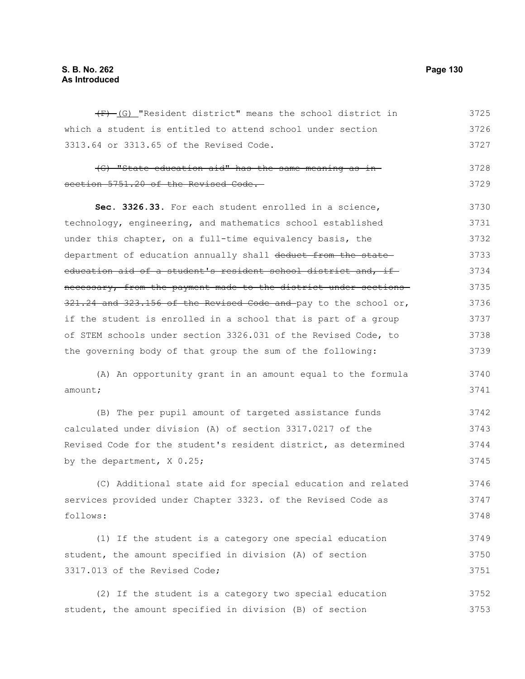# **S. B. No. 262 Page 130 As Introduced**

(F) (G) "Resident district" means the school district in which a student is entitled to attend school under section 3313.64 or 3313.65 of the Revised Code. (G) "State education aid" has the same meaning as in section 5751.20 of the Revised Code. **Sec. 3326.33.** For each student enrolled in a science, technology, engineering, and mathematics school established under this chapter, on a full-time equivalency basis, the department of education annually shall deduct from the stateeducation aid of a student's resident school district and, if necessary, from the payment made to the district under sections 321.24 and 323.156 of the Revised Code and pay to the school or, if the student is enrolled in a school that is part of a group of STEM schools under section 3326.031 of the Revised Code, to the governing body of that group the sum of the following: (A) An opportunity grant in an amount equal to the formula amount; (B) The per pupil amount of targeted assistance funds calculated under division (A) of section 3317.0217 of the Revised Code for the student's resident district, as determined by the department, X 0.25; (C) Additional state aid for special education and related services provided under Chapter 3323. of the Revised Code as follows: (1) If the student is a category one special education student, the amount specified in division (A) of section 3317.013 of the Revised Code; (2) If the student is a category two special education student, the amount specified in division (B) of section 3725 3726 3727 3728 3729 3730 3731 3732 3733 3734 3735 3736 3737 3738 3739 3740 3741 3742 3743 3744 3745 3746 3747 3748 3749 3750 3751 3752 3753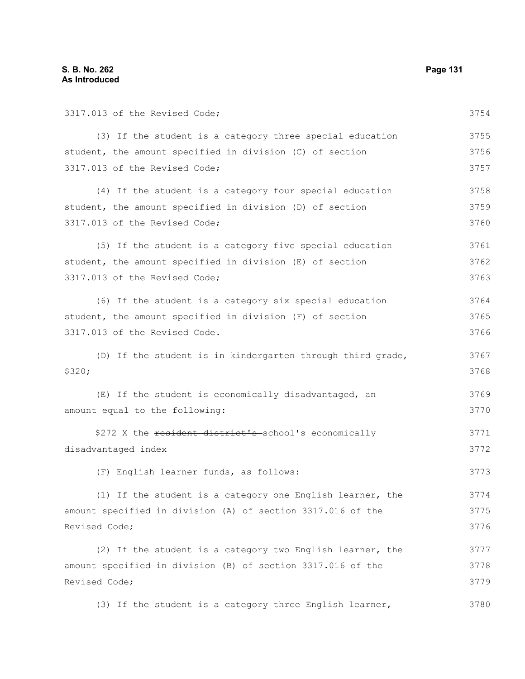| 3317.013 of the Revised Code;                               | 3754 |
|-------------------------------------------------------------|------|
| (3) If the student is a category three special education    | 3755 |
| student, the amount specified in division (C) of section    | 3756 |
| 3317.013 of the Revised Code;                               | 3757 |
| (4) If the student is a category four special education     | 3758 |
| student, the amount specified in division (D) of section    | 3759 |
| 3317.013 of the Revised Code;                               | 3760 |
| (5) If the student is a category five special education     | 3761 |
| student, the amount specified in division (E) of section    | 3762 |
| 3317.013 of the Revised Code;                               | 3763 |
| (6) If the student is a category six special education      | 3764 |
| student, the amount specified in division (F) of section    | 3765 |
| 3317.013 of the Revised Code.                               | 3766 |
| (D) If the student is in kindergarten through third grade,  | 3767 |
| \$320;                                                      | 3768 |
| (E) If the student is economically disadvantaged, an        | 3769 |
| amount equal to the following:                              | 3770 |
| \$272 X the resident district's school's economically       | 3771 |
| disadvantaged index                                         | 3772 |
| (F) English learner funds, as follows:                      | 3773 |
| (1) If the student is a category one English learner, the   | 3774 |
| amount specified in division (A) of section 3317.016 of the | 3775 |
| Revised Code;                                               | 3776 |
| (2) If the student is a category two English learner, the   | 3777 |
| amount specified in division (B) of section 3317.016 of the | 3778 |
| Revised Code;                                               | 3779 |
| (3) If the student is a category three English learner,     | 3780 |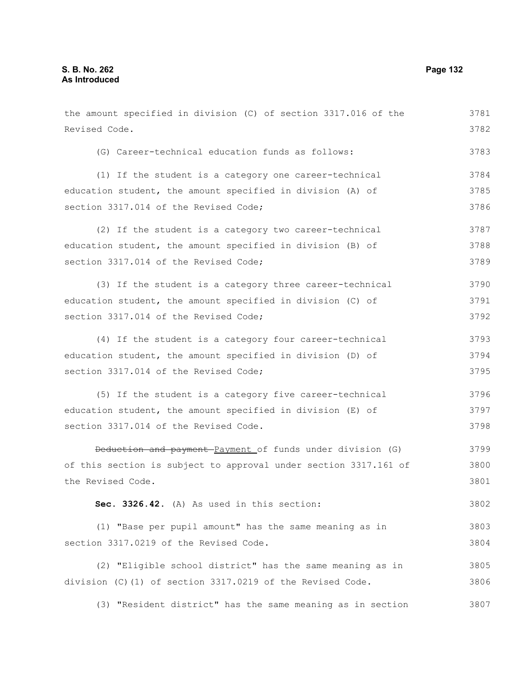Revised Code.

the amount specified in division (C) of section 3317.016 of the (G) Career-technical education funds as follows:

(1) If the student is a category one career-technical education student, the amount specified in division (A) of section 3317.014 of the Revised Code; 3784 3785 3786

(2) If the student is a category two career-technical education student, the amount specified in division (B) of section 3317.014 of the Revised Code; 3787 3788 3789

(3) If the student is a category three career-technical education student, the amount specified in division (C) of section 3317.014 of the Revised Code; 3790 3791 3792

(4) If the student is a category four career-technical education student, the amount specified in division (D) of section 3317.014 of the Revised Code; 3793 3794 3795

(5) If the student is a category five career-technical education student, the amount specified in division (E) of section 3317.014 of the Revised Code. 3796 3797 3798

Deduction and payment Payment of funds under division (G) of this section is subject to approval under section 3317.161 of the Revised Code. 3799 3800 3801

**Sec. 3326.42.** (A) As used in this section: 3802

(1) "Base per pupil amount" has the same meaning as in section 3317.0219 of the Revised Code. 3803 3804

(2) "Eligible school district" has the same meaning as in division (C)(1) of section 3317.0219 of the Revised Code. 3805 3806

(3) "Resident district" has the same meaning as in section 3807

3781 3782

3783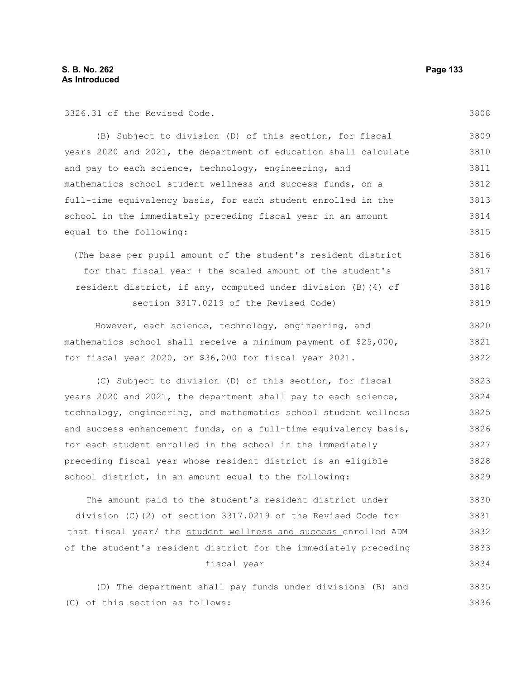3326.31 of the Revised Code.

(B) Subject to division (D) of this section, for fiscal years 2020 and 2021, the department of education shall calculate and pay to each science, technology, engineering, and mathematics school student wellness and success funds, on a full-time equivalency basis, for each student enrolled in the school in the immediately preceding fiscal year in an amount equal to the following: 3809 3810 3811 3812 3813 3814 3815

(The base per pupil amount of the student's resident district for that fiscal year + the scaled amount of the student's resident district, if any, computed under division (B)(4) of section 3317.0219 of the Revised Code) 3816 3817 3818 3819

However, each science, technology, engineering, and mathematics school shall receive a minimum payment of \$25,000, for fiscal year 2020, or \$36,000 for fiscal year 2021. 3820 3821 3822

(C) Subject to division (D) of this section, for fiscal years 2020 and 2021, the department shall pay to each science, technology, engineering, and mathematics school student wellness and success enhancement funds, on a full-time equivalency basis, for each student enrolled in the school in the immediately preceding fiscal year whose resident district is an eligible school district, in an amount equal to the following: 3823 3824 3825 3826 3827 3828 3829

The amount paid to the student's resident district under division (C)(2) of section 3317.0219 of the Revised Code for that fiscal year/ the student wellness and success enrolled ADM of the student's resident district for the immediately preceding fiscal year 3830 3831 3832 3833 3834

(D) The department shall pay funds under divisions (B) and (C) of this section as follows: 3835 3836

# 3808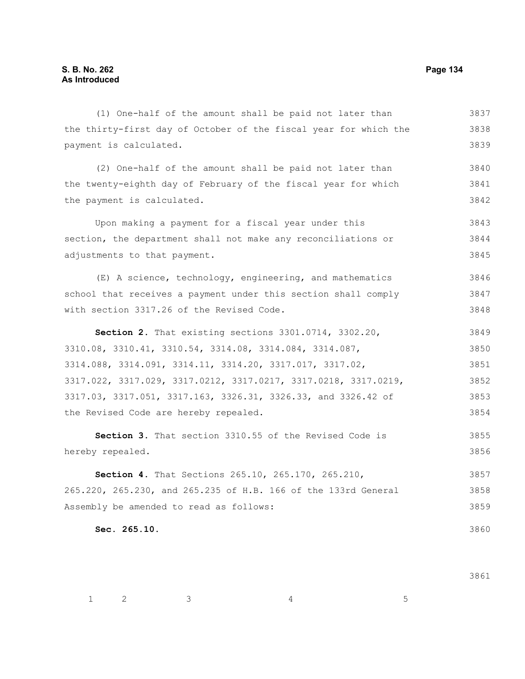#### (1) One-half of the amount shall be paid not later than the thirty-first day of October of the fiscal year for which the payment is calculated. (2) One-half of the amount shall be paid not later than the twenty-eighth day of February of the fiscal year for which the payment is calculated. Upon making a payment for a fiscal year under this section, the department shall not make any reconciliations or adjustments to that payment. (E) A science, technology, engineering, and mathematics school that receives a payment under this section shall comply with section 3317.26 of the Revised Code. **Section 2.** That existing sections 3301.0714, 3302.20, 3310.08, 3310.41, 3310.54, 3314.08, 3314.084, 3314.087, 3314.088, 3314.091, 3314.11, 3314.20, 3317.017, 3317.02, 3317.022, 3317.029, 3317.0212, 3317.0217, 3317.0218, 3317.0219, 3317.03, 3317.051, 3317.163, 3326.31, 3326.33, and 3326.42 of the Revised Code are hereby repealed. **Section 3.** That section 3310.55 of the Revised Code is hereby repealed. **Section 4.** That Sections 265.10, 265.170, 265.210, 265.220, 265.230, and 265.235 of H.B. 166 of the 133rd General Assembly be amended to read as follows: **Sec. 265.10.**  3837 3838 3839 3840 3841 3842 3843 3844 3845 3846 3847 3848 3849 3850 3851 3852 3853 3854 3855 3856 3857 3858 3859 3860

3861

 $1 \qquad 2 \qquad 3 \qquad 4 \qquad 5$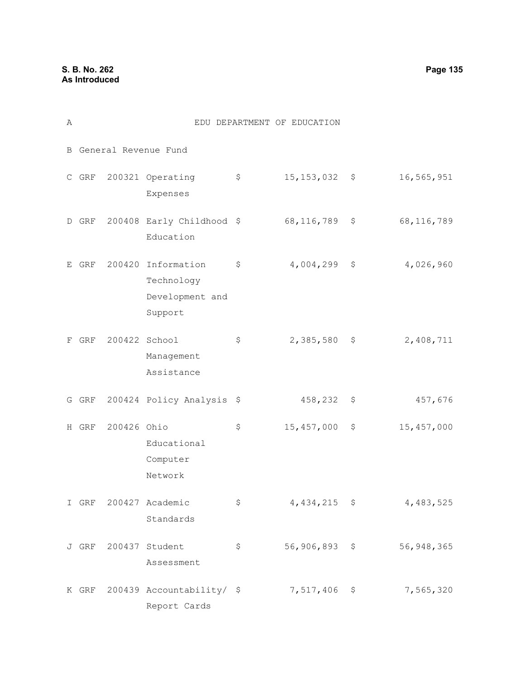| Α |                        |             |                                                         |    | EDU DEPARTMENT OF EDUCATION |    |              |  |  |
|---|------------------------|-------------|---------------------------------------------------------|----|-----------------------------|----|--------------|--|--|
|   | B General Revenue Fund |             |                                                         |    |                             |    |              |  |  |
|   | $C$ GRF                |             | 200321 Operating<br>Expenses                            | \$ | $15, 153, 032$ \$           |    | 16,565,951   |  |  |
| D | GRF                    |             | 200408 Early Childhood \$<br>Education                  |    | 68, 116, 789                | \$ | 68, 116, 789 |  |  |
| Е | GRF                    | 200420      | Information<br>Technology<br>Development and<br>Support | \$ | 4,004,299                   | \$ | 4,026,960    |  |  |
| F | GRF                    |             | 200422 School<br>Management<br>Assistance               | \$ | 2,385,580                   | \$ | 2,408,711    |  |  |
|   | G GRF                  |             | 200424 Policy Analysis \$                               |    | 458,232                     | \$ | 457,676      |  |  |
|   | H GRF                  | 200426 Ohio | Educational<br>Computer<br>Network                      | \$ | 15,457,000                  | \$ | 15, 457, 000 |  |  |
|   | I GRF                  |             | 200427 Academic<br>Standards                            | \$ | 4,434,215 \$                |    | 4,483,525    |  |  |
|   |                        |             | J GRF 200437 Student<br>Assessment                      | \$ | $56,906,893$ \$             |    | 56, 948, 365 |  |  |
|   |                        |             | K GRF 200439 Accountability/ \$<br>Report Cards         |    | 7,517,406                   | \$ | 7,565,320    |  |  |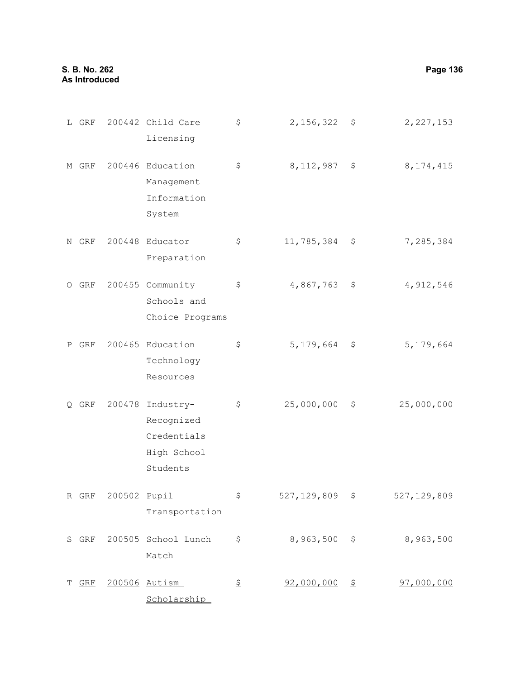**S. B. No. 262 Page 136 As Introduced**

|   | L GRF |              | 200442 Child Care<br>Licensing                                    | \$ | 2, 156, 322     | \$<br>2, 227, 153   |
|---|-------|--------------|-------------------------------------------------------------------|----|-----------------|---------------------|
|   | M GRF |              | 200446 Education<br>Management<br>Information<br>System           | \$ | 8, 112, 987     | \$<br>8, 174, 415   |
| Ν | GRF   |              | 200448 Educator<br>Preparation                                    | \$ | 11,785,384      | \$<br>7,285,384     |
|   | 0 GRF |              | 200455 Community<br>Schools and<br>Choice Programs                | \$ | 4,867,763       | \$<br>4,912,546     |
| Ρ | GRF   |              | 200465 Education<br>Technology<br>Resources                       | \$ | 5, 179, 664     | \$<br>5, 179, 664   |
|   | Q GRF | 200478       | Industry-<br>Recognized<br>Credentials<br>High School<br>Students | \$ | 25,000,000      | \$<br>25,000,000    |
|   | R GRF | 200502 Pupil | Transportation                                                    | Ş  | 527, 129, 809   | \$<br>527, 129, 809 |
|   |       |              | S GRF 200505 School Lunch<br>Match                                | \$ | $8,963,500$ \$  | 8,963,500           |
|   | T GRF |              | 200506 Autism<br>Scholarship                                      | 오  | $92,000,000$ \$ | 97,000,000          |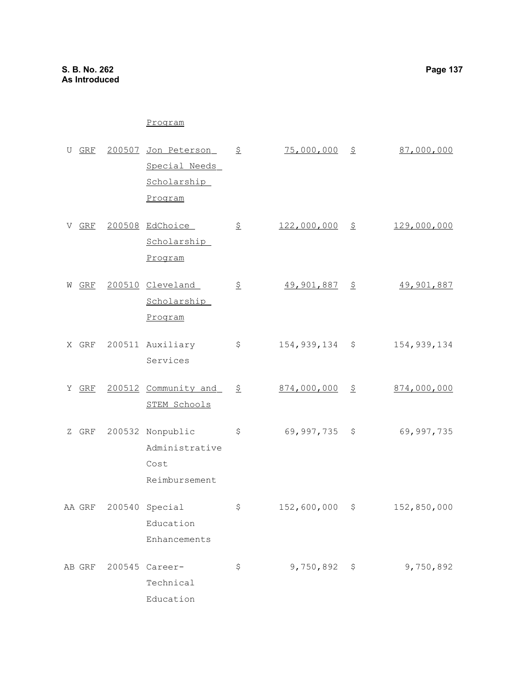# Program

| U GRF    |        | 200507 Jon Peterson  | 오  | 75,000,000  | 오                     | 87,000,000        |
|----------|--------|----------------------|----|-------------|-----------------------|-------------------|
|          |        | Special Needs        |    |             |                       |                   |
|          |        | Scholarship          |    |             |                       |                   |
|          |        | Program              |    |             |                       |                   |
| GRF<br>V |        | 200508 EdChoice      | 오  | 122,000,000 | $\tilde{\mathcal{Z}}$ | 129,000,000       |
|          |        | Scholarship          |    |             |                       |                   |
|          |        | Program              |    |             |                       |                   |
| GRF<br>W |        | 200510 Cleveland     | 오  | 49,901,887  | 오                     | <u>49,901,887</u> |
|          |        | Scholarship          |    |             |                       |                   |
|          |        | Program              |    |             |                       |                   |
| X GRF    |        | 200511 Auxiliary     | \$ | 154,939,134 | \$                    | 154, 939, 134     |
|          |        | Services             |    |             |                       |                   |
| GRF<br>Y |        | 200512 Community and | 오  | 874,000,000 | $\tilde{\sigma}$      | 874,000,000       |
|          |        | STEM Schools         |    |             |                       |                   |
| GRF<br>Z |        | 200532 Nonpublic     | \$ | 69,997,735  | \$                    | 69,997,735        |
|          |        | Administrative       |    |             |                       |                   |
|          |        | Cost                 |    |             |                       |                   |
|          |        | Reimbursement        |    |             |                       |                   |
| AA GRF   |        | 200540 Special       | \$ | 152,600,000 | \$                    | 152,850,000       |
|          |        | Education            |    |             |                       |                   |
|          |        | Enhancements         |    |             |                       |                   |
| AB GRF   | 200545 | Career-              | \$ | 9,750,892   | \$                    | 9,750,892         |
|          |        | Technical            |    |             |                       |                   |
|          |        | Education            |    |             |                       |                   |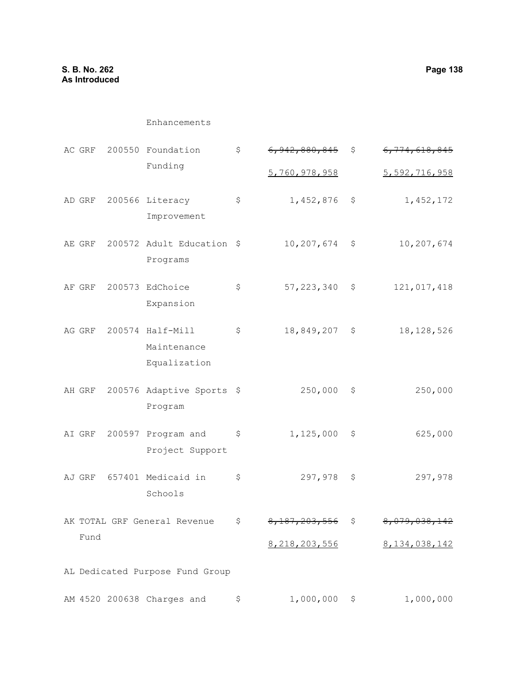# Enhancements

| AC GRF | 200550 Foundation                               | \$<br><del>6,942,880,845</del> | \$                   | 6, 774, 618, 845 |
|--------|-------------------------------------------------|--------------------------------|----------------------|------------------|
|        | Funding                                         | 5,760,978,958                  |                      | 5,592,716,958    |
| AD GRF | 200566 Literacy<br>Improvement                  | \$<br>1,452,876                | $\ddot{\varepsilon}$ | 1, 452, 172      |
| AE GRF | 200572 Adult Education \$<br>Programs           | 10,207,674                     | \$                   | 10,207,674       |
| AF GRF | 200573 EdChoice<br>Expansion                    | \$<br>57, 223, 340             | \$                   | 121,017,418      |
| AG GRF | 200574 Half-Mill<br>Maintenance<br>Equalization | \$<br>18,849,207               | \$                   | 18, 128, 526     |
| AH GRF | 200576 Adaptive Sports \$<br>Program            | 250,000                        | \$                   | 250,000          |
| AI GRF | 200597 Program and<br>Project Support           | \$<br>1,125,000                | \$                   | 625,000          |
| AJ GRF | 657401 Medicaid in<br>Schools                   | \$<br>297,978                  | \$                   | 297,978          |
|        | AK TOTAL GRF General Revenue                    | \$                             | Ş                    |                  |
| Fund   |                                                 | 8, 218, 203, 556               |                      | 8, 134, 038, 142 |
|        | AL Dedicated Purpose Fund Group                 |                                |                      |                  |
|        | AM 4520 200638 Charges and                      | \$<br>1,000,000                | \$                   | 1,000,000        |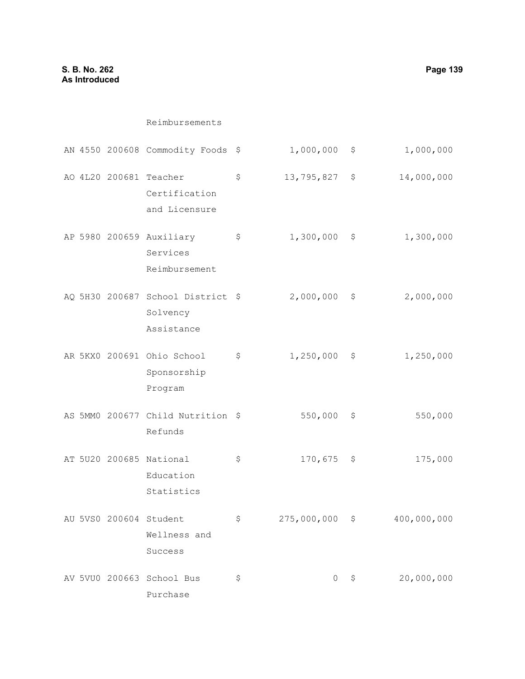|  | AN 4550 200608 Commodity Foods                              | Ş  | 1,000,000   | Ş  | 1,000,000   |
|--|-------------------------------------------------------------|----|-------------|----|-------------|
|  | AO 4L20 200681 Teacher<br>Certification<br>and Licensure    | \$ | 13,795,827  | \$ | 14,000,000  |
|  | AP 5980 200659 Auxiliary<br>Services<br>Reimbursement       | \$ | 1,300,000   | \$ | 1,300,000   |
|  | AQ 5H30 200687 School District \$<br>Solvency<br>Assistance |    | 2,000,000   | \$ | 2,000,000   |
|  | AR 5KX0 200691 Ohio School<br>Sponsorship<br>Program        | \$ | 1,250,000   | \$ | 1,250,000   |
|  | AS 5MM0 200677 Child Nutrition \$<br>Refunds                |    | 550,000     | \$ | 550,000     |
|  | AT 5U20 200685 National<br>Education<br>Statistics          | \$ | 170,675     | \$ | 175,000     |
|  | AU 5VS0 200604 Student<br>Wellness and<br>Success           | \$ | 275,000,000 | \$ | 400,000,000 |
|  | AV 5VU0 200663 School Bus<br>Purchase                       | \$ | $\circ$     | \$ | 20,000,000  |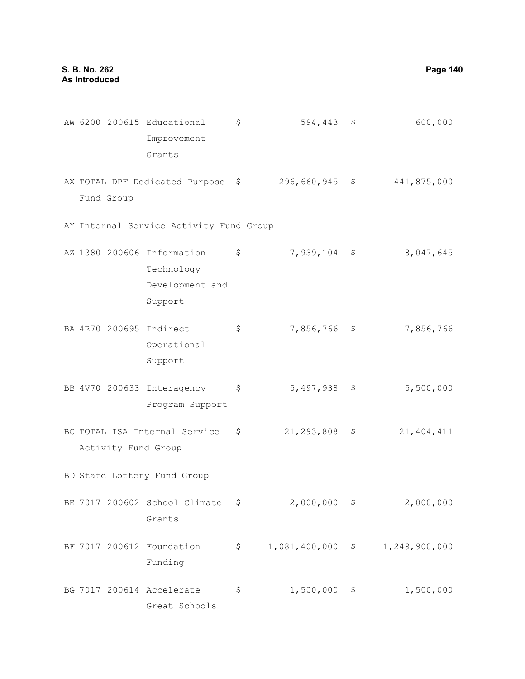|  |            | AW 6200 200615 Educational<br>Improvement<br>Grants                       | $\varsigma$         | $594,443$ \$      |                    | 600,000       |
|--|------------|---------------------------------------------------------------------------|---------------------|-------------------|--------------------|---------------|
|  | Fund Group | AX TOTAL DPF Dedicated Purpose \$296,660,945 \$                           |                     |                   |                    | 441,875,000   |
|  |            | AY Internal Service Activity Fund Group                                   |                     |                   |                    |               |
|  |            | AZ 1380 200606 Information \$<br>Technology<br>Development and<br>Support |                     | $7,939,104$ \$    |                    | 8,047,645     |
|  |            | BA 4R70 200695 Indirect<br>Operational<br>Support                         | \$                  | 7,856,766 \$      |                    | 7,856,766     |
|  |            | BB 4V70 200633 Interagency<br>Program Support                             | \$                  | 5,497,938 \$      |                    | 5,500,000     |
|  |            | BC TOTAL ISA Internal Service<br>Activity Fund Group                      | $\ddot{\mathbf{S}}$ | $21, 293, 808$ \$ |                    | 21, 404, 411  |
|  |            | BD State Lottery Fund Group                                               |                     |                   |                    |               |
|  |            | BE 7017 200602 School Climate<br>Grants                                   | \$                  | 2,000,000         | \$                 | 2,000,000     |
|  |            | BF 7017 200612 Foundation<br>Funding                                      | \$                  | 1,081,400,000     | $\hat{\mathsf{S}}$ | 1,249,900,000 |
|  |            | BG 7017 200614 Accelerate<br>Great Schools                                | \$                  | 1,500,000         | \$                 | 1,500,000     |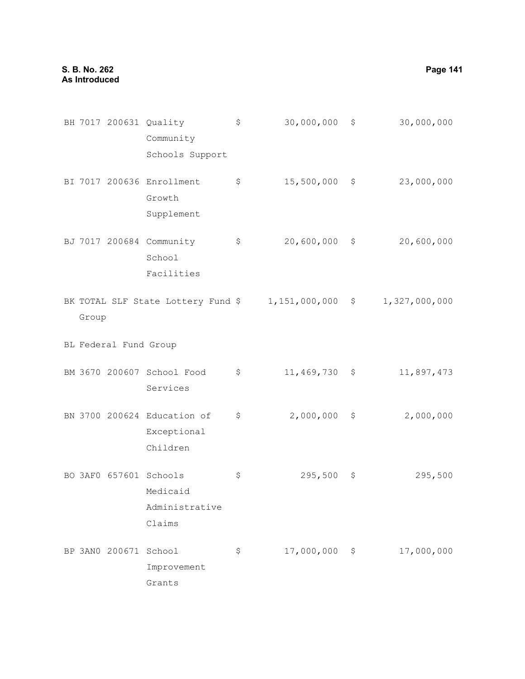|       |                       | BH 7017 200631 Quality<br>Community<br>Schools Support         | \$ | 30,000,000      | \$<br>30,000,000 |
|-------|-----------------------|----------------------------------------------------------------|----|-----------------|------------------|
|       |                       | BI 7017 200636 Enrollment<br>Growth<br>Supplement              | \$ | 15,500,000      | \$<br>23,000,000 |
|       |                       | BJ 7017 200684 Community<br>School<br>Facilities               | \$ | 20,600,000      | \$<br>20,600,000 |
| Group |                       | BK TOTAL SLF State Lottery Fund $$1,151,000,000$ \$            |    |                 | 1,327,000,000    |
|       | BL Federal Fund Group |                                                                |    |                 |                  |
|       |                       | BM 3670 200607 School Food<br>Services                         | \$ | $11,469,730$ \$ | 11,897,473       |
|       |                       | BN 3700 200624 Education of<br>Exceptional<br>Children         | \$ | 2,000,000       | \$<br>2,000,000  |
|       |                       | BO 3AF0 657601 Schools<br>Medicaid<br>Administrative<br>Claims | \$ | 295,500         | \$<br>295,500    |
|       | BP 3AN0 200671        | School<br>Improvement<br>Grants                                | Ş  | 17,000,000      | \$<br>17,000,000 |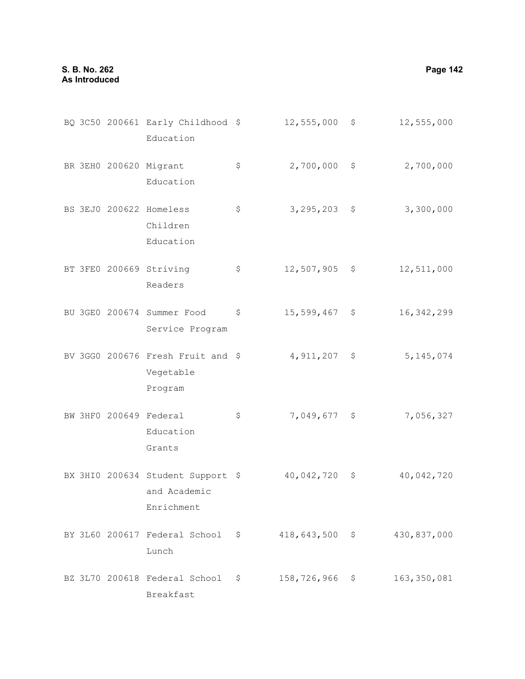Education

Education

Children Education

BR 3EH0 200620 Migrant

BS 3EJ0 200622 Homeless

BQ 3C50 200661 Early Childhood \$ 12,555,000 \$ 12,555,000  $\frac{1}{2}$  \$ 2,700,000 \$ 2,700,000  $\frac{1}{5}$  3,295,203 \$ 3,300,000 BT 3FE0 200669 Striving \$ 12,507,905 \$ 12,511,000

- Readers BU 3GE0 200674 Summer Food Service Program \$ 15,599,467 \$ 16,342,299
- BV 3GG0 200676 Fresh Fruit and \$ 4,911,207 \$ 5,145,074 Vegetable Program
- BW 3HF0 200649 Federal Education Grants \$ 7,049,677 \$ 7,056,327
- BX 3HIO 200634 Student Support \$ 40,042,720 \$ 40,042,720 and Academic Enrichment
- BY 3L60 200617 Federal School \$ 418,643,500 \$ 430,837,000 Lunch
- BZ 3L70 200618 Federal School \$ 158,726,966 \$ 163,350,081Breakfast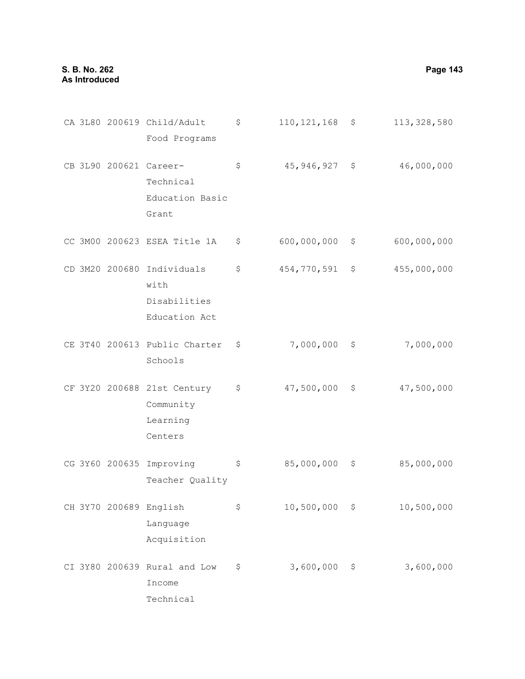CA 3L80 200619 Child/Adult \$ 110,121,168 \$ 113,328,580 Food Programs CB 3L90 200621 Career-\$ 45,946,927 \$ 46,000,000 Technical Education Basic Grant CC 3M00 200623 ESEA Title 1A \$ 600,000,000 \$ 600,000,000 CD 3M20 200680 Individuals \$ 454,770,591 \$ 455,000,000 with Disabilities Education Act CE 3T40 200613 Public Charter \$ 7,000,000 \$ 7,000,000 Schools CF 3Y20 200688 21st Century \$ 47,500,000 \$ 47,500,000 Community Learning Centers CG 3Y60 200635 Improving Teacher Quality \$ 85,000,000 \$ 85,000,000 CH 3Y70 200689 English Language Acquisition \$ 10,500,000 \$ 10,500,000 CI 3Y80 200639 Rural and Low \$ 3,600,000 \$ 3,600,000Income

Technical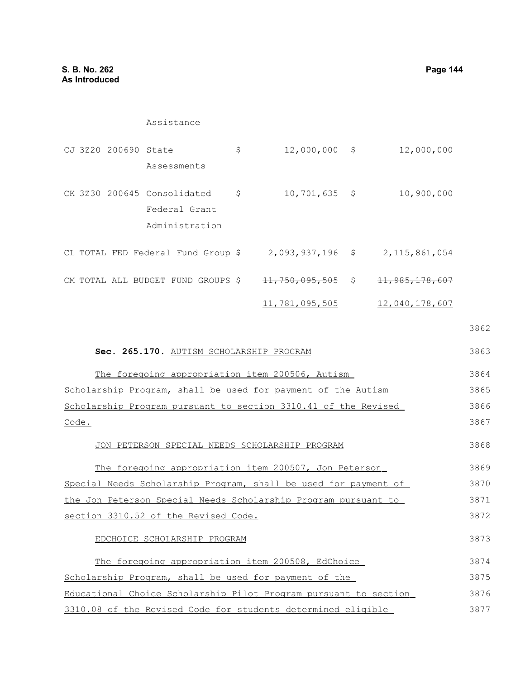#### Assistance

|  | CJ 3Z20 200690 State |                                                                | \$<br>$12,000,000$ \$          | 12,000,000                |
|--|----------------------|----------------------------------------------------------------|--------------------------------|---------------------------|
|  |                      | Assessments                                                    |                                |                           |
|  |                      | CK 3Z30 200645 Consolidated<br>Federal Grant<br>Administration | \$<br>$10, 701, 635$ \$        | 10,900,000                |
|  |                      | CL TOTAL FED Federal Fund Group \$                             | $2,093,937,196$ \$             | 2, 115, 861, 054          |
|  |                      | CM TOTAL ALL BUDGET FUND GROUPS \$                             | $\frac{11}{750}$ , 095, 505 \$ | <del>11,985,178,607</del> |
|  |                      |                                                                | 11,781,095,505                 | 12,040,178,607            |

3862

#### **Sec. 265.170.** AUTISM SCHOLARSHIP PROGRAM The foregoing appropriation item 200506, Autism Scholarship Program, shall be used for payment of the Autism Scholarship Program pursuant to section 3310.41 of the Revised Code. JON PETERSON SPECIAL NEEDS SCHOLARSHIP PROGRAM The foregoing appropriation item 200507, Jon Peterson Special Needs Scholarship Program, shall be used for payment of the Jon Peterson Special Needs Scholarship Program pursuant to section 3310.52 of the Revised Code. EDCHOICE SCHOLARSHIP PROGRAM The foregoing appropriation item 200508, EdChoice Scholarship Program, shall be used for payment of the Educational Choice Scholarship Pilot Program pursuant to section 3310.08 of the Revised Code for students determined eligible 3863 3864 3865 3866 3867 3868 3869 3870 3871 3872 3873 3874 3875 3876 3877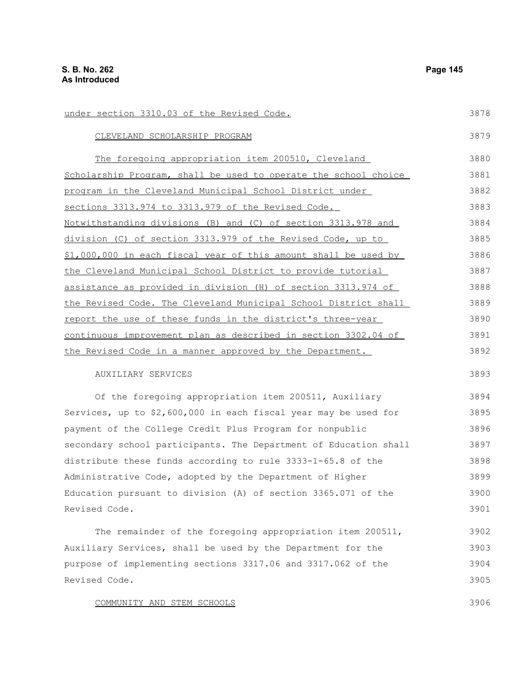| under section 3310.03 of the Revised Code.                       | 3878 |
|------------------------------------------------------------------|------|
| CLEVELAND SCHOLARSHIP PROGRAM                                    | 3879 |
| The foregoing appropriation item 200510, Cleveland               | 3880 |
| Scholarship Program, shall be used to operate the school choice  | 3881 |
| program in the Cleveland Municipal School District under         | 3882 |
| sections 3313.974 to 3313.979 of the Revised Code.               | 3883 |
| Notwithstanding divisions (B) and (C) of section 3313.978 and    | 3884 |
| division (C) of section 3313.979 of the Revised Code, up to      | 3885 |
| \$1,000,000 in each fiscal year of this amount shall be used by  | 3886 |
| the Cleveland Municipal School District to provide tutorial      | 3887 |
| assistance as provided in division (H) of section 3313.974 of    | 3888 |
| the Revised Code. The Cleveland Municipal School District shall  | 3889 |
| report the use of these funds in the district's three-year       | 3890 |
| continuous improvement plan as described in section 3302.04 of   | 3891 |
| the Revised Code in a manner approved by the Department.         | 3892 |
| AUXILIARY SERVICES                                               | 3893 |
| Of the foregoing appropriation item 200511, Auxiliary            | 3894 |
| Services, up to \$2,600,000 in each fiscal year may be used for  | 3895 |
| payment of the College Credit Plus Program for nonpublic         | 3896 |
| secondary school participants. The Department of Education shall | 3897 |
| distribute these funds according to rule 3333-1-65.8 of the      | 3898 |
| Administrative Code, adopted by the Department of Higher         | 3899 |
| Education pursuant to division (A) of section 3365.071 of the    | 3900 |
| Revised Code.                                                    | 3901 |
| The remainder of the foregoing appropriation item 200511,        | 3902 |
| Auxiliary Services, shall be used by the Department for the      | 3903 |
| purpose of implementing sections 3317.06 and 3317.062 of the     | 3904 |
| Revised Code.                                                    | 3905 |
| COMMUNITY AND STEM SCHOOLS                                       | 3906 |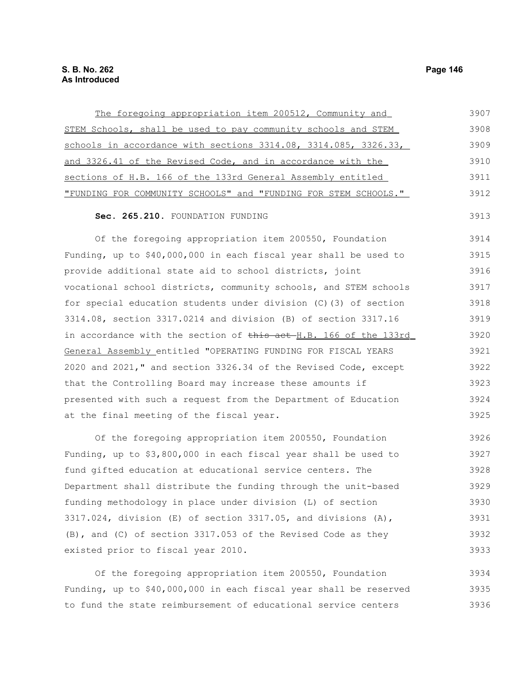| The foregoing appropriation item 200512, Community and          | 3907 |
|-----------------------------------------------------------------|------|
| STEM Schools, shall be used to pay community schools and STEM   | 3908 |
| schools in accordance with sections 3314.08, 3314.085, 3326.33, | 3909 |
| and 3326.41 of the Revised Code, and in accordance with the     | 3910 |
| sections of H.B. 166 of the 133rd General Assembly entitled     | 3911 |
| "FUNDING FOR COMMUNITY SCHOOLS" and "FUNDING FOR STEM SCHOOLS." | 3912 |
|                                                                 |      |

# Sec. 265.210. FOUNDATION FUNDING

Of the foregoing appropriation item 200550, Foundation Funding, up to \$40,000,000 in each fiscal year shall be used to provide additional state aid to school districts, joint vocational school districts, community schools, and STEM schools for special education students under division (C)(3) of section 3314.08, section 3317.0214 and division (B) of section 3317.16 in accordance with the section of this act H.B. 166 of the 133rd General Assembly entitled "OPERATING FUNDING FOR FISCAL YEARS 2020 and 2021," and section 3326.34 of the Revised Code, except that the Controlling Board may increase these amounts if presented with such a request from the Department of Education at the final meeting of the fiscal year. 3914 3915 3916 3917 3918 3919 3920 3921 3922 3923 3924 3925

Of the foregoing appropriation item 200550, Foundation Funding, up to \$3,800,000 in each fiscal year shall be used to fund gifted education at educational service centers. The Department shall distribute the funding through the unit-based funding methodology in place under division (L) of section 3317.024, division  $(E)$  of section 3317.05, and divisions  $(A)$ , (B), and (C) of section 3317.053 of the Revised Code as they existed prior to fiscal year 2010. 3926 3927 3928 3929 3930 3931 3932 3933

Of the foregoing appropriation item 200550, Foundation Funding, up to \$40,000,000 in each fiscal year shall be reserved to fund the state reimbursement of educational service centers 3934 3935 3936

3913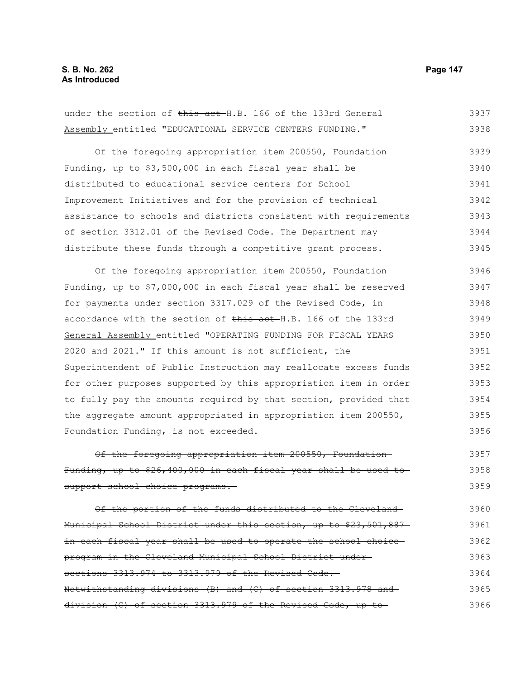| under the section of this act H.B. 166 of the 133rd General      | 3937 |
|------------------------------------------------------------------|------|
| Assembly entitled "EDUCATIONAL SERVICE CENTERS FUNDING."         | 3938 |
| Of the foregoing appropriation item 200550, Foundation           | 3939 |
| Funding, up to \$3,500,000 in each fiscal year shall be          | 3940 |
| distributed to educational service centers for School            | 3941 |
| Improvement Initiatives and for the provision of technical       | 3942 |
| assistance to schools and districts consistent with requirements | 3943 |
| of section 3312.01 of the Revised Code. The Department may       | 3944 |
| distribute these funds through a competitive grant process.      | 3945 |
| Of the foregoing appropriation item 200550, Foundation           | 3946 |
| Funding, up to \$7,000,000 in each fiscal year shall be reserved | 3947 |
| for payments under section 3317.029 of the Revised Code, in      | 3948 |
| accordance with the section of this act H.B. 166 of the 133rd    | 3949 |
| General Assembly entitled "OPERATING FUNDING FOR FISCAL YEARS    | 3950 |
| 2020 and 2021." If this amount is not sufficient, the            | 3951 |
| Superintendent of Public Instruction may reallocate excess funds | 3952 |
| for other purposes supported by this appropriation item in order | 3953 |
| to fully pay the amounts required by that section, provided that | 3954 |
| the aggregate amount appropriated in appropriation item 200550,  | 3955 |
| Foundation Funding, is not exceeded.                             | 3956 |
| Of the foregoing appropriation item 200550, Foundation           | 3957 |
| Funding, up to \$26,400,000 in each fiscal year shall be used to | 3958 |
| support school choice programs.                                  | 3959 |
| Of the portion of the funds distributed to the Cleveland-        | 3960 |
| Municipal School District under this section, up to \$23,501,887 | 3961 |
| in each fiscal year shall be used to operate the school choice-  | 3962 |
| program in the Cleveland Municipal School District under-        | 3963 |
| sections 3313.974 to 3313.979 of the Revised Code.               | 3964 |
| Notwithstanding divisions (B) and (C) of section 3313.978 and    | 3965 |
| division (C) of section 3313.979 of the Revised Code, up to      | 3966 |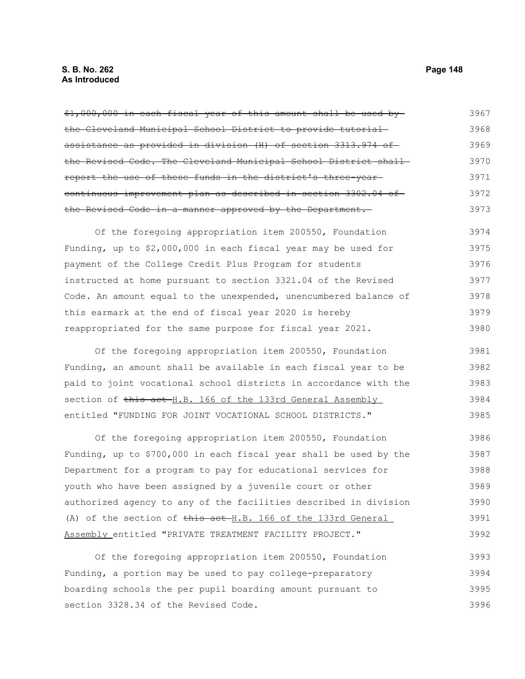# **S. B. No. 262 Page 148 As Introduced**

\$1,000,000 in each fiscal year of this amount shall be used by the Cleveland Municipal School District to provide tutorial assistance as provided in division (H) of section 3313.974 of the Revised Code. The Cleveland Municipal School District shall report the use of these funds in the district's three-year continuous improvement plan as described in section 3302.04 of the Revised Code in a manner approved by the Department. 3967 3968 3969 3970 3971 3972 3973

Of the foregoing appropriation item 200550, Foundation Funding, up to \$2,000,000 in each fiscal year may be used for payment of the College Credit Plus Program for students instructed at home pursuant to section 3321.04 of the Revised Code. An amount equal to the unexpended, unencumbered balance of this earmark at the end of fiscal year 2020 is hereby reappropriated for the same purpose for fiscal year 2021. 3974 3975 3976 3977 3978 3979 3980

Of the foregoing appropriation item 200550, Foundation Funding, an amount shall be available in each fiscal year to be paid to joint vocational school districts in accordance with the section of this act H.B. 166 of the 133rd General Assembly entitled "FUNDING FOR JOINT VOCATIONAL SCHOOL DISTRICTS." 3981 3982 3983 3984 3985

Of the foregoing appropriation item 200550, Foundation Funding, up to \$700,000 in each fiscal year shall be used by the Department for a program to pay for educational services for youth who have been assigned by a juvenile court or other authorized agency to any of the facilities described in division (A) of the section of this act H.B. 166 of the 133rd General Assembly entitled "PRIVATE TREATMENT FACILITY PROJECT." 3986 3987 3988 3989 3990 3991 3992

Of the foregoing appropriation item 200550, Foundation Funding, a portion may be used to pay college-preparatory boarding schools the per pupil boarding amount pursuant to section 3328.34 of the Revised Code. 3993 3994 3995 3996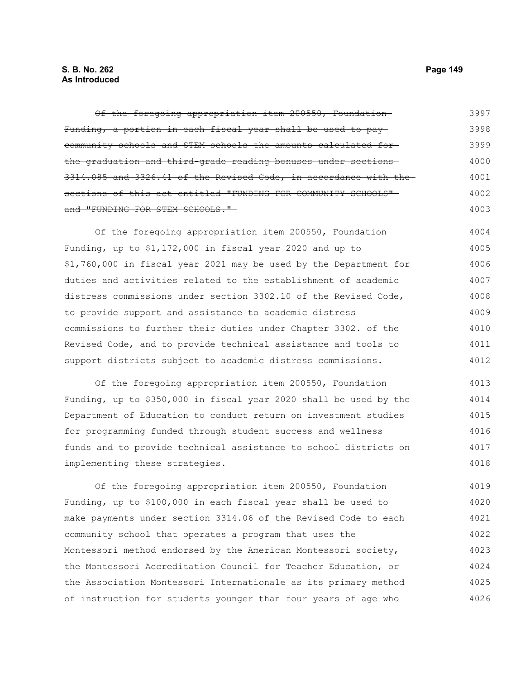# **S. B. No. 262 Page 149 As Introduced**

Of the foregoing appropriation item 200550, Foundation Funding, a portion in each fiscal year shall be used to pay community schools and STEM schools the amounts calculated for the graduation and third-grade reading bonuses under sections 3314.085 and 3326.41 of the Revised Code, in accordance with the sections of this act entitled "FUNDING FOR COMMUNITY SCHOOLS"and "FUNDING FOR STEM SCHOOLS." Of the foregoing appropriation item 200550, Foundation Funding, up to \$1,172,000 in fiscal year 2020 and up to \$1,760,000 in fiscal year 2021 may be used by the Department for duties and activities related to the establishment of academic distress commissions under section 3302.10 of the Revised Code, 3997 3998 3999 4000 4001 4002 4003 4004 4005 4006 4007 4008

to provide support and assistance to academic distress commissions to further their duties under Chapter 3302. of the Revised Code, and to provide technical assistance and tools to support districts subject to academic distress commissions. 4009 4010 4011 4012

Of the foregoing appropriation item 200550, Foundation Funding, up to \$350,000 in fiscal year 2020 shall be used by the Department of Education to conduct return on investment studies for programming funded through student success and wellness funds and to provide technical assistance to school districts on implementing these strategies. 4013 4014 4015 4016 4017 4018

Of the foregoing appropriation item 200550, Foundation Funding, up to \$100,000 in each fiscal year shall be used to make payments under section 3314.06 of the Revised Code to each community school that operates a program that uses the Montessori method endorsed by the American Montessori society, the Montessori Accreditation Council for Teacher Education, or the Association Montessori Internationale as its primary method of instruction for students younger than four years of age who 4019 4020 4021 4022 4023 4024 4025 4026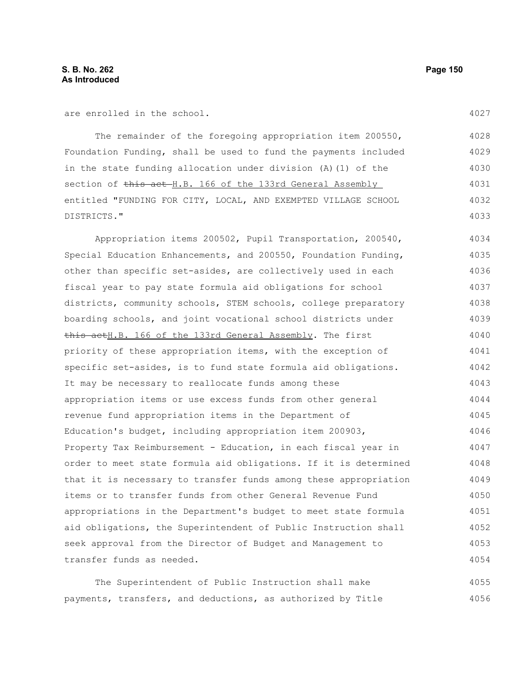are enrolled in the school.

The remainder of the foregoing appropriation item 200550, Foundation Funding, shall be used to fund the payments included in the state funding allocation under division (A)(1) of the section of this act H.B. 166 of the 133rd General Assembly entitled "FUNDING FOR CITY, LOCAL, AND EXEMPTED VILLAGE SCHOOL DISTRICTS." 4028 4029 4030 4031 4032 4033

Appropriation items 200502, Pupil Transportation, 200540, Special Education Enhancements, and 200550, Foundation Funding, other than specific set-asides, are collectively used in each fiscal year to pay state formula aid obligations for school districts, community schools, STEM schools, college preparatory boarding schools, and joint vocational school districts under this actH.B. 166 of the 133rd General Assembly. The first priority of these appropriation items, with the exception of specific set-asides, is to fund state formula aid obligations. It may be necessary to reallocate funds among these appropriation items or use excess funds from other general revenue fund appropriation items in the Department of Education's budget, including appropriation item 200903, Property Tax Reimbursement - Education, in each fiscal year in order to meet state formula aid obligations. If it is determined that it is necessary to transfer funds among these appropriation items or to transfer funds from other General Revenue Fund appropriations in the Department's budget to meet state formula aid obligations, the Superintendent of Public Instruction shall seek approval from the Director of Budget and Management to transfer funds as needed. 4034 4035 4036 4037 4038 4039 4040 4041 4042 4043 4044 4045 4046 4047 4048 4049 4050 4051 4052 4053 4054

The Superintendent of Public Instruction shall make payments, transfers, and deductions, as authorized by Title 4055 4056

4027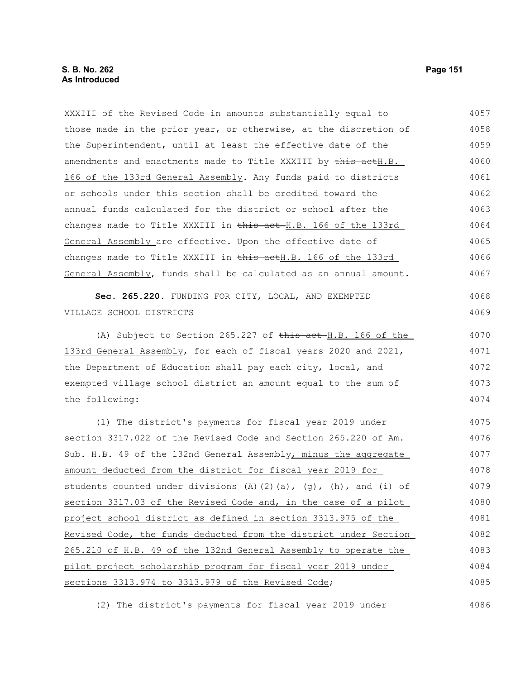XXXIII of the Revised Code in amounts substantially equal to those made in the prior year, or otherwise, at the discretion of the Superintendent, until at least the effective date of the amendments and enactments made to Title XXXIII by this actH.B. 166 of the 133rd General Assembly. Any funds paid to districts or schools under this section shall be credited toward the annual funds calculated for the district or school after the changes made to Title XXXIII in this act H.B. 166 of the 133rd General Assembly are effective. Upon the effective date of changes made to Title XXXIII in this actH.B. 166 of the 133rd General Assembly, funds shall be calculated as an annual amount. **Sec. 265.220.** FUNDING FOR CITY, LOCAL, AND EXEMPTED VILLAGE SCHOOL DISTRICTS (A) Subject to Section 265.227 of this act H.B. 166 of the 133rd General Assembly, for each of fiscal years 2020 and 2021, the Department of Education shall pay each city, local, and exempted village school district an amount equal to the sum of the following: (1) The district's payments for fiscal year 2019 under section 3317.022 of the Revised Code and Section 265.220 of Am. Sub. H.B. 49 of the 132nd General Assembly, minus the aggregate amount deducted from the district for fiscal year 2019 for students counted under divisions (A)(2)(a), (g), (h), and (i) of section 3317.03 of the Revised Code and, in the case of a pilot project school district as defined in section 3313.975 of the Revised Code, the funds deducted from the district under Section 265.210 of H.B. 49 of the 132nd General Assembly to operate the pilot project scholarship program for fiscal year 2019 under sections 3313.974 to 3313.979 of the Revised Code; 4057 4058 4059 4060 4061 4062 4063 4064 4065 4066 4067 4068 4069 4070 4071 4072 4073 4074 4075 4076 4077 4078 4079 4080 4081 4082 4083 4084 4085

(2) The district's payments for fiscal year 2019 under

4086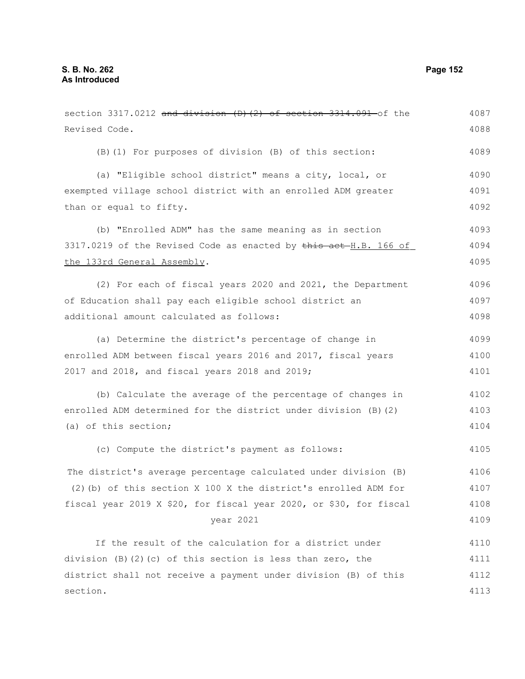section  $3317.0212$  and division (D)(2) of section  $3314.091$  of the Revised Code. (B)(1) For purposes of division (B) of this section: (a) "Eligible school district" means a city, local, or exempted village school district with an enrolled ADM greater than or equal to fifty. (b) "Enrolled ADM" has the same meaning as in section 3317.0219 of the Revised Code as enacted by this act H.B. 166 of the 133rd General Assembly. (2) For each of fiscal years 2020 and 2021, the Department of Education shall pay each eligible school district an additional amount calculated as follows: (a) Determine the district's percentage of change in enrolled ADM between fiscal years 2016 and 2017, fiscal years 2017 and 2018, and fiscal years 2018 and 2019; (b) Calculate the average of the percentage of changes in enrolled ADM determined for the district under division (B)(2) (a) of this section; (c) Compute the district's payment as follows: The district's average percentage calculated under division (B) (2)(b) of this section X 100 X the district's enrolled ADM for fiscal year 2019 X \$20, for fiscal year 2020, or \$30, for fiscal year 2021 If the result of the calculation for a district under division (B)(2)(c) of this section is less than zero, the district shall not receive a payment under division (B) of this section. 4087 4088 4089 4090 4091 4092 4093 4094 4095 4096 4097 4098 4099 4100 4101 4102 4103 4104 4105 4106 4107 4108 4109 4110 4111 4112 4113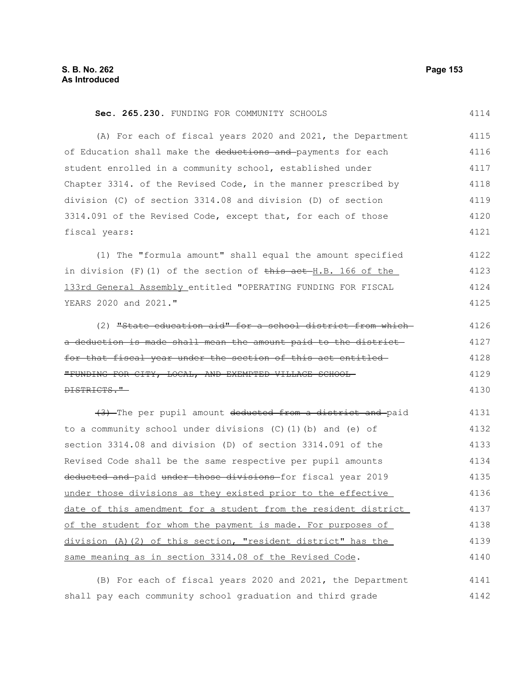#### Sec. 265.230. FUNDING FOR COMMUNITY SCHOOLS (A) For each of fiscal years 2020 and 2021, the Department of Education shall make the deductions and payments for each student enrolled in a community school, established under Chapter 3314. of the Revised Code, in the manner prescribed by division (C) of section 3314.08 and division (D) of section 3314.091 of the Revised Code, except that, for each of those fiscal years: 4114 4115 4116 4117 4118 4119 4120 4121

(1) The "formula amount" shall equal the amount specified in division  $(F)(1)$  of the section of  $\overline{this}$  act  $H.B.$  166 of the 133rd General Assembly entitled "OPERATING FUNDING FOR FISCAL YEARS 2020 and 2021." 4122 4123 4124 4125

(2) "State education aid" for a school district from which a deduction is made shall mean the amount paid to the district for that fiscal year under the section of this act entitled "FUNDING FOR CITY, LOCAL, AND EXEMPTED VILLAGE SCHOOL DISTRICTS." 4126 4127 4128 4129 4130

(3) The per pupil amount deducted from a district and paid to a community school under divisions (C)(1)(b) and (e) of section 3314.08 and division (D) of section 3314.091 of the Revised Code shall be the same respective per pupil amounts deducted and paid under those divisions for fiscal year 2019 under those divisions as they existed prior to the effective date of this amendment for a student from the resident district of the student for whom the payment is made. For purposes of division (A)(2) of this section, "resident district" has the same meaning as in section 3314.08 of the Revised Code. 4131 4132 4133 4134 4135 4136 4137 4138 4139 4140

(B) For each of fiscal years 2020 and 2021, the Department shall pay each community school graduation and third grade 4141 4142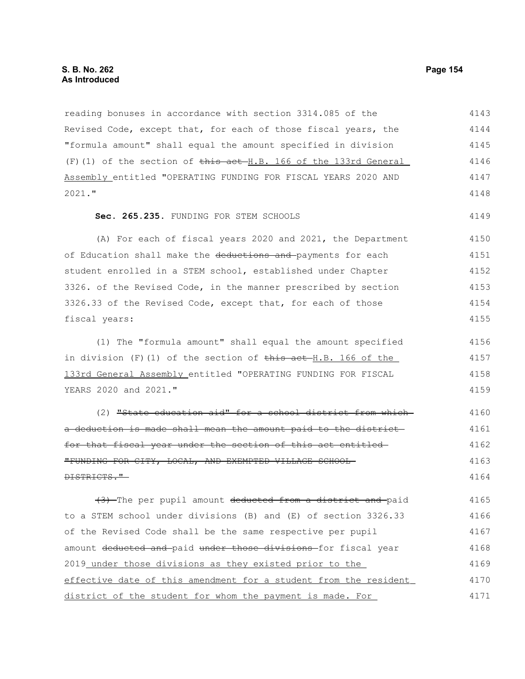reading bonuses in accordance with section 3314.085 of the Revised Code, except that, for each of those fiscal years, the "formula amount" shall equal the amount specified in division  $(F)$ (1) of the section of  $\frac{1}{2}$   $\frac{1}{2}$   $\frac{1}{2}$   $\frac{1}{2}$   $\frac{1}{2}$   $\frac{1}{2}$   $\frac{1}{2}$   $\frac{1}{2}$   $\frac{1}{2}$   $\frac{1}{2}$   $\frac{1}{2}$   $\frac{1}{2}$   $\frac{1}{2}$   $\frac{1}{2}$   $\frac{1}{2}$   $\frac{1}{2}$   $\frac{1}{2}$   $\frac{1}{2}$   $\frac{1}{2}$   $\frac{1$ Assembly entitled "OPERATING FUNDING FOR FISCAL YEARS 2020 AND 2021." **Sec. 265.235.** FUNDING FOR STEM SCHOOLS (A) For each of fiscal years 2020 and 2021, the Department of Education shall make the deductions and payments for each student enrolled in a STEM school, established under Chapter 3326. of the Revised Code, in the manner prescribed by section 3326.33 of the Revised Code, except that, for each of those fiscal years: (1) The "formula amount" shall equal the amount specified in division  $(F)(1)$  of the section of this act H.B. 166 of the 133rd General Assembly entitled "OPERATING FUNDING FOR FISCAL YEARS 2020 and 2021." (2) "State education aid" for a school district from which a deduction is made shall mean the amount paid to the district for that fiscal year under the section of this act entitled "FUNDING FOR CITY, LOCAL, AND EXEMPTED VILLAGE SCHOOL DISTRICTS." (3) The per pupil amount deducted from a district and paid 4143 4144 4145 4146 4147 4148 4149 4150 4151 4152 4153 4154 4155 4156 4157 4158 4159 4160 4161 4162 4163 4164 4165

to a STEM school under divisions (B) and (E) of section 3326.33 of the Revised Code shall be the same respective per pupil amount deducted and paid under those divisions for fiscal year 2019 under those divisions as they existed prior to the effective date of this amendment for a student from the resident district of the student for whom the payment is made. For 4166 4167 4168 4169 4170 4171